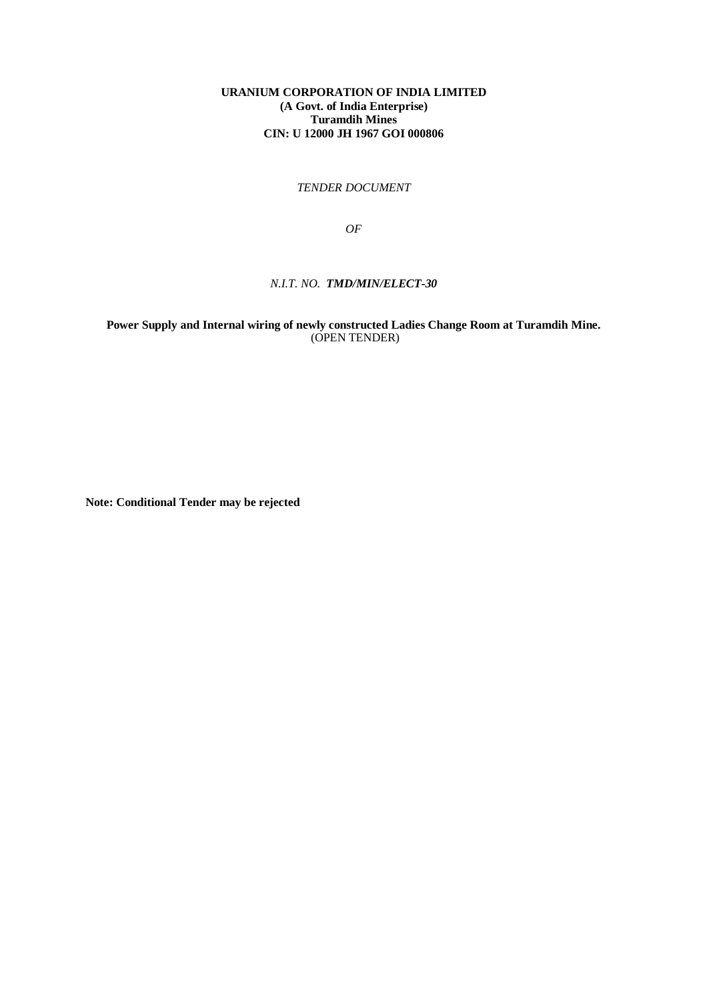*TENDER DOCUMENT*

*OF*

## *N.I.T. NO. TMD/MIN/ELECT-30*

**Power Supply and Internal wiring of newly constructed Ladies Change Room at Turamdih Mine.** (OPEN TENDER)

**Note: Conditional Tender may be rejected**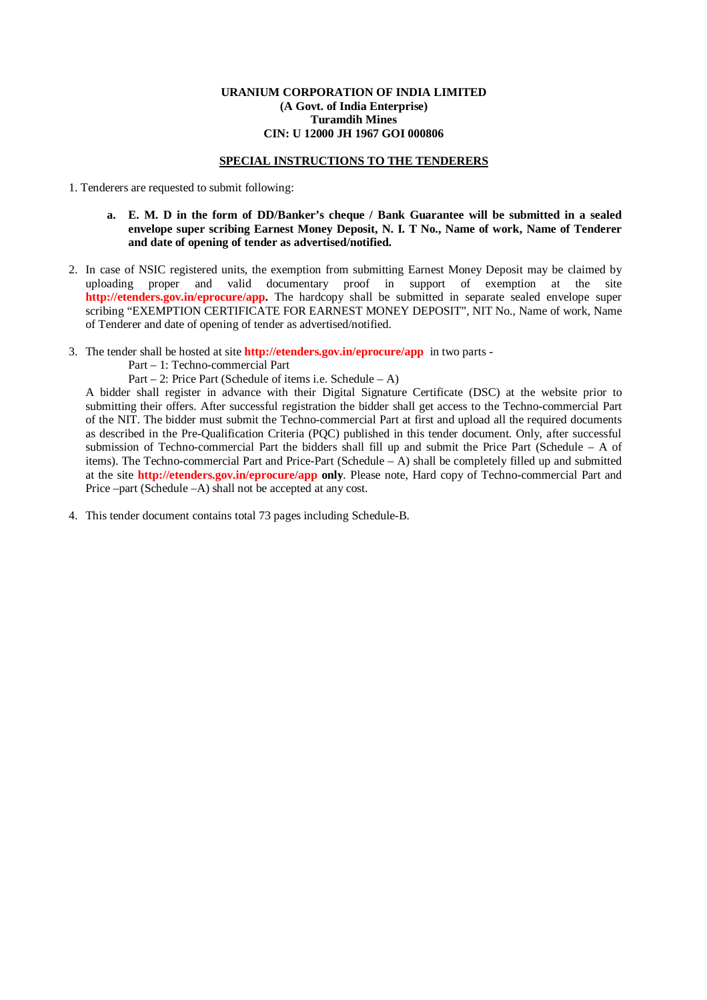#### **SPECIAL INSTRUCTIONS TO THE TENDERERS**

1. Tenderers are requested to submit following:

- **a. E. M. D in the form of DD/Banker's cheque / Bank Guarantee will be submitted in a sealed envelope super scribing Earnest Money Deposit, N. I. T No., Name of work, Name of Tenderer and date of opening of tender as advertised/notified.**
- 2. In case of NSIC registered units, the exemption from submitting Earnest Money Deposit may be claimed by uploading proper and valid documentary proof in support of exemption at the site **<http://etenders.gov.in/eprocure/app.>**The hardcopy shall be submitted in separate sealed envelope super scribing "EXEMPTION CERTIFICATE FOR EARNEST MONEY DEPOSIT", NIT No., Name of work, Name of Tenderer and date of opening of tender as advertised/notified.
- 3. The tender shall be hosted at site **<http://etenders.gov.in/eprocure/app>**in two parts -

Part – 1: Techno-commercial Part

Part – 2: Price Part (Schedule of items i.e. Schedule – A)

A bidder shall register in advance with their Digital Signature Certificate (DSC) at the website prior to submitting their offers. After successful registration the bidder shall get access to the Techno-commercial Part of the NIT. The bidder must submit the Techno-commercial Part at first and upload all the required documents as described in the Pre-Qualification Criteria (PQC) published in this tender document. Only, after successful submission of Techno-commercial Part the bidders shall fill up and submit the Price Part (Schedule – A of items). The Techno-commercial Part and Price-Part (Schedule – A) shall be completely filled up and submitted at the site **<http://etenders.gov.in/eprocure/app> only**. Please note, Hard copy of Techno-commercial Part and Price –part (Schedule –A) shall not be accepted at any cost.

4. This tender document contains total 73 pages including Schedule-B.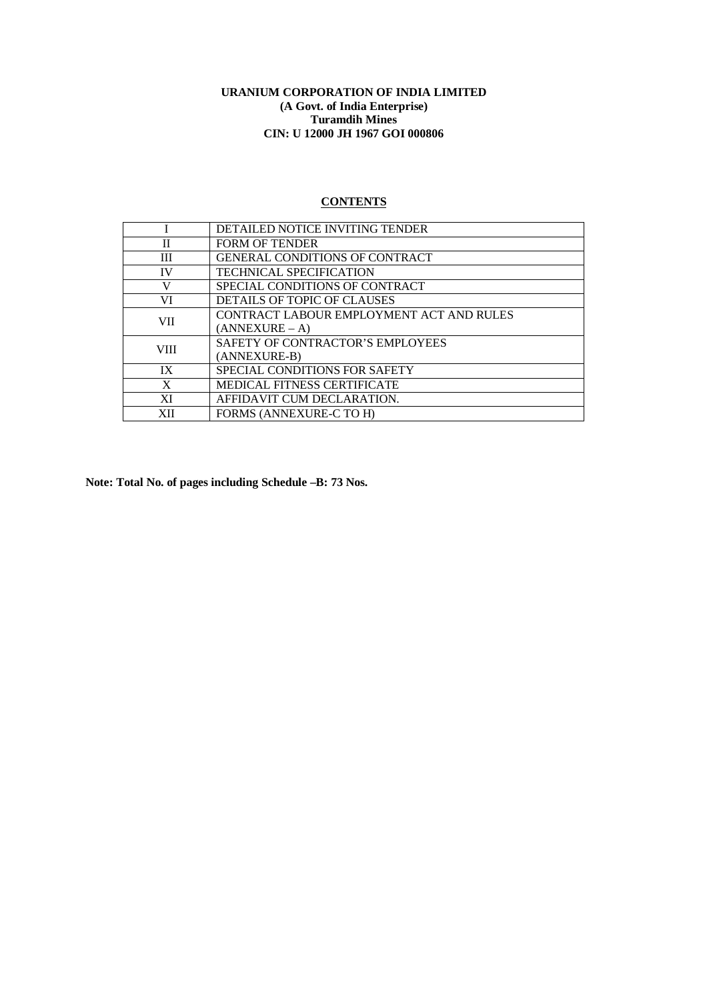# **CONTENTS**

|             | <b>DETAILED NOTICE INVITING TENDER</b>   |
|-------------|------------------------------------------|
| $_{\rm II}$ | <b>FORM OF TENDER</b>                    |
| Ш           | <b>GENERAL CONDITIONS OF CONTRACT</b>    |
| <b>IV</b>   | <b>TECHNICAL SPECIFICATION</b>           |
| V           | SPECIAL CONDITIONS OF CONTRACT           |
| VI          | DETAILS OF TOPIC OF CLAUSES              |
| <b>VII</b>  | CONTRACT LABOUR EMPLOYMENT ACT AND RULES |
|             | $(ANNEXURE - A)$                         |
| VIII.       | SAFETY OF CONTRACTOR'S EMPLOYEES         |
|             | (ANNEXURE-B)                             |
| IX          | SPECIAL CONDITIONS FOR SAFETY            |
| X           | <b>MEDICAL FITNESS CERTIFICATE</b>       |
| XI          | AFFIDAVIT CUM DECLARATION.               |
| XІІ         | <b>FORMS (ANNEXURE-C TO H)</b>           |
|             |                                          |

**Note: Total No. of pages including Schedule –B: 73 Nos.**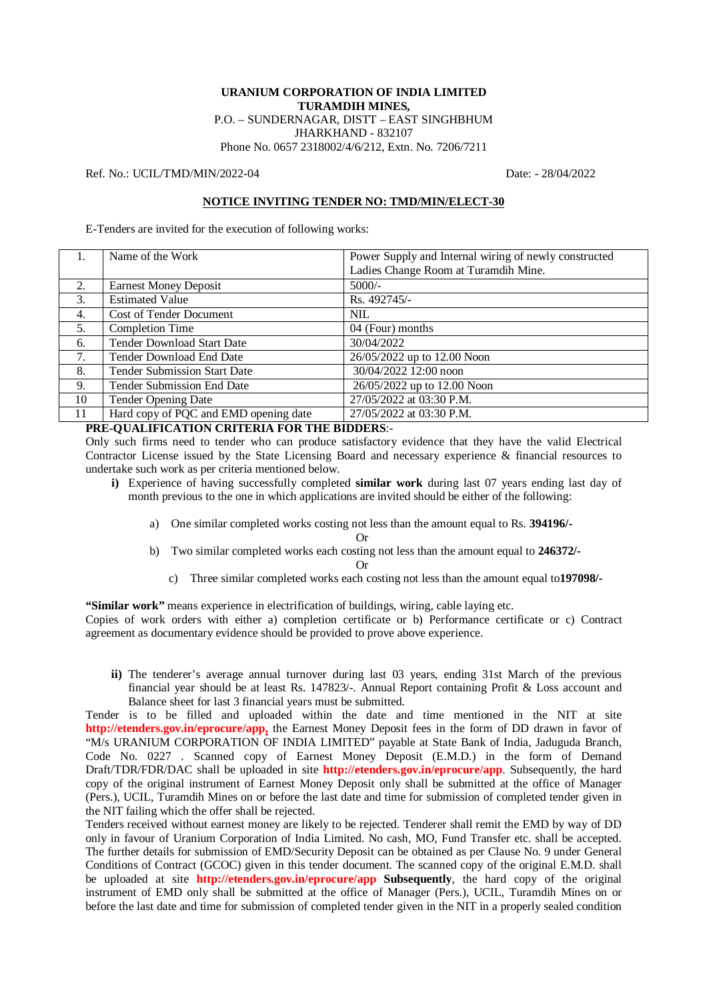## **URANIUM CORPORATION OF INDIA LIMITED TURAMDIH MINES,** P.O. – SUNDERNAGAR, DISTT – EAST SINGHBHUM JHARKHAND - 832107

Phone No. 0657 2318002/4/6/212, Extn. No. 7206/7211

Ref. No.: UCIL/TMD/MIN/2022-04 Date: - 28/04/2022

## **NOTICE INVITING TENDER NO: TMD/MIN/ELECT-30**

E-Tenders are invited for the execution of following works:

|    | Name of the Work                      | Power Supply and Internal wiring of newly constructed |
|----|---------------------------------------|-------------------------------------------------------|
|    |                                       | Ladies Change Room at Turamdih Mine.                  |
| 2. | <b>Earnest Money Deposit</b>          | $5000/-$                                              |
| 3. | <b>Estimated Value</b>                | Rs. 492745/-                                          |
| 4. | <b>Cost of Tender Document</b>        | NIL.                                                  |
| 5. | <b>Completion Time</b>                | 04 (Four) months                                      |
| 6. | <b>Tender Download Start Date</b>     | 30/04/2022                                            |
| 7. | Tender Download End Date              | 26/05/2022 up to 12.00 Noon                           |
| 8. | <b>Tender Submission Start Date</b>   | 30/04/2022 12:00 noon                                 |
| 9. | <b>Tender Submission End Date</b>     | 26/05/2022 up to 12.00 Noon                           |
| 10 | <b>Tender Opening Date</b>            | 27/05/2022 at 03:30 P.M.                              |
| 11 | Hard copy of PQC and EMD opening date | 27/05/2022 at 03:30 P.M.                              |

## **PRE-QUALIFICATION CRITERIA FOR THE BIDDERS**:-

Only such firms need to tender who can produce satisfactory evidence that they have the valid Electrical Contractor License issued by the State Licensing Board and necessary experience & financial resources to undertake such work as per criteria mentioned below.

- **i)** Experience of having successfully completed **similar work** during last 07 years ending last day of month previous to the one in which applications are invited should be either of the following:
	- a) One similar completed works costing not less than the amount equal to Rs. **394196/-**

Or

b) Two similar completed works each costing not less than the amount equal to **246372/-**

Or

c) Three similar completed works each costing not less than the amount equal to**197098/-**

**"Similar work"** means experience in electrification of buildings, wiring, cable laying etc. Copies of work orders with either a) completion certificate or b) Performance certificate or c) Contract agreement as documentary evidence should be provided to prove above experience.

**ii)** The tenderer's average annual turnover during last 03 years, ending 31st March of the previous financial year should be at least Rs. 147823/-. Annual Report containing Profit & Loss account and Balance sheet for last 3 financial years must be submitted.

Tender is to be filled and uploaded within the date and time mentioned in the NIT at site **<http://etenders.gov.in/eprocure/app,>** the Earnest Money Deposit fees in the form of DD drawn in favor of "M/s URANIUM CORPORATION OF INDIA LIMITED" payable at State Bank of India, Jaduguda Branch, Code No. 0227 . Scanned copy of Earnest Money Deposit (E.M.D.) in the form of Demand Draft/TDR/FDR/DAC shall be uploaded in site **<http://etenders.gov.in/eprocure/app>**. Subsequently, the hard copy of the original instrument of Earnest Money Deposit only shall be submitted at the office of Manager (Pers.), UCIL, Turamdih Mines on or before the last date and time for submission of completed tender given in the NIT failing which the offer shall be rejected.

Tenders received without earnest money are likely to be rejected. Tenderer shall remit the EMD by way of DD only in favour of Uranium Corporation of India Limited. No cash, MO, Fund Transfer etc. shall be accepted. The further details for submission of EMD/Security Deposit can be obtained as per Clause No. 9 under General Conditions of Contract (GCOC) given in this tender document. The scanned copy of the original E.M.D. shall be uploaded at site **<http://etenders.gov.in/eprocure/app> Subsequently**, the hard copy of the original instrument of EMD only shall be submitted at the office of Manager (Pers.), UCIL, Turamdih Mines on or before the last date and time for submission of completed tender given in the NIT in a properly sealed condition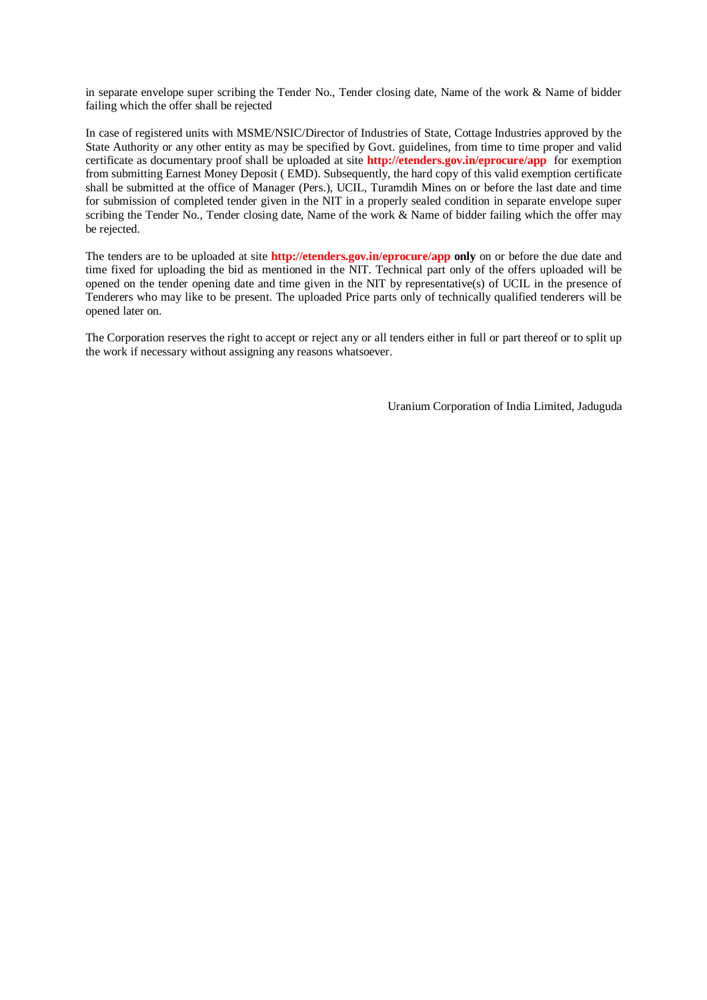in separate envelope super scribing the Tender No., Tender closing date, Name of the work & Name of bidder failing which the offer shall be rejected

In case of registered units with MSME/NSIC/Director of Industries of State, Cottage Industries approved by the State Authority or any other entity as may be specified by Govt. guidelines, from time to time proper and valid certificate as documentary proof shall be uploaded at site **<http://etenders.gov.in/eprocure/app>** for exemption from submitting Earnest Money Deposit ( EMD). Subsequently, the hard copy of this valid exemption certificate shall be submitted at the office of Manager (Pers.), UCIL, Turamdih Mines on or before the last date and time for submission of completed tender given in the NIT in a properly sealed condition in separate envelope super scribing the Tender No., Tender closing date, Name of the work & Name of bidder failing which the offer may be rejected.

The tenders are to be uploaded at site **<http://etenders.gov.in/eprocure/app> only** on or before the due date and time fixed for uploading the bid as mentioned in the NIT. Technical part only of the offers uploaded will be opened on the tender opening date and time given in the NIT by representative(s) of UCIL in the presence of Tenderers who may like to be present. The uploaded Price parts only of technically qualified tenderers will be opened later on.

The Corporation reserves the right to accept or reject any or all tenders either in full or part thereof or to split up the work if necessary without assigning any reasons whatsoever.

Uranium Corporation of India Limited, Jaduguda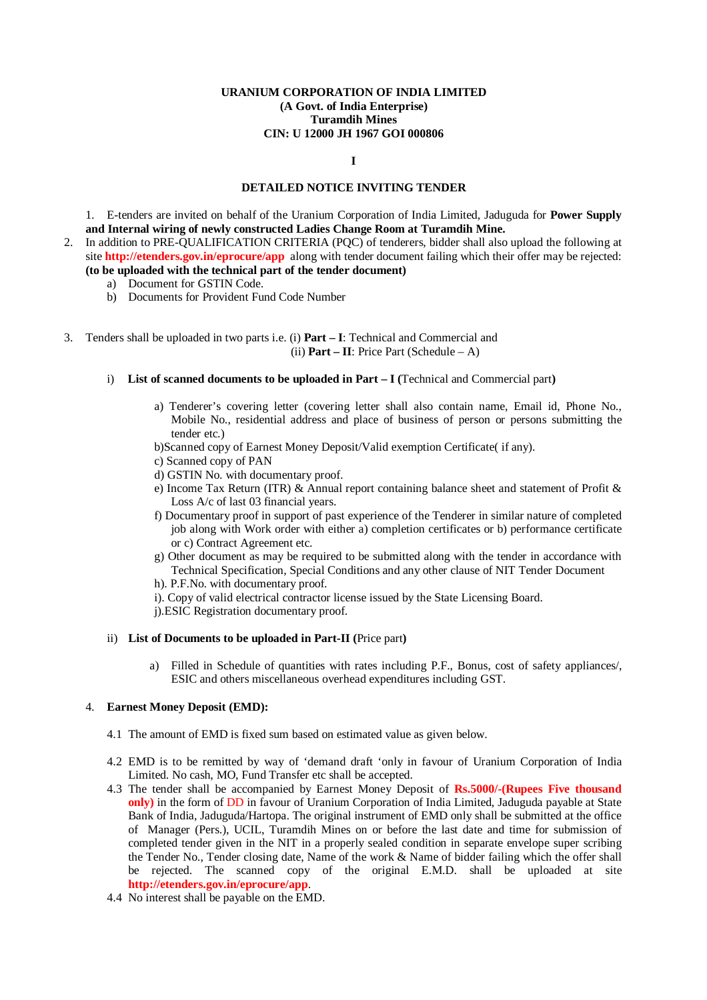**I**

## **DETAILED NOTICE INVITING TENDER**

1. E-tenders are invited on behalf of the Uranium Corporation of India Limited, Jaduguda for **Power Supply and Internal wiring of newly constructed Ladies Change Room at Turamdih Mine.**

- 2. In addition to PRE-QUALIFICATION CRITERIA (PQC) of tenderers, bidder shall also upload the following at site **<http://etenders.gov.in/eprocure/app>** along with tender document failing which their offer may be rejected:
	- **(to be uploaded with the technical part of the tender document)**
		- a) Document for GSTIN Code.
		- b) Documents for Provident Fund Code Number
- 3. Tenders shall be uploaded in two parts i.e. (i) **Part – I**: Technical and Commercial and (ii) **Part – II**: Price Part (Schedule – A)
	- i) **List of scanned documents to be uploaded in Part – I (**Technical and Commercial part**)**
		- a) Tenderer's covering letter (covering letter shall also contain name, Email id, Phone No., Mobile No., residential address and place of business of person or persons submitting the tender etc.)
		- b)Scanned copy of Earnest Money Deposit/Valid exemption Certificate( if any).
		- c) Scanned copy of PAN
		- d) GSTIN No. with documentary proof.
		- e) Income Tax Return (ITR) & Annual report containing balance sheet and statement of Profit & Loss A/c of last 03 financial years.
		- f) Documentary proof in support of past experience of the Tenderer in similar nature of completed job along with Work order with either a) completion certificates or b) performance certificate or c) Contract Agreement etc.
		- g) Other document as may be required to be submitted along with the tender in accordance with Technical Specification, Special Conditions and any other clause of NIT Tender Document
		- h). P.F.No. with documentary proof.
		- i). Copy of valid electrical contractor license issued by the State Licensing Board.
		- j).ESIC Registration documentary proof.

#### ii) **List of Documents to be uploaded in Part-II (**Price part**)**

a) Filled in Schedule of quantities with rates including P.F., Bonus, cost of safety appliances/, ESIC and others miscellaneous overhead expenditures including GST.

#### 4. **Earnest Money Deposit (EMD):**

- 4.1 The amount of EMD is fixed sum based on estimated value as given below.
- 4.2 EMD is to be remitted by way of 'demand draft 'only in favour of Uranium Corporation of India Limited. No cash, MO, Fund Transfer etc shall be accepted.
- 4.3 The tender shall be accompanied by Earnest Money Deposit of **Rs.5000/-(Rupees Five thousand only)** in the form of DD in favour of Uranium Corporation of India Limited, Jaduguda payable at State Bank of India, Jaduguda/Hartopa. The original instrument of EMD only shall be submitted at the office of Manager (Pers.), UCIL, Turamdih Mines on or before the last date and time for submission of completed tender given in the NIT in a properly sealed condition in separate envelope super scribing the Tender No., Tender closing date, Name of the work & Name of bidder failing which the offer shall be rejected. The scanned copy of the original E.M.D. shall be uploaded at site **<http://etenders.gov.in/eprocure/app>**.
- 4.4 No interest shall be payable on the EMD.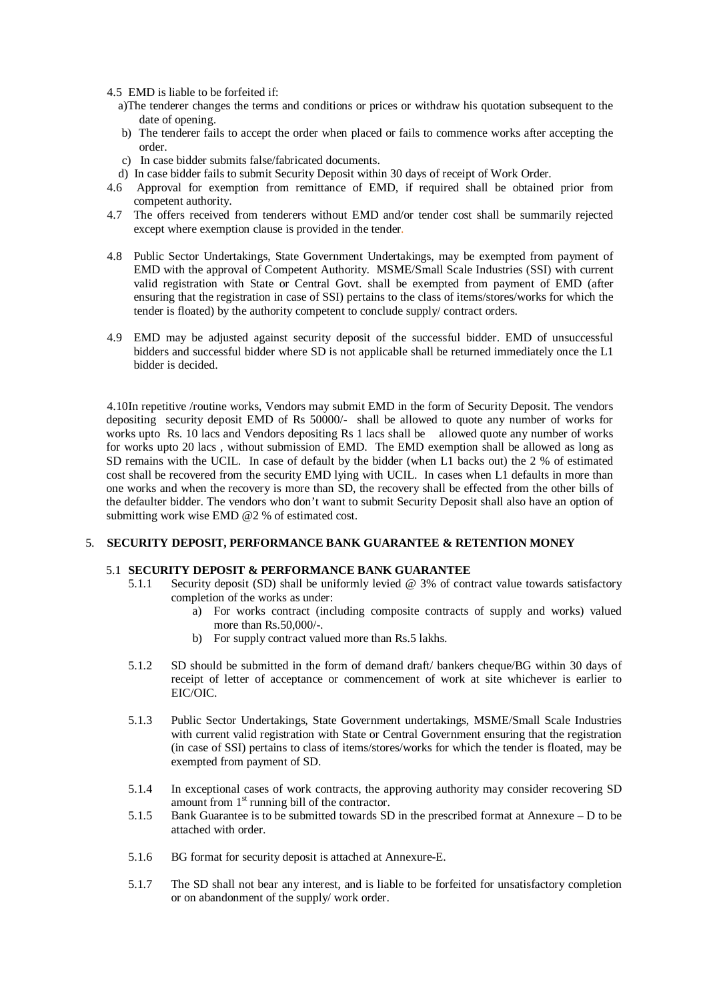- 4.5 EMD is liable to be forfeited if:
	- a)The tenderer changes the terms and conditions or prices or withdraw his quotation subsequent to the date of opening.
	- b) The tenderer fails to accept the order when placed or fails to commence works after accepting the order.
	- c) In case bidder submits false/fabricated documents.
	- d) In case bidder fails to submit Security Deposit within 30 days of receipt of Work Order.
- 4.6 Approval for exemption from remittance of EMD, if required shall be obtained prior from competent authority.
- 4.7 The offers received from tenderers without EMD and/or tender cost shall be summarily rejected except where exemption clause is provided in the tender.
- 4.8 Public Sector Undertakings, State Government Undertakings, may be exempted from payment of EMD with the approval of Competent Authority. MSME/Small Scale Industries (SSI) with current valid registration with State or Central Govt. shall be exempted from payment of EMD (after ensuring that the registration in case of SSI) pertains to the class of items/stores/works for which the tender is floated) by the authority competent to conclude supply/ contract orders.
- 4.9 EMD may be adjusted against security deposit of the successful bidder. EMD of unsuccessful bidders and successful bidder where SD is not applicable shall be returned immediately once the L1 bidder is decided.

4.10In repetitive /routine works, Vendors may submit EMD in the form of Security Deposit. The vendors depositing security deposit EMD of Rs 50000/- shall be allowed to quote any number of works for works upto Rs. 10 lacs and Vendors depositing Rs 1 lacs shall be allowed quote any number of works for works upto 20 lacs , without submission of EMD. The EMD exemption shall be allowed as long as SD remains with the UCIL. In case of default by the bidder (when L1 backs out) the 2 % of estimated cost shall be recovered from the security EMD lying with UCIL. In cases when L1 defaults in more than one works and when the recovery is more than SD, the recovery shall be effected from the other bills of the defaulter bidder. The vendors who don't want to submit Security Deposit shall also have an option of submitting work wise EMD @2 % of estimated cost.

## 5. **SECURITY DEPOSIT, PERFORMANCE BANK GUARANTEE & RETENTION MONEY**

#### 5.1 **SECURITY DEPOSIT & PERFORMANCE BANK GUARANTEE**

- 5.1.1 Security deposit (SD) shall be uniformly levied @ 3% of contract value towards satisfactory completion of the works as under:
	- a) For works contract (including composite contracts of supply and works) valued more than Rs.50,000/-.
	- b) For supply contract valued more than Rs.5 lakhs.
- 5.1.2 SD should be submitted in the form of demand draft/ bankers cheque/BG within 30 days of receipt of letter of acceptance or commencement of work at site whichever is earlier to EIC/OIC.
- 5.1.3 Public Sector Undertakings, State Government undertakings, MSME/Small Scale Industries with current valid registration with State or Central Government ensuring that the registration (in case of SSI) pertains to class of items/stores/works for which the tender is floated, may be exempted from payment of SD.
- 5.1.4 In exceptional cases of work contracts, the approving authority may consider recovering SD amount from  $1<sup>st</sup>$  running bill of the contractor.
- 5.1.5 Bank Guarantee is to be submitted towards SD in the prescribed format at Annexure D to be attached with order.
- 5.1.6 BG format for security deposit is attached at Annexure-E.
- 5.1.7 The SD shall not bear any interest, and is liable to be forfeited for unsatisfactory completion or on abandonment of the supply/ work order.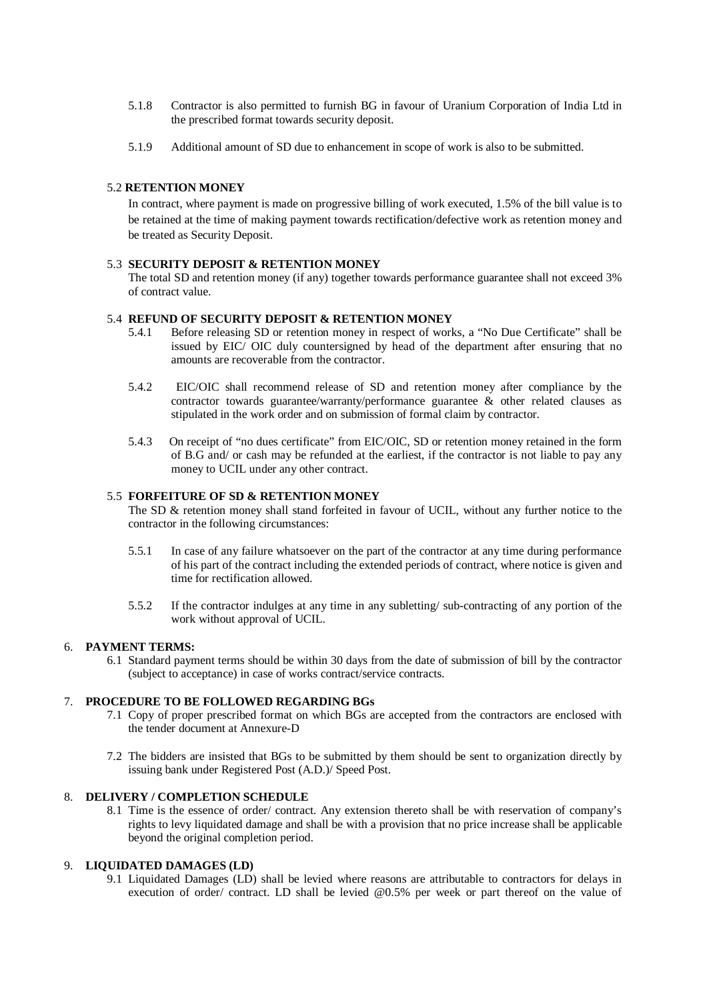- 5.1.8 Contractor is also permitted to furnish BG in favour of Uranium Corporation of India Ltd in the prescribed format towards security deposit.
- 5.1.9 Additional amount of SD due to enhancement in scope of work is also to be submitted.

## 5.2 **RETENTION MONEY**

In contract, where payment is made on progressive billing of work executed, 1.5% of the bill value is to be retained at the time of making payment towards rectification/defective work as retention money and be treated as Security Deposit.

#### 5.3 **SECURITY DEPOSIT & RETENTION MONEY**

The total SD and retention money (if any) together towards performance guarantee shall not exceed 3% of contract value.

## 5.4 **REFUND OF SECURITY DEPOSIT & RETENTION MONEY**

- 5.4.1 Before releasing SD or retention money in respect of works, a "No Due Certificate" shall be issued by EIC/ OIC duly countersigned by head of the department after ensuring that no amounts are recoverable from the contractor.
- 5.4.2 EIC/OIC shall recommend release of SD and retention money after compliance by the contractor towards guarantee/warranty/performance guarantee & other related clauses as stipulated in the work order and on submission of formal claim by contractor.
- 5.4.3 On receipt of "no dues certificate" from EIC/OIC, SD or retention money retained in the form of B.G and/ or cash may be refunded at the earliest, if the contractor is not liable to pay any money to UCIL under any other contract.

#### 5.5 **FORFEITURE OF SD & RETENTION MONEY**

The SD & retention money shall stand forfeited in favour of UCIL, without any further notice to the contractor in the following circumstances:

- 5.5.1 In case of any failure whatsoever on the part of the contractor at any time during performance of his part of the contract including the extended periods of contract, where notice is given and time for rectification allowed.
- 5.5.2 If the contractor indulges at any time in any subletting/ sub-contracting of any portion of the work without approval of UCIL.

## 6. **PAYMENT TERMS:**

6.1 Standard payment terms should be within 30 days from the date of submission of bill by the contractor (subject to acceptance) in case of works contract/service contracts.

## 7. **PROCEDURE TO BE FOLLOWED REGARDING BGs**

- 7.1 Copy of proper prescribed format on which BGs are accepted from the contractors are enclosed with the tender document at Annexure-D
- 7.2 The bidders are insisted that BGs to be submitted by them should be sent to organization directly by issuing bank under Registered Post (A.D.)/ Speed Post.

#### 8. **DELIVERY / COMPLETION SCHEDULE**

8.1 Time is the essence of order/ contract. Any extension thereto shall be with reservation of company's rights to levy liquidated damage and shall be with a provision that no price increase shall be applicable beyond the original completion period.

## 9. **LIQUIDATED DAMAGES (LD)**

9.1 Liquidated Damages (LD) shall be levied where reasons are attributable to contractors for delays in execution of order/ contract. LD shall be levied [@0.5%](mailto:@0.5%) per week or part thereof on the value of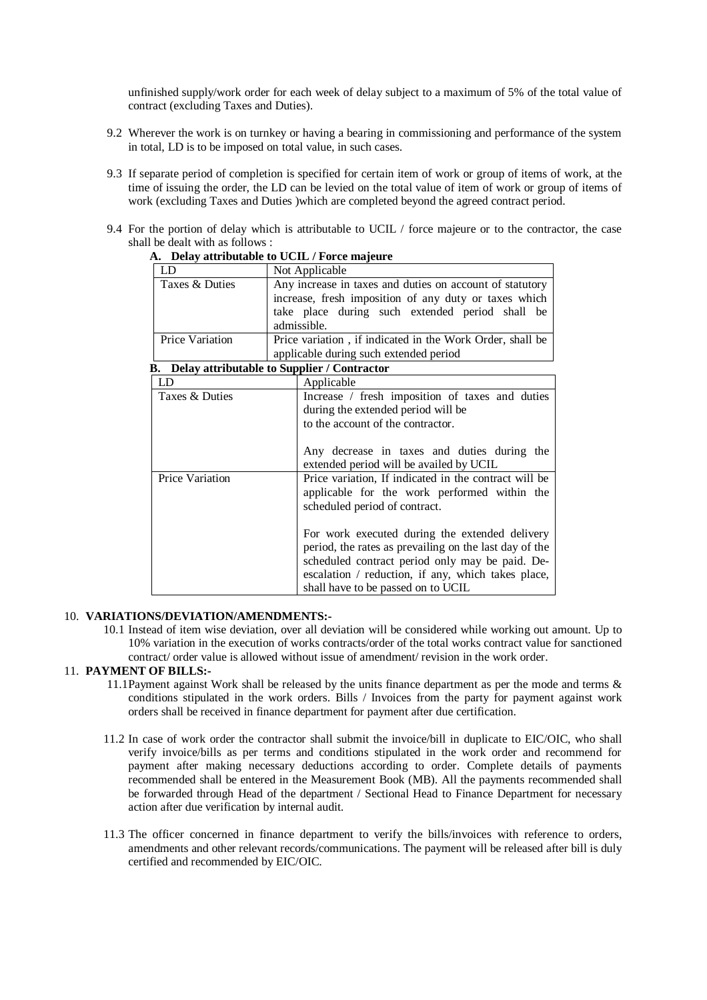unfinished supply/work order for each week of delay subject to a maximum of 5% of the total value of contract (excluding Taxes and Duties).

- 9.2 Wherever the work is on turnkey or having a bearing in commissioning and performance of the system in total, LD is to be imposed on total value, in such cases.
- 9.3 If separate period of completion is specified for certain item of work or group of items of work, at the time of issuing the order, the LD can be levied on the total value of item of work or group of items of work (excluding Taxes and Duties )which are completed beyond the agreed contract period.
- 9.4 For the portion of delay which is attributable to UCIL / force majeure or to the contractor, the case shall be dealt with as follows :

| LD                                             | Not Applicable                                            |  |  |  |
|------------------------------------------------|-----------------------------------------------------------|--|--|--|
| Taxes & Duties                                 | Any increase in taxes and duties on account of statutory  |  |  |  |
|                                                | increase, fresh imposition of any duty or taxes which     |  |  |  |
|                                                | take place during such extended period shall be           |  |  |  |
|                                                | admissible.                                               |  |  |  |
| Price Variation                                | Price variation, if indicated in the Work Order, shall be |  |  |  |
|                                                | applicable during such extended period                    |  |  |  |
| B. Delay attributable to Supplier / Contractor |                                                           |  |  |  |
| LD                                             | Applicable                                                |  |  |  |
| Taxes & Duties                                 | Increase / fresh imposition of taxes and duties           |  |  |  |
|                                                | during the extended period will be                        |  |  |  |
|                                                | to the account of the contractor.                         |  |  |  |
|                                                |                                                           |  |  |  |
|                                                | Any decrease in taxes and duties during the               |  |  |  |
|                                                | extended period will be availed by UCIL                   |  |  |  |
| <b>Price Variation</b>                         | Price variation, If indicated in the contract will be     |  |  |  |
|                                                | applicable for the work performed within the              |  |  |  |
|                                                | scheduled period of contract.                             |  |  |  |
|                                                |                                                           |  |  |  |
|                                                | For work executed during the extended delivery            |  |  |  |
|                                                | period, the rates as prevailing on the last day of the    |  |  |  |
|                                                | scheduled contract period only may be paid. De-           |  |  |  |
|                                                | escalation / reduction, if any, which takes place,        |  |  |  |
|                                                | shall have to be passed on to UCIL                        |  |  |  |

## **A. Delay attributable to UCIL / Force majeure**

#### 10. **VARIATIONS/DEVIATION/AMENDMENTS:-**

10.1 Instead of item wise deviation, over all deviation will be considered while working out amount. Up to 10% variation in the execution of works contracts/order of the total works contract value for sanctioned contract/ order value is allowed without issue of amendment/ revision in the work order.

## 11. **PAYMENT OF BILLS:-**

- 11.1Payment against Work shall be released by the units finance department as per the mode and terms  $\&$ conditions stipulated in the work orders. Bills / Invoices from the party for payment against work orders shall be received in finance department for payment after due certification.
- 11.2 In case of work order the contractor shall submit the invoice/bill in duplicate to EIC/OIC, who shall verify invoice/bills as per terms and conditions stipulated in the work order and recommend for payment after making necessary deductions according to order. Complete details of payments recommended shall be entered in the Measurement Book (MB). All the payments recommended shall be forwarded through Head of the department / Sectional Head to Finance Department for necessary action after due verification by internal audit.
- 11.3 The officer concerned in finance department to verify the bills/invoices with reference to orders, amendments and other relevant records/communications. The payment will be released after bill is duly certified and recommended by EIC/OIC.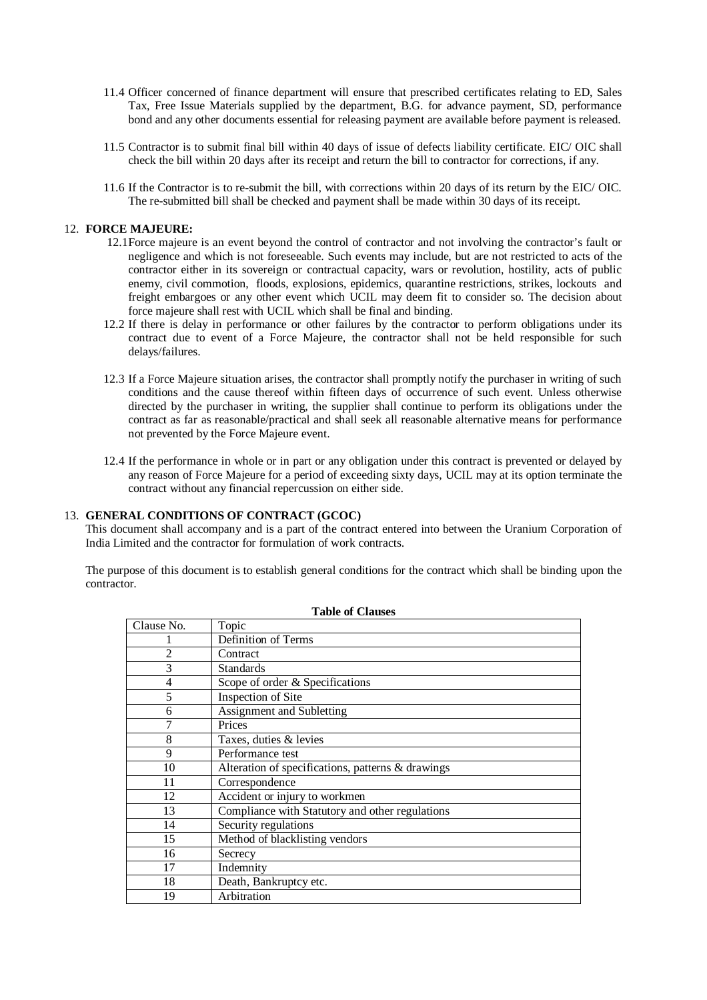- 11.4 Officer concerned of finance department will ensure that prescribed certificates relating to ED, Sales Tax, Free Issue Materials supplied by the department, B.G. for advance payment, SD, performance bond and any other documents essential for releasing payment are available before payment is released.
- 11.5 Contractor is to submit final bill within 40 days of issue of defects liability certificate. EIC/ OIC shall check the bill within 20 days after its receipt and return the bill to contractor for corrections, if any.
- 11.6 If the Contractor is to re-submit the bill, with corrections within 20 days of its return by the EIC/ OIC. The re-submitted bill shall be checked and payment shall be made within 30 days of its receipt.

#### 12. **FORCE MAJEURE:**

- 12.1Force majeure is an event beyond the control of contractor and not involving the contractor's fault or negligence and which is not foreseeable. Such events may include, but are not restricted to acts of the contractor either in its sovereign or contractual capacity, wars or revolution, hostility, acts of public enemy, civil commotion, floods, explosions, epidemics, quarantine restrictions, strikes, lockouts and freight embargoes or any other event which UCIL may deem fit to consider so. The decision about force majeure shall rest with UCIL which shall be final and binding.
- 12.2 If there is delay in performance or other failures by the contractor to perform obligations under its contract due to event of a Force Majeure, the contractor shall not be held responsible for such delays/failures.
- 12.3 If a Force Majeure situation arises, the contractor shall promptly notify the purchaser in writing of such conditions and the cause thereof within fifteen days of occurrence of such event. Unless otherwise directed by the purchaser in writing, the supplier shall continue to perform its obligations under the contract as far as reasonable/practical and shall seek all reasonable alternative means for performance not prevented by the Force Majeure event.
- 12.4 If the performance in whole or in part or any obligation under this contract is prevented or delayed by any reason of Force Majeure for a period of exceeding sixty days, UCIL may at its option terminate the contract without any financial repercussion on either side.

## 13. **GENERAL CONDITIONS OF CONTRACT (GCOC)**

This document shall accompany and is a part of the contract entered into between the Uranium Corporation of India Limited and the contractor for formulation of work contracts.

The purpose of this document is to establish general conditions for the contract which shall be binding upon the contractor.

| Clause No.     | Topic                                             |
|----------------|---------------------------------------------------|
|                | Definition of Terms                               |
| 2              | Contract                                          |
| 3              | <b>Standards</b>                                  |
| $\overline{4}$ | Scope of order & Specifications                   |
| 5              | Inspection of Site                                |
| 6              | Assignment and Subletting                         |
| 7              | Prices                                            |
| 8              | Taxes, duties & levies                            |
| 9              | Performance test                                  |
| 10             | Alteration of specifications, patterns & drawings |
| 11             | Correspondence                                    |
| 12             | Accident or injury to workmen                     |
| 13             | Compliance with Statutory and other regulations   |
| 14             | Security regulations                              |
| 15             | Method of blacklisting vendors                    |
| 16             | Secrecy                                           |
| 17             | Indemnity                                         |
| 18             | Death, Bankruptcy etc.                            |
| 19             | Arbitration                                       |

**Table of Clauses**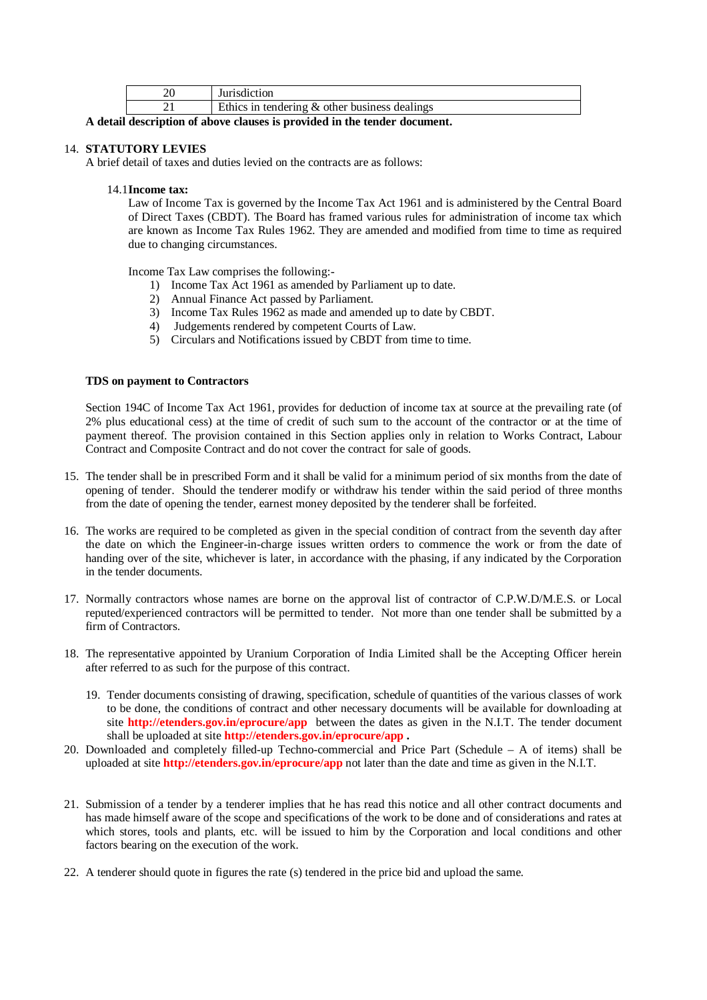| Jurisdiction                                     |
|--------------------------------------------------|
| Ethics in tendering $\&$ other business dealings |

**A detail description of above clauses is provided in the tender document.**

## 14. **STATUTORY LEVIES**

A brief detail of taxes and duties levied on the contracts are as follows:

#### 14.1**Income tax:**

Law of Income Tax is governed by the Income Tax Act 1961 and is administered by the Central Board of Direct Taxes (CBDT). The Board has framed various rules for administration of income tax which are known as Income Tax Rules 1962. They are amended and modified from time to time as required due to changing circumstances.

Income Tax Law comprises the following:-

- 1) Income Tax Act 1961 as amended by Parliament up to date.
- 2) Annual Finance Act passed by Parliament.
- 3) Income Tax Rules 1962 as made and amended up to date by CBDT.
- 4) Judgements rendered by competent Courts of Law.
- 5) Circulars and Notifications issued by CBDT from time to time.

## **TDS on payment to Contractors**

Section 194C of Income Tax Act 1961, provides for deduction of income tax at source at the prevailing rate (of 2% plus educational cess) at the time of credit of such sum to the account of the contractor or at the time of payment thereof. The provision contained in this Section applies only in relation to Works Contract, Labour Contract and Composite Contract and do not cover the contract for sale of goods.

- 15. The tender shall be in prescribed Form and it shall be valid for a minimum period of six months from the date of opening of tender. Should the tenderer modify or withdraw his tender within the said period of three months from the date of opening the tender, earnest money deposited by the tenderer shall be forfeited.
- 16. The works are required to be completed as given in the special condition of contract from the seventh day after the date on which the Engineer-in-charge issues written orders to commence the work or from the date of handing over of the site, whichever is later, in accordance with the phasing, if any indicated by the Corporation in the tender documents.
- 17. Normally contractors whose names are borne on the approval list of contractor of C.P.W.D/M.E.S. or Local reputed/experienced contractors will be permitted to tender. Not more than one tender shall be submitted by a firm of Contractors.
- 18. The representative appointed by Uranium Corporation of India Limited shall be the Accepting Officer herein after referred to as such for the purpose of this contract.
	- 19. Tender documents consisting of drawing, specification, schedule of quantities of the various classes of work to be done, the conditions of contract and other necessary documents will be available for downloading at site **<http://etenders.gov.in/eprocure/app>** between the dates as given in the N.I.T. The tender document shall be uploaded at site **<http://etenders.gov.in/eprocure/app> .**
- 20. Downloaded and completely filled-up Techno-commercial and Price Part (Schedule A of items) shall be uploaded at site **<http://etenders.gov.in/eprocure/app>** not later than the date and time as given in the N.I.T.
- 21. Submission of a tender by a tenderer implies that he has read this notice and all other contract documents and has made himself aware of the scope and specifications of the work to be done and of considerations and rates at which stores, tools and plants, etc. will be issued to him by the Corporation and local conditions and other factors bearing on the execution of the work.
- 22. A tenderer should quote in figures the rate (s) tendered in the price bid and upload the same.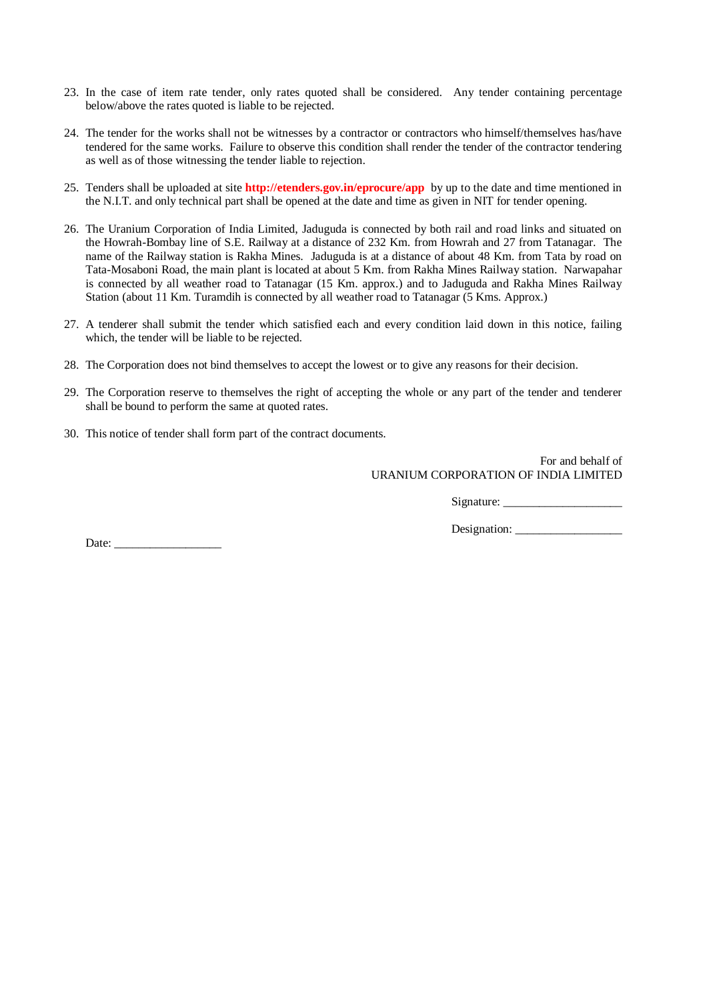- 23. In the case of item rate tender, only rates quoted shall be considered. Any tender containing percentage below/above the rates quoted is liable to be rejected.
- 24. The tender for the works shall not be witnesses by a contractor or contractors who himself/themselves has/have tendered for the same works. Failure to observe this condition shall render the tender of the contractor tendering as well as of those witnessing the tender liable to rejection.
- 25. Tenders shall be uploaded at site **<http://etenders.gov.in/eprocure/app>** by up to the date and time mentioned in the N.I.T. and only technical part shall be opened at the date and time as given in NIT for tender opening.
- 26. The Uranium Corporation of India Limited, Jaduguda is connected by both rail and road links and situated on the Howrah-Bombay line of S.E. Railway at a distance of 232 Km. from Howrah and 27 from Tatanagar. The name of the Railway station is Rakha Mines. Jaduguda is at a distance of about 48 Km. from Tata by road on Tata-Mosaboni Road, the main plant is located at about 5 Km. from Rakha Mines Railway station. Narwapahar is connected by all weather road to Tatanagar (15 Km. approx.) and to Jaduguda and Rakha Mines Railway Station (about 11 Km. Turamdih is connected by all weather road to Tatanagar (5 Kms. Approx.)
- 27. A tenderer shall submit the tender which satisfied each and every condition laid down in this notice, failing which, the tender will be liable to be rejected.
- 28. The Corporation does not bind themselves to accept the lowest or to give any reasons for their decision.
- 29. The Corporation reserve to themselves the right of accepting the whole or any part of the tender and tenderer shall be bound to perform the same at quoted rates.
- 30. This notice of tender shall form part of the contract documents.

For and behalf of URANIUM CORPORATION OF INDIA LIMITED

Signature: \_\_\_\_\_\_\_\_\_\_\_\_\_\_\_\_\_\_\_\_

Designation: \_\_\_\_\_\_\_\_\_\_\_\_\_\_\_\_\_\_

Date: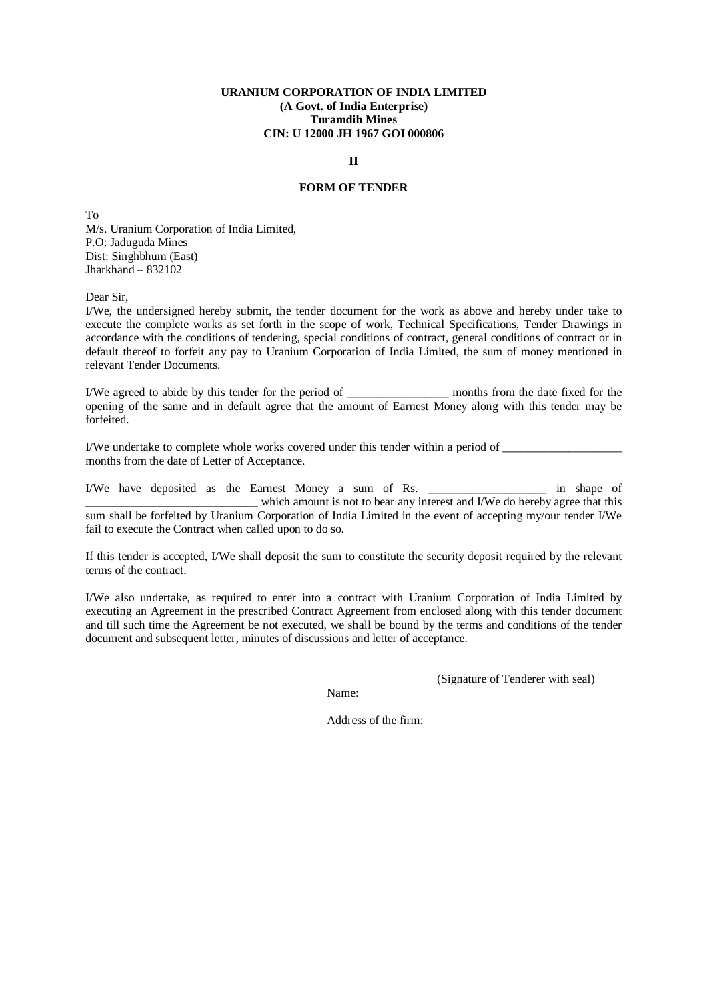#### **II**

## **FORM OF TENDER**

To M/s. Uranium Corporation of India Limited, P.O: Jaduguda Mines Dist: Singhbhum (East)  $Jharkhand - 832102$ 

Dear Sir,

I/We, the undersigned hereby submit, the tender document for the work as above and hereby under take to execute the complete works as set forth in the scope of work, Technical Specifications, Tender Drawings in accordance with the conditions of tendering, special conditions of contract, general conditions of contract or in default thereof to forfeit any pay to Uranium Corporation of India Limited, the sum of money mentioned in relevant Tender Documents.

I/We agreed to abide by this tender for the period of months from the date fixed for the opening of the same and in default agree that the amount of Earnest Money along with this tender may be forfeited.

I/We undertake to complete whole works covered under this tender within a period of \_\_\_\_\_\_\_\_\_\_\_\_\_\_\_\_\_\_\_\_ months from the date of Letter of Acceptance.

I/We have deposited as the Earnest Money a sum of Rs. \_\_\_\_\_\_\_\_\_\_\_\_\_\_\_\_\_\_\_\_ in shape of which amount is not to bear any interest and I/We do hereby agree that this sum shall be forfeited by Uranium Corporation of India Limited in the event of accepting my/our tender I/We fail to execute the Contract when called upon to do so.

If this tender is accepted, I/We shall deposit the sum to constitute the security deposit required by the relevant terms of the contract.

I/We also undertake, as required to enter into a contract with Uranium Corporation of India Limited by executing an Agreement in the prescribed Contract Agreement from enclosed along with this tender document and till such time the Agreement be not executed, we shall be bound by the terms and conditions of the tender document and subsequent letter, minutes of discussions and letter of acceptance.

Name:

(Signature of Tenderer with seal)

Address of the firm: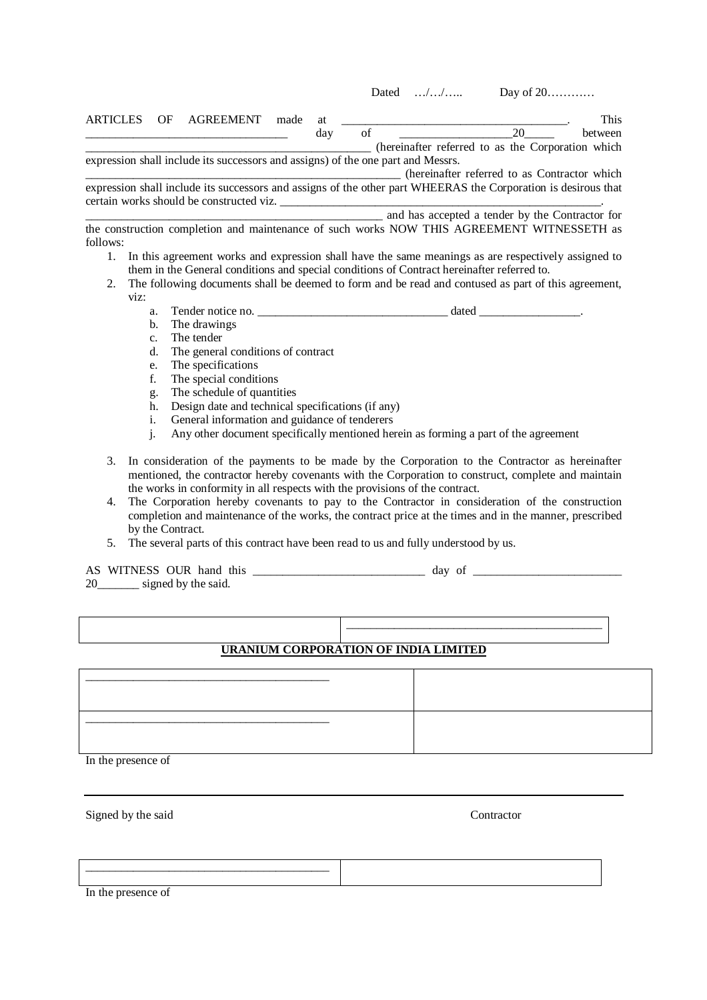Dated …/…/…… Day of 20…………

ARTICLES OF AGREEMENT made at  $\blacksquare$ \_\_\_\_\_\_\_\_\_\_\_\_\_\_\_\_\_\_\_\_\_\_\_\_\_\_\_\_\_\_\_\_\_\_ day of \_\_\_\_\_\_\_\_\_\_\_\_\_\_\_\_\_\_\_20\_\_\_\_\_ between \_\_\_\_\_\_\_\_\_\_\_\_\_\_\_\_\_\_\_\_\_\_\_\_\_\_\_\_\_\_\_\_\_\_\_\_\_\_\_\_\_\_\_\_\_\_\_\_ (hereinafter referred to as the Corporation which expression shall include its successors and assigns) of the one part and Messrs.

\_\_\_\_\_\_\_\_\_\_\_\_\_\_\_\_\_\_\_\_\_\_\_\_\_\_\_\_\_\_\_\_\_\_\_\_\_\_\_\_\_\_\_\_\_\_\_\_\_\_\_\_\_ (hereinafter referred to as Contractor which

expression shall include its successors and assigns of the other part WHEERAS the Corporation is desirous that certain works should be constructed viz.

\_\_\_\_\_\_\_\_\_\_\_\_\_\_\_\_\_\_\_\_\_\_\_\_\_\_\_\_\_\_\_\_\_\_\_\_\_\_\_\_\_\_\_\_\_\_\_\_\_\_ and has accepted a tender by the Contractor for the construction completion and maintenance of such works NOW THIS AGREEMENT WITNESSETH as follows:

- 1. In this agreement works and expression shall have the same meanings as are respectively assigned to them in the General conditions and special conditions of Contract hereinafter referred to.
- 2. The following documents shall be deemed to form and be read and contused as part of this agreement, viz:
	- a. Tender notice no. \_\_\_\_\_\_\_\_\_\_\_\_\_\_\_\_\_\_\_\_\_\_\_\_\_\_\_\_\_\_\_\_ dated \_\_\_\_\_\_\_\_\_\_\_\_\_\_\_\_\_.
	- b. The drawings
	- c. The tender
	- d. The general conditions of contract
	- e. The specifications
	- f. The special conditions
	- g. The schedule of quantities
	- h. Design date and technical specifications (if any)
	- i. General information and guidance of tenderers
	- j. Any other document specifically mentioned herein as forming a part of the agreement
- 3. In consideration of the payments to be made by the Corporation to the Contractor as hereinafter mentioned, the contractor hereby covenants with the Corporation to construct, complete and maintain the works in conformity in all respects with the provisions of the contract.
- 4. The Corporation hereby covenants to pay to the Contractor in consideration of the construction completion and maintenance of the works, the contract price at the times and in the manner, prescribed by the Contract.
- 5. The several parts of this contract have been read to us and fully understood by us.

# AS WITNESS OUR hand this \_\_\_\_\_\_\_\_\_\_\_\_\_\_\_\_\_\_\_\_\_\_\_\_\_\_\_\_\_\_\_\_\_ day of \_\_\_\_\_\_\_\_\_\_\_\_\_\_\_

20\_\_\_\_\_\_\_ signed by the said.

\_\_\_\_\_\_\_\_\_\_\_\_\_\_\_\_\_\_\_\_\_\_\_\_\_\_\_\_\_\_\_\_\_\_\_\_\_\_\_\_\_\_\_

# **URANIUM CORPORATION OF INDIA LIMITED**

\_\_\_\_\_\_\_\_\_\_\_\_\_\_\_\_\_\_\_\_\_\_\_\_\_\_\_\_\_\_\_\_\_\_\_\_\_\_\_\_\_ \_\_\_\_\_\_\_\_\_\_\_\_\_\_\_\_\_\_\_\_\_\_\_\_\_\_\_\_\_\_\_\_\_\_\_\_\_\_\_\_\_ In the presence of

Signed by the said Contractor

\_\_\_\_\_\_\_\_\_\_\_\_\_\_\_\_\_\_\_\_\_\_\_\_\_\_\_\_\_\_\_\_\_\_\_\_\_\_\_\_\_ In the presence of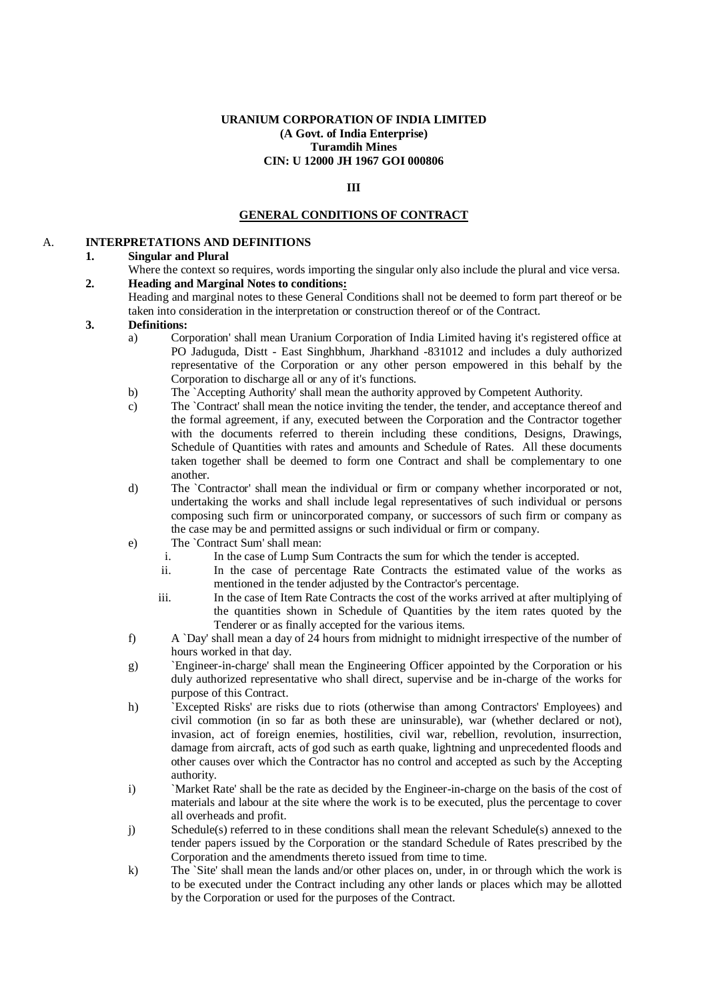## **III**

## **GENERAL CONDITIONS OF CONTRACT**

## A. **INTERPRETATIONS AND DEFINITIONS**

## **1. Singular and Plural**

- Where the context so requires, words importing the singular only also include the plural and vice versa. **2. Heading and Marginal Notes to conditions:** 
	- Heading and marginal notes to these General Conditions shall not be deemed to form part thereof or be taken into consideration in the interpretation or construction thereof or of the Contract.

#### **3. Definitions:**

- a) Corporation' shall mean Uranium Corporation of India Limited having it's registered office at PO Jaduguda, Distt - East Singhbhum, Jharkhand -831012 and includes a duly authorized representative of the Corporation or any other person empowered in this behalf by the Corporation to discharge all or any of it's functions.
- b) The `Accepting Authority' shall mean the authority approved by Competent Authority.
- c) The `Contract' shall mean the notice inviting the tender, the tender, and acceptance thereof and the formal agreement, if any, executed between the Corporation and the Contractor together with the documents referred to therein including these conditions, Designs, Drawings, Schedule of Quantities with rates and amounts and Schedule of Rates. All these documents taken together shall be deemed to form one Contract and shall be complementary to one another.
- d) The `Contractor' shall mean the individual or firm or company whether incorporated or not, undertaking the works and shall include legal representatives of such individual or persons composing such firm or unincorporated company, or successors of such firm or company as the case may be and permitted assigns or such individual or firm or company.
- e) The `Contract Sum' shall mean:
	- i. In the case of Lump Sum Contracts the sum for which the tender is accepted.
	- ii. In the case of percentage Rate Contracts the estimated value of the works as mentioned in the tender adjusted by the Contractor's percentage.
	- iii. In the case of Item Rate Contracts the cost of the works arrived at after multiplying of the quantities shown in Schedule of Quantities by the item rates quoted by the Tenderer or as finally accepted for the various items.
- f) A `Day' shall mean a day of 24 hours from midnight to midnight irrespective of the number of hours worked in that day.
- g) `Engineer-in-charge' shall mean the Engineering Officer appointed by the Corporation or his duly authorized representative who shall direct, supervise and be in-charge of the works for purpose of this Contract.
- h) `Excepted Risks' are risks due to riots (otherwise than among Contractors' Employees) and civil commotion (in so far as both these are uninsurable), war (whether declared or not), invasion, act of foreign enemies, hostilities, civil war, rebellion, revolution, insurrection, damage from aircraft, acts of god such as earth quake, lightning and unprecedented floods and other causes over which the Contractor has no control and accepted as such by the Accepting authority.
- i) `Market Rate' shall be the rate as decided by the Engineer-in-charge on the basis of the cost of materials and labour at the site where the work is to be executed, plus the percentage to cover all overheads and profit.
- j) Schedule(s) referred to in these conditions shall mean the relevant Schedule(s) annexed to the tender papers issued by the Corporation or the standard Schedule of Rates prescribed by the Corporation and the amendments thereto issued from time to time.
- k) The `Site' shall mean the lands and/or other places on, under, in or through which the work is to be executed under the Contract including any other lands or places which may be allotted by the Corporation or used for the purposes of the Contract.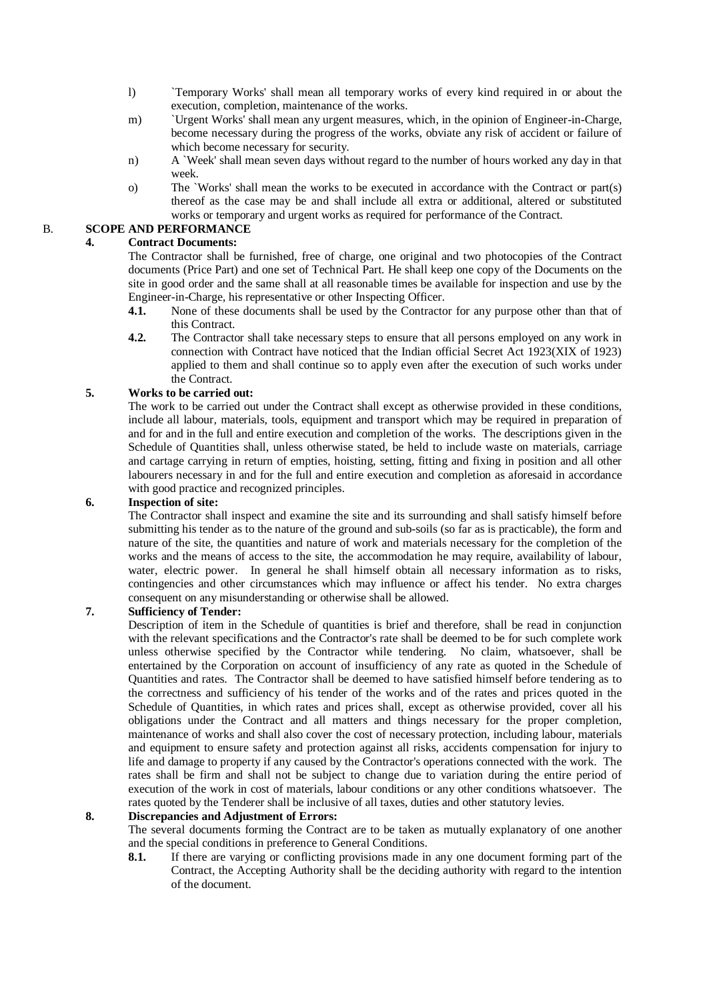- l) `Temporary Works' shall mean all temporary works of every kind required in or about the execution, completion, maintenance of the works.
- m) `Urgent Works' shall mean any urgent measures, which, in the opinion of Engineer-in-Charge, become necessary during the progress of the works, obviate any risk of accident or failure of which become necessary for security.
- n) A `Week' shall mean seven days without regard to the number of hours worked any day in that week.
- o) The `Works' shall mean the works to be executed in accordance with the Contract or part(s) thereof as the case may be and shall include all extra or additional, altered or substituted works or temporary and urgent works as required for performance of the Contract.

# B. **SCOPE AND PERFORMANCE**

## **4. Contract Documents:**

The Contractor shall be furnished, free of charge, one original and two photocopies of the Contract documents (Price Part) and one set of Technical Part. He shall keep one copy of the Documents on the site in good order and the same shall at all reasonable times be available for inspection and use by the Engineer-in-Charge, his representative or other Inspecting Officer.

- **4.1.** None of these documents shall be used by the Contractor for any purpose other than that of this Contract.
- **4.2.** The Contractor shall take necessary steps to ensure that all persons employed on any work in connection with Contract have noticed that the Indian official Secret Act 1923(XIX of 1923) applied to them and shall continue so to apply even after the execution of such works under the Contract.

## **5. Works to be carried out:**

The work to be carried out under the Contract shall except as otherwise provided in these conditions, include all labour, materials, tools, equipment and transport which may be required in preparation of and for and in the full and entire execution and completion of the works. The descriptions given in the Schedule of Quantities shall, unless otherwise stated, be held to include waste on materials, carriage and cartage carrying in return of empties, hoisting, setting, fitting and fixing in position and all other labourers necessary in and for the full and entire execution and completion as aforesaid in accordance with good practice and recognized principles.

## **6. Inspection of site:**

The Contractor shall inspect and examine the site and its surrounding and shall satisfy himself before submitting his tender as to the nature of the ground and sub-soils (so far as is practicable), the form and nature of the site, the quantities and nature of work and materials necessary for the completion of the works and the means of access to the site, the accommodation he may require, availability of labour, water, electric power. In general he shall himself obtain all necessary information as to risks, contingencies and other circumstances which may influence or affect his tender. No extra charges consequent on any misunderstanding or otherwise shall be allowed.

## **7. Sufficiency of Tender:**

Description of item in the Schedule of quantities is brief and therefore, shall be read in conjunction with the relevant specifications and the Contractor's rate shall be deemed to be for such complete work unless otherwise specified by the Contractor while tendering. No claim, whatsoever, shall be entertained by the Corporation on account of insufficiency of any rate as quoted in the Schedule of Quantities and rates. The Contractor shall be deemed to have satisfied himself before tendering as to the correctness and sufficiency of his tender of the works and of the rates and prices quoted in the Schedule of Quantities, in which rates and prices shall, except as otherwise provided, cover all his obligations under the Contract and all matters and things necessary for the proper completion, maintenance of works and shall also cover the cost of necessary protection, including labour, materials and equipment to ensure safety and protection against all risks, accidents compensation for injury to life and damage to property if any caused by the Contractor's operations connected with the work. The rates shall be firm and shall not be subject to change due to variation during the entire period of execution of the work in cost of materials, labour conditions or any other conditions whatsoever. The rates quoted by the Tenderer shall be inclusive of all taxes, duties and other statutory levies.

## **8. Discrepancies and Adjustment of Errors:**

The several documents forming the Contract are to be taken as mutually explanatory of one another and the special conditions in preference to General Conditions.

**8.1.** If there are varying or conflicting provisions made in any one document forming part of the Contract, the Accepting Authority shall be the deciding authority with regard to the intention of the document.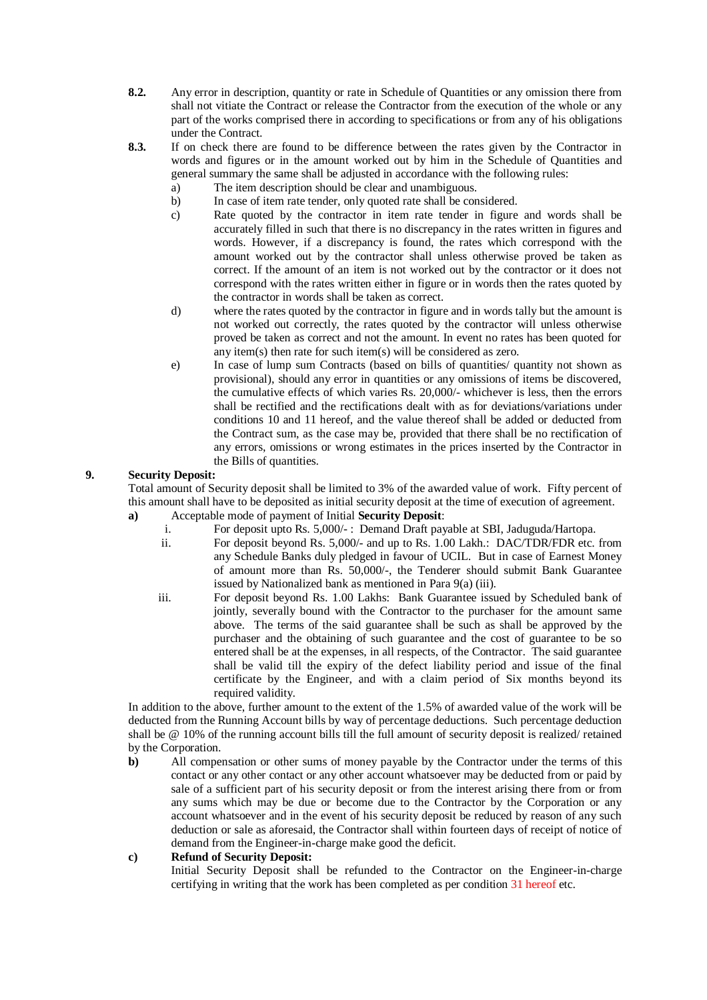- **8.2.** Any error in description, quantity or rate in Schedule of Quantities or any omission there from shall not vitiate the Contract or release the Contractor from the execution of the whole or any part of the works comprised there in according to specifications or from any of his obligations under the Contract.
- **8.3.** If on check there are found to be difference between the rates given by the Contractor in words and figures or in the amount worked out by him in the Schedule of Quantities and general summary the same shall be adjusted in accordance with the following rules:
	- a) The item description should be clear and unambiguous.
	- b) In case of item rate tender, only quoted rate shall be considered.
	- c) Rate quoted by the contractor in item rate tender in figure and words shall be accurately filled in such that there is no discrepancy in the rates written in figures and words. However, if a discrepancy is found, the rates which correspond with the amount worked out by the contractor shall unless otherwise proved be taken as correct. If the amount of an item is not worked out by the contractor or it does not correspond with the rates written either in figure or in words then the rates quoted by the contractor in words shall be taken as correct.
	- d) where the rates quoted by the contractor in figure and in words tally but the amount is not worked out correctly, the rates quoted by the contractor will unless otherwise proved be taken as correct and not the amount. In event no rates has been quoted for any item(s) then rate for such item(s) will be considered as zero.
	- e) In case of lump sum Contracts (based on bills of quantities/ quantity not shown as provisional), should any error in quantities or any omissions of items be discovered, the cumulative effects of which varies Rs. 20,000/- whichever is less, then the errors shall be rectified and the rectifications dealt with as for deviations/variations under conditions 10 and 11 hereof, and the value thereof shall be added or deducted from the Contract sum, as the case may be, provided that there shall be no rectification of any errors, omissions or wrong estimates in the prices inserted by the Contractor in the Bills of quantities.

## **9. Security Deposit:**

Total amount of Security deposit shall be limited to 3% of the awarded value of work. Fifty percent of this amount shall have to be deposited as initial security deposit at the time of execution of agreement. **a)** Acceptable mode of payment of Initial **Security Deposit**:

- i. For deposit upto Rs. 5,000/- : Demand Draft payable at SBI, Jaduguda/Hartopa.
- ii. For deposit beyond Rs. 5,000/- and up to Rs. 1.00 Lakh.: DAC/TDR/FDR etc. from any Schedule Banks duly pledged in favour of UCIL. But in case of Earnest Money of amount more than Rs. 50,000/-, the Tenderer should submit Bank Guarantee issued by Nationalized bank as mentioned in Para 9(a) (iii).
- iii. For deposit beyond Rs. 1.00 Lakhs: Bank Guarantee issued by Scheduled bank of jointly, severally bound with the Contractor to the purchaser for the amount same above. The terms of the said guarantee shall be such as shall be approved by the purchaser and the obtaining of such guarantee and the cost of guarantee to be so entered shall be at the expenses, in all respects, of the Contractor. The said guarantee shall be valid till the expiry of the defect liability period and issue of the final certificate by the Engineer, and with a claim period of Six months beyond its required validity.

In addition to the above, further amount to the extent of the 1.5% of awarded value of the work will be deducted from the Running Account bills by way of percentage deductions. Such percentage deduction shall be @ 10% of the running account bills till the full amount of security deposit is realized/ retained by the Corporation.

**b**) All compensation or other sums of money payable by the Contractor under the terms of this contact or any other contact or any other account whatsoever may be deducted from or paid by sale of a sufficient part of his security deposit or from the interest arising there from or from any sums which may be due or become due to the Contractor by the Corporation or any account whatsoever and in the event of his security deposit be reduced by reason of any such deduction or sale as aforesaid, the Contractor shall within fourteen days of receipt of notice of demand from the Engineer-in-charge make good the deficit.

## **c) Refund of Security Deposit:**

Initial Security Deposit shall be refunded to the Contractor on the Engineer-in-charge certifying in writing that the work has been completed as per condition 31 hereof etc.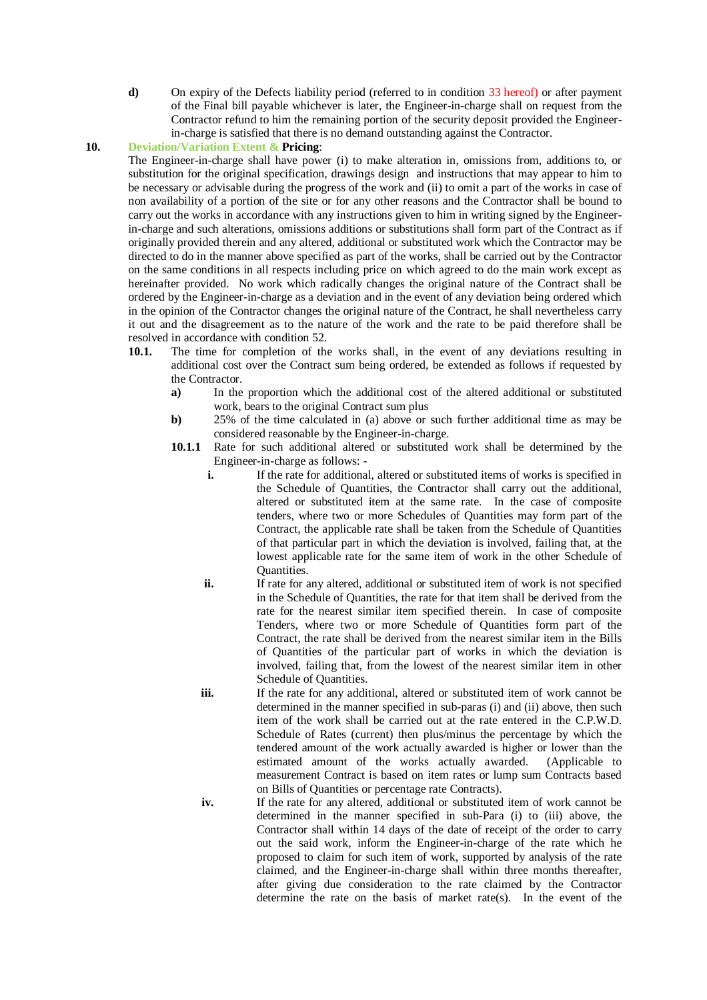**d)** On expiry of the Defects liability period (referred to in condition 33 hereof) or after payment of the Final bill payable whichever is later, the Engineer-in-charge shall on request from the Contractor refund to him the remaining portion of the security deposit provided the Engineerin-charge is satisfied that there is no demand outstanding against the Contractor.

## **10. Deviation/Variation Extent & Pricing**:

The Engineer-in-charge shall have power (i) to make alteration in, omissions from, additions to, or substitution for the original specification, drawings design and instructions that may appear to him to be necessary or advisable during the progress of the work and (ii) to omit a part of the works in case of non availability of a portion of the site or for any other reasons and the Contractor shall be bound to carry out the works in accordance with any instructions given to him in writing signed by the Engineerin-charge and such alterations, omissions additions or substitutions shall form part of the Contract as if originally provided therein and any altered, additional or substituted work which the Contractor may be directed to do in the manner above specified as part of the works, shall be carried out by the Contractor on the same conditions in all respects including price on which agreed to do the main work except as hereinafter provided. No work which radically changes the original nature of the Contract shall be ordered by the Engineer-in-charge as a deviation and in the event of any deviation being ordered which in the opinion of the Contractor changes the original nature of the Contract, he shall nevertheless carry it out and the disagreement as to the nature of the work and the rate to be paid therefore shall be resolved in accordance with condition 52.

- **10.1.** The time for completion of the works shall, in the event of any deviations resulting in additional cost over the Contract sum being ordered, be extended as follows if requested by the Contractor.
	- **a)** In the proportion which the additional cost of the altered additional or substituted work, bears to the original Contract sum plus
	- **b)** 25% of the time calculated in (a) above or such further additional time as may be considered reasonable by the Engineer-in-charge.
	- **10.1.1** Rate for such additional altered or substituted work shall be determined by the Engineer-in-charge as follows:
		- **i.** If the rate for additional, altered or substituted items of works is specified in the Schedule of Quantities, the Contractor shall carry out the additional, altered or substituted item at the same rate. In the case of composite tenders, where two or more Schedules of Quantities may form part of the Contract, the applicable rate shall be taken from the Schedule of Quantities of that particular part in which the deviation is involved, failing that, at the lowest applicable rate for the same item of work in the other Schedule of Quantities.
		- **ii.** If rate for any altered, additional or substituted item of work is not specified in the Schedule of Quantities, the rate for that item shall be derived from the rate for the nearest similar item specified therein. In case of composite Tenders, where two or more Schedule of Quantities form part of the Contract, the rate shall be derived from the nearest similar item in the Bills of Quantities of the particular part of works in which the deviation is involved, failing that, from the lowest of the nearest similar item in other Schedule of Quantities.
		- **iii.** If the rate for any additional, altered or substituted item of work cannot be determined in the manner specified in sub-paras (i) and (ii) above, then such item of the work shall be carried out at the rate entered in the C.P.W.D. Schedule of Rates (current) then plus/minus the percentage by which the tendered amount of the work actually awarded is higher or lower than the estimated amount of the works actually awarded. (Applicable to estimated amount of the works actually awarded. measurement Contract is based on item rates or lump sum Contracts based on Bills of Quantities or percentage rate Contracts).
		-
		- **iv.** If the rate for any altered, additional or substituted item of work cannot be determined in the manner specified in sub-Para (i) to (iii) above, the Contractor shall within 14 days of the date of receipt of the order to carry out the said work, inform the Engineer-in-charge of the rate which he proposed to claim for such item of work, supported by analysis of the rate claimed, and the Engineer-in-charge shall within three months thereafter, after giving due consideration to the rate claimed by the Contractor determine the rate on the basis of market rate(s). In the event of the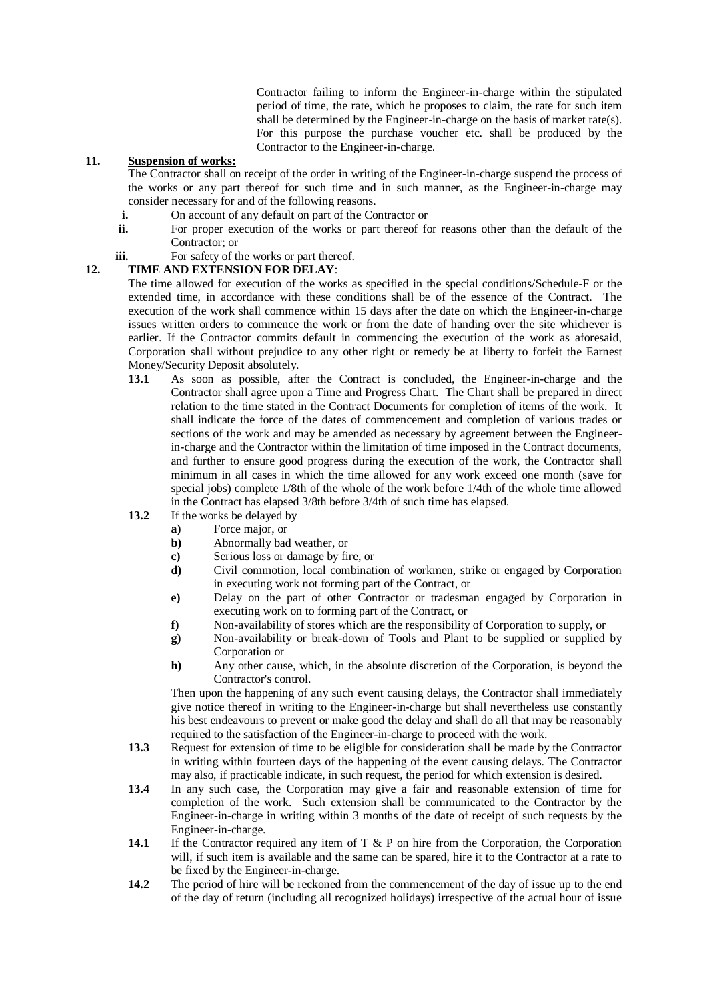Contractor failing to inform the Engineer-in-charge within the stipulated period of time, the rate, which he proposes to claim, the rate for such item shall be determined by the Engineer-in-charge on the basis of market rate(s). For this purpose the purchase voucher etc. shall be produced by the Contractor to the Engineer-in-charge.

## **11. Suspension of works:**

The Contractor shall on receipt of the order in writing of the Engineer-in-charge suspend the process of the works or any part thereof for such time and in such manner, as the Engineer-in-charge may consider necessary for and of the following reasons.

- **i.** On account of any default on part of the Contractor or<br> **ii.** For proper execution of the works or part thereof for
- For proper execution of the works or part thereof for reasons other than the default of the Contractor; or

# **iii.** For safety of the works or part thereof.

## **12. TIME AND EXTENSION FOR DELAY**:

The time allowed for execution of the works as specified in the special conditions/Schedule-F or the extended time, in accordance with these conditions shall be of the essence of the Contract. The execution of the work shall commence within 15 days after the date on which the Engineer-in-charge issues written orders to commence the work or from the date of handing over the site whichever is earlier. If the Contractor commits default in commencing the execution of the work as aforesaid, Corporation shall without prejudice to any other right or remedy be at liberty to forfeit the Earnest Money/Security Deposit absolutely.

- **13.1** As soon as possible, after the Contract is concluded, the Engineer-in-charge and the Contractor shall agree upon a Time and Progress Chart. The Chart shall be prepared in direct relation to the time stated in the Contract Documents for completion of items of the work. It shall indicate the force of the dates of commencement and completion of various trades or sections of the work and may be amended as necessary by agreement between the Engineerin-charge and the Contractor within the limitation of time imposed in the Contract documents, and further to ensure good progress during the execution of the work, the Contractor shall minimum in all cases in which the time allowed for any work exceed one month (save for special jobs) complete 1/8th of the whole of the work before 1/4th of the whole time allowed in the Contract has elapsed 3/8th before 3/4th of such time has elapsed.
- 13.2 If the works be delayed by
	- **a)** Force major, or
	- **b)** Abnormally bad weather, or
	- **c)** Serious loss or damage by fire, or
	- **d)** Civil commotion, local combination of workmen, strike or engaged by Corporation in executing work not forming part of the Contract, or
	- **e)** Delay on the part of other Contractor or tradesman engaged by Corporation in executing work on to forming part of the Contract, or
	- **f)** Non-availability of stores which are the responsibility of Corporation to supply, or
	- **g)** Non-availability or break-down of Tools and Plant to be supplied or supplied by Corporation or
	- **h)** Any other cause, which, in the absolute discretion of the Corporation, is beyond the Contractor's control.

 Then upon the happening of any such event causing delays, the Contractor shall immediately give notice thereof in writing to the Engineer-in-charge but shall nevertheless use constantly his best endeavours to prevent or make good the delay and shall do all that may be reasonably required to the satisfaction of the Engineer-in-charge to proceed with the work.

- **13.3** Request for extension of time to be eligible for consideration shall be made by the Contractor in writing within fourteen days of the happening of the event causing delays. The Contractor may also, if practicable indicate, in such request, the period for which extension is desired.
- **13.4** In any such case, the Corporation may give a fair and reasonable extension of time for completion of the work. Such extension shall be communicated to the Contractor by the Engineer-in-charge in writing within 3 months of the date of receipt of such requests by the Engineer-in-charge.
- **14.1** If the Contractor required any item of T & P on hire from the Corporation, the Corporation will, if such item is available and the same can be spared, hire it to the Contractor at a rate to be fixed by the Engineer-in-charge.
- **14.2** The period of hire will be reckoned from the commencement of the day of issue up to the end of the day of return (including all recognized holidays) irrespective of the actual hour of issue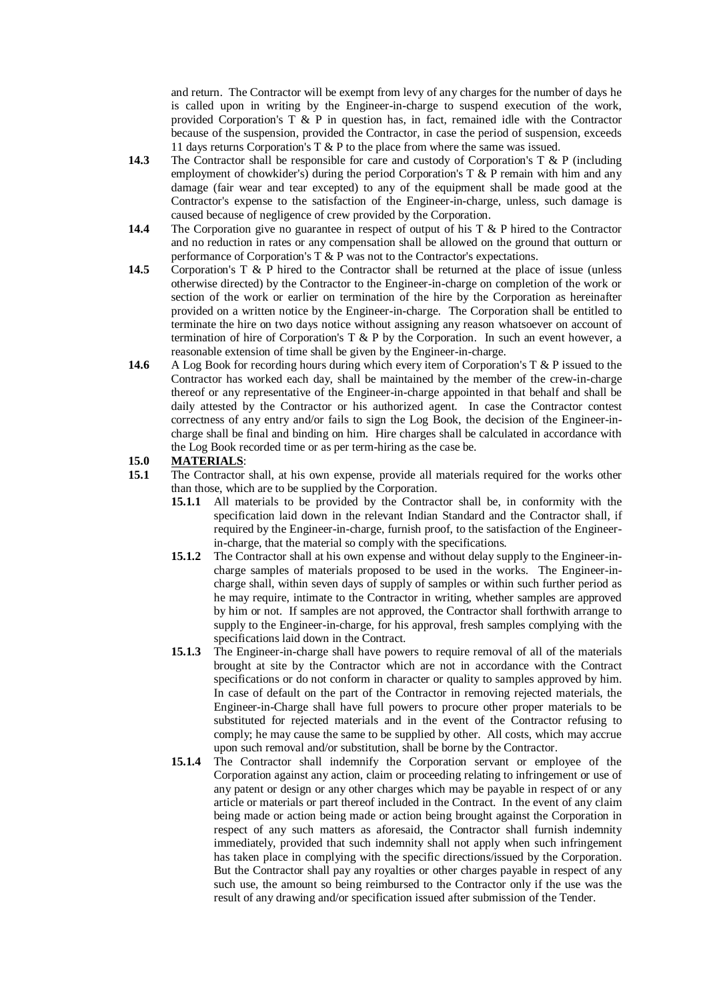and return. The Contractor will be exempt from levy of any charges for the number of days he is called upon in writing by the Engineer-in-charge to suspend execution of the work, provided Corporation's T  $\&$  P in question has, in fact, remained idle with the Contractor because of the suspension, provided the Contractor, in case the period of suspension, exceeds 11 days returns Corporation's T & P to the place from where the same was issued.

- **14.3** The Contractor shall be responsible for care and custody of Corporation's T & P (including employment of chowkider's) during the period Corporation's T  $\&$  P remain with him and any damage (fair wear and tear excepted) to any of the equipment shall be made good at the Contractor's expense to the satisfaction of the Engineer-in-charge, unless, such damage is caused because of negligence of crew provided by the Corporation.
- **14.4** The Corporation give no guarantee in respect of output of his T & P hired to the Contractor and no reduction in rates or any compensation shall be allowed on the ground that outturn or performance of Corporation's T & P was not to the Contractor's expectations.
- **14.5** Corporation's T & P hired to the Contractor shall be returned at the place of issue (unless otherwise directed) by the Contractor to the Engineer-in-charge on completion of the work or section of the work or earlier on termination of the hire by the Corporation as hereinafter provided on a written notice by the Engineer-in-charge. The Corporation shall be entitled to terminate the hire on two days notice without assigning any reason whatsoever on account of termination of hire of Corporation's T & P by the Corporation. In such an event however, a reasonable extension of time shall be given by the Engineer-in-charge.
- **14.6** A Log Book for recording hours during which every item of Corporation's T & P issued to the Contractor has worked each day, shall be maintained by the member of the crew-in-charge thereof or any representative of the Engineer-in-charge appointed in that behalf and shall be daily attested by the Contractor or his authorized agent. In case the Contractor contest correctness of any entry and/or fails to sign the Log Book, the decision of the Engineer-incharge shall be final and binding on him. Hire charges shall be calculated in accordance with the Log Book recorded time or as per term-hiring as the case be.

# **15.0 MATERIALS**:

- **15.1** The Contractor shall, at his own expense, provide all materials required for the works other than those, which are to be supplied by the Corporation.
	- **15.1.1** All materials to be provided by the Contractor shall be, in conformity with the specification laid down in the relevant Indian Standard and the Contractor shall, if required by the Engineer-in-charge, furnish proof, to the satisfaction of the Engineerin-charge, that the material so comply with the specifications.
	- **15.1.2** The Contractor shall at his own expense and without delay supply to the Engineer-incharge samples of materials proposed to be used in the works. The Engineer-incharge shall, within seven days of supply of samples or within such further period as he may require, intimate to the Contractor in writing, whether samples are approved by him or not. If samples are not approved, the Contractor shall forthwith arrange to supply to the Engineer-in-charge, for his approval, fresh samples complying with the specifications laid down in the Contract.
	- **15.1.3** The Engineer-in-charge shall have powers to require removal of all of the materials brought at site by the Contractor which are not in accordance with the Contract specifications or do not conform in character or quality to samples approved by him. In case of default on the part of the Contractor in removing rejected materials, the Engineer-in-Charge shall have full powers to procure other proper materials to be substituted for rejected materials and in the event of the Contractor refusing to comply; he may cause the same to be supplied by other. All costs, which may accrue upon such removal and/or substitution, shall be borne by the Contractor.
	- **15.1.4** The Contractor shall indemnify the Corporation servant or employee of the Corporation against any action, claim or proceeding relating to infringement or use of any patent or design or any other charges which may be payable in respect of or any article or materials or part thereof included in the Contract. In the event of any claim being made or action being made or action being brought against the Corporation in respect of any such matters as aforesaid, the Contractor shall furnish indemnity immediately, provided that such indemnity shall not apply when such infringement has taken place in complying with the specific directions/issued by the Corporation. But the Contractor shall pay any royalties or other charges payable in respect of any such use, the amount so being reimbursed to the Contractor only if the use was the result of any drawing and/or specification issued after submission of the Tender.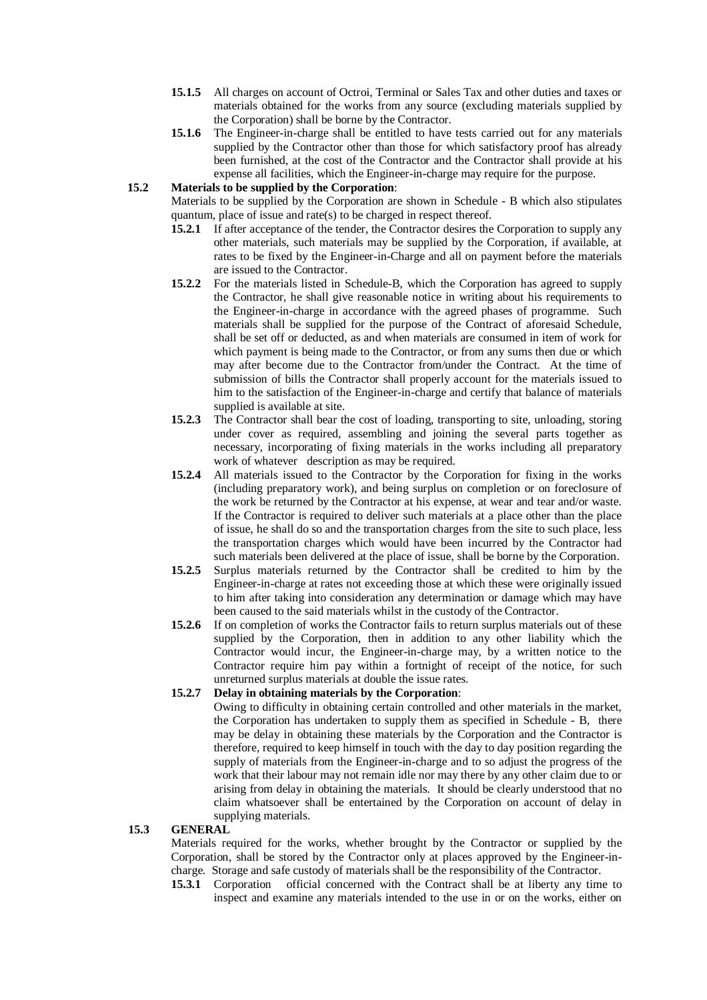- **15.1.5** All charges on account of Octroi, Terminal or Sales Tax and other duties and taxes or materials obtained for the works from any source (excluding materials supplied by the Corporation) shall be borne by the Contractor.
- **15.1.6** The Engineer-in-charge shall be entitled to have tests carried out for any materials supplied by the Contractor other than those for which satisfactory proof has already been furnished, at the cost of the Contractor and the Contractor shall provide at his expense all facilities, which the Engineer-in-charge may require for the purpose.

## **15.2 Materials to be supplied by the Corporation**:

Materials to be supplied by the Corporation are shown in Schedule - B which also stipulates quantum, place of issue and rate(s) to be charged in respect thereof.

- **15.2.1** If after acceptance of the tender, the Contractor desires the Corporation to supply any other materials, such materials may be supplied by the Corporation, if available, at rates to be fixed by the Engineer-in-Charge and all on payment before the materials are issued to the Contractor.
- **15.2.2** For the materials listed in Schedule-B, which the Corporation has agreed to supply the Contractor, he shall give reasonable notice in writing about his requirements to the Engineer-in-charge in accordance with the agreed phases of programme. Such materials shall be supplied for the purpose of the Contract of aforesaid Schedule, shall be set off or deducted, as and when materials are consumed in item of work for which payment is being made to the Contractor, or from any sums then due or which may after become due to the Contractor from/under the Contract. At the time of submission of bills the Contractor shall properly account for the materials issued to him to the satisfaction of the Engineer-in-charge and certify that balance of materials supplied is available at site.
- **15.2.3** The Contractor shall bear the cost of loading, transporting to site, unloading, storing under cover as required, assembling and joining the several parts together as necessary, incorporating of fixing materials in the works including all preparatory work of whatever description as may be required.
- **15.2.4** All materials issued to the Contractor by the Corporation for fixing in the works (including preparatory work), and being surplus on completion or on foreclosure of the work be returned by the Contractor at his expense, at wear and tear and/or waste. If the Contractor is required to deliver such materials at a place other than the place of issue, he shall do so and the transportation charges from the site to such place, less the transportation charges which would have been incurred by the Contractor had such materials been delivered at the place of issue, shall be borne by the Corporation.
- **15.2.5** Surplus materials returned by the Contractor shall be credited to him by the Engineer-in-charge at rates not exceeding those at which these were originally issued to him after taking into consideration any determination or damage which may have been caused to the said materials whilst in the custody of the Contractor.
- **15.2.6** If on completion of works the Contractor fails to return surplus materials out of these supplied by the Corporation, then in addition to any other liability which the Contractor would incur, the Engineer-in-charge may, by a written notice to the Contractor require him pay within a fortnight of receipt of the notice, for such unreturned surplus materials at double the issue rates.

## **15.2.7 Delay in obtaining materials by the Corporation**:

Owing to difficulty in obtaining certain controlled and other materials in the market, the Corporation has undertaken to supply them as specified in Schedule - B, there may be delay in obtaining these materials by the Corporation and the Contractor is therefore, required to keep himself in touch with the day to day position regarding the supply of materials from the Engineer-in-charge and to so adjust the progress of the work that their labour may not remain idle nor may there by any other claim due to or arising from delay in obtaining the materials. It should be clearly understood that no claim whatsoever shall be entertained by the Corporation on account of delay in supplying materials.

## **15.3 GENERAL**

Materials required for the works, whether brought by the Contractor or supplied by the Corporation, shall be stored by the Contractor only at places approved by the Engineer-incharge. Storage and safe custody of materials shall be the responsibility of the Contractor.

**15.3.1** Corporation official concerned with the Contract shall be at liberty any time to inspect and examine any materials intended to the use in or on the works, either on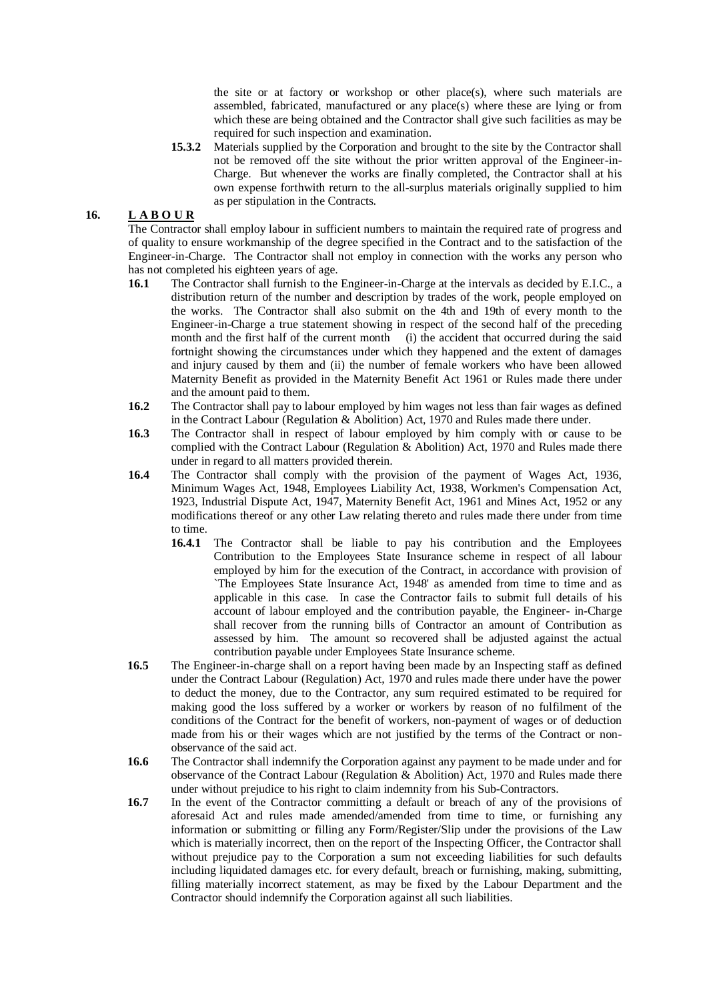the site or at factory or workshop or other place(s), where such materials are assembled, fabricated, manufactured or any place(s) where these are lying or from which these are being obtained and the Contractor shall give such facilities as may be required for such inspection and examination.

**15.3.2** Materials supplied by the Corporation and brought to the site by the Contractor shall not be removed off the site without the prior written approval of the Engineer-in-Charge. But whenever the works are finally completed, the Contractor shall at his own expense forthwith return to the all-surplus materials originally supplied to him as per stipulation in the Contracts.

## **16. L A B O U R**

The Contractor shall employ labour in sufficient numbers to maintain the required rate of progress and of quality to ensure workmanship of the degree specified in the Contract and to the satisfaction of the Engineer-in-Charge. The Contractor shall not employ in connection with the works any person who has not completed his eighteen years of age.

- **16.1** The Contractor shall furnish to the Engineer-in-Charge at the intervals as decided by E.I.C., a distribution return of the number and description by trades of the work, people employed on the works. The Contractor shall also submit on the 4th and 19th of every month to the Engineer-in-Charge a true statement showing in respect of the second half of the preceding month and the first half of the current month (i) the accident that occurred during the said fortnight showing the circumstances under which they happened and the extent of damages and injury caused by them and (ii) the number of female workers who have been allowed Maternity Benefit as provided in the Maternity Benefit Act 1961 or Rules made there under and the amount paid to them.
- **16.2** The Contractor shall pay to labour employed by him wages not less than fair wages as defined in the Contract Labour (Regulation & Abolition) Act, 1970 and Rules made there under.
- **16.3** The Contractor shall in respect of labour employed by him comply with or cause to be complied with the Contract Labour (Regulation & Abolition) Act, 1970 and Rules made there under in regard to all matters provided therein.
- **16.4** The Contractor shall comply with the provision of the payment of Wages Act, 1936, Minimum Wages Act, 1948, Employees Liability Act, 1938, Workmen's Compensation Act, 1923, Industrial Dispute Act, 1947, Maternity Benefit Act, 1961 and Mines Act, 1952 or any modifications thereof or any other Law relating thereto and rules made there under from time to time.
	- **16.4.1** The Contractor shall be liable to pay his contribution and the Employees Contribution to the Employees State Insurance scheme in respect of all labour employed by him for the execution of the Contract, in accordance with provision of `The Employees State Insurance Act, 1948' as amended from time to time and as applicable in this case. In case the Contractor fails to submit full details of his account of labour employed and the contribution payable, the Engineer- in-Charge shall recover from the running bills of Contractor an amount of Contribution as assessed by him. The amount so recovered shall be adjusted against the actual contribution payable under Employees State Insurance scheme.
- **16.5** The Engineer-in-charge shall on a report having been made by an Inspecting staff as defined under the Contract Labour (Regulation) Act, 1970 and rules made there under have the power to deduct the money, due to the Contractor, any sum required estimated to be required for making good the loss suffered by a worker or workers by reason of no fulfilment of the conditions of the Contract for the benefit of workers, non-payment of wages or of deduction made from his or their wages which are not justified by the terms of the Contract or nonobservance of the said act.
- **16.6** The Contractor shall indemnify the Corporation against any payment to be made under and for observance of the Contract Labour (Regulation & Abolition) Act, 1970 and Rules made there under without prejudice to his right to claim indemnity from his Sub-Contractors.
- **16.7** In the event of the Contractor committing a default or breach of any of the provisions of aforesaid Act and rules made amended/amended from time to time, or furnishing any information or submitting or filling any Form/Register/Slip under the provisions of the Law which is materially incorrect, then on the report of the Inspecting Officer, the Contractor shall without prejudice pay to the Corporation a sum not exceeding liabilities for such defaults including liquidated damages etc. for every default, breach or furnishing, making, submitting, filling materially incorrect statement, as may be fixed by the Labour Department and the Contractor should indemnify the Corporation against all such liabilities.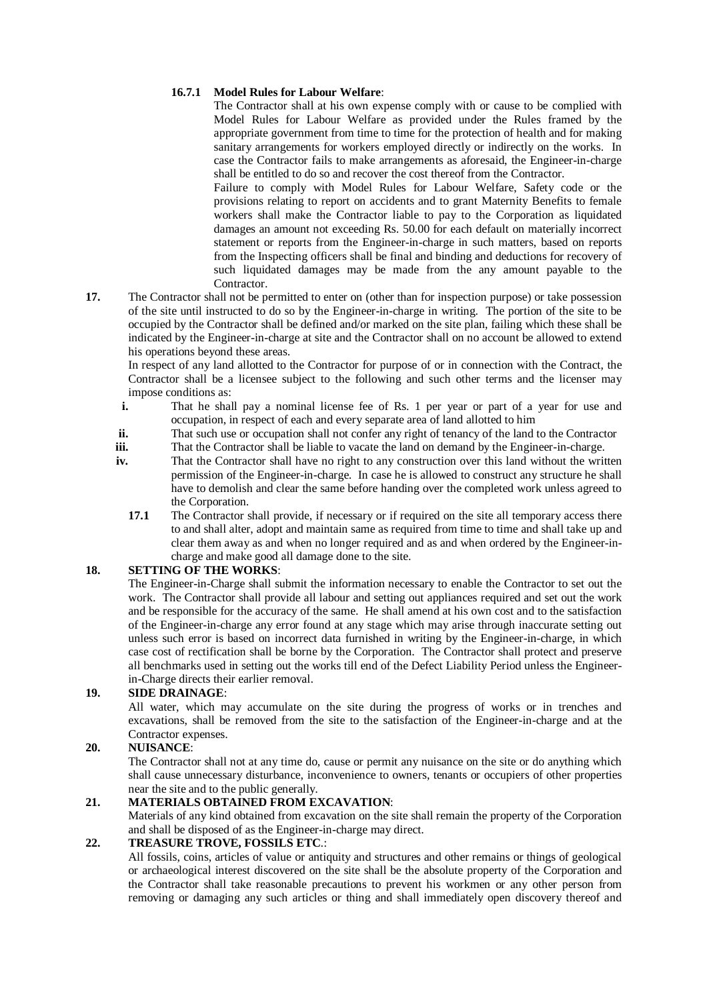## **16.7.1 Model Rules for Labour Welfare**:

The Contractor shall at his own expense comply with or cause to be complied with Model Rules for Labour Welfare as provided under the Rules framed by the appropriate government from time to time for the protection of health and for making sanitary arrangements for workers employed directly or indirectly on the works. In case the Contractor fails to make arrangements as aforesaid, the Engineer-in-charge shall be entitled to do so and recover the cost thereof from the Contractor.

 Failure to comply with Model Rules for Labour Welfare, Safety code or the provisions relating to report on accidents and to grant Maternity Benefits to female workers shall make the Contractor liable to pay to the Corporation as liquidated damages an amount not exceeding Rs. 50.00 for each default on materially incorrect statement or reports from the Engineer-in-charge in such matters, based on reports from the Inspecting officers shall be final and binding and deductions for recovery of such liquidated damages may be made from the any amount payable to the Contractor.

**17.** The Contractor shall not be permitted to enter on (other than for inspection purpose) or take possession of the site until instructed to do so by the Engineer-in-charge in writing. The portion of the site to be occupied by the Contractor shall be defined and/or marked on the site plan, failing which these shall be indicated by the Engineer-in-charge at site and the Contractor shall on no account be allowed to extend his operations beyond these areas.

 In respect of any land allotted to the Contractor for purpose of or in connection with the Contract, the Contractor shall be a licensee subject to the following and such other terms and the licenser may impose conditions as:

- **i.** That he shall pay a nominal license fee of Rs. 1 per year or part of a year for use and occupation, in respect of each and every separate area of land allotted to him
- **ii.** That such use or occupation shall not confer any right of tenancy of the land to the Contractor<br> **iii.** That the Contractor shall be liable to vacate the land on demand by the Engineer-in-charge.
- **iii.** That the Contractor shall be liable to vacate the land on demand by the Engineer-in-charge.<br> **iv.** That the Contractor shall have no right to any construction over this land without the writ
- That the Contractor shall have no right to any construction over this land without the written permission of the Engineer-in-charge. In case he is allowed to construct any structure he shall have to demolish and clear the same before handing over the completed work unless agreed to the Corporation.
	- **17.1** The Contractor shall provide, if necessary or if required on the site all temporary access there to and shall alter, adopt and maintain same as required from time to time and shall take up and clear them away as and when no longer required and as and when ordered by the Engineer-incharge and make good all damage done to the site.

## **18. SETTING OF THE WORKS**:

The Engineer-in-Charge shall submit the information necessary to enable the Contractor to set out the work. The Contractor shall provide all labour and setting out appliances required and set out the work and be responsible for the accuracy of the same. He shall amend at his own cost and to the satisfaction of the Engineer-in-charge any error found at any stage which may arise through inaccurate setting out unless such error is based on incorrect data furnished in writing by the Engineer-in-charge, in which case cost of rectification shall be borne by the Corporation. The Contractor shall protect and preserve all benchmarks used in setting out the works till end of the Defect Liability Period unless the Engineerin-Charge directs their earlier removal.

## **19. SIDE DRAINAGE**:

All water, which may accumulate on the site during the progress of works or in trenches and excavations, shall be removed from the site to the satisfaction of the Engineer-in-charge and at the Contractor expenses.

## **20. NUISANCE**:

The Contractor shall not at any time do, cause or permit any nuisance on the site or do anything which shall cause unnecessary disturbance, inconvenience to owners, tenants or occupiers of other properties near the site and to the public generally.

## **21. MATERIALS OBTAINED FROM EXCAVATION**:

Materials of any kind obtained from excavation on the site shall remain the property of the Corporation and shall be disposed of as the Engineer-in-charge may direct.

## **22. TREASURE TROVE, FOSSILS ETC**.:

All fossils, coins, articles of value or antiquity and structures and other remains or things of geological or archaeological interest discovered on the site shall be the absolute property of the Corporation and the Contractor shall take reasonable precautions to prevent his workmen or any other person from removing or damaging any such articles or thing and shall immediately open discovery thereof and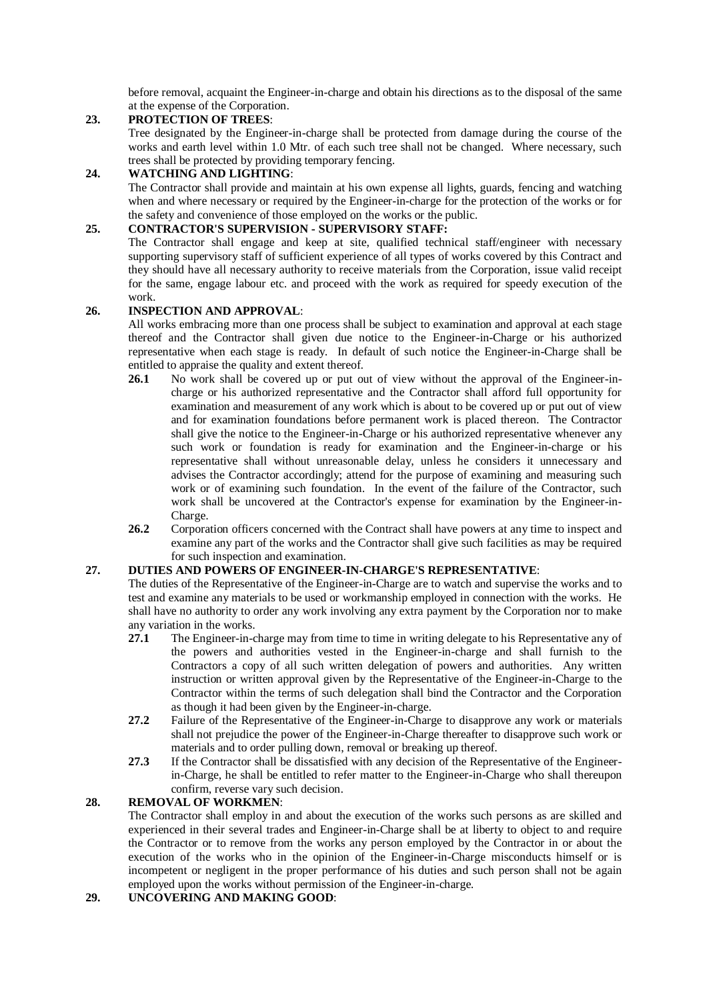before removal, acquaint the Engineer-in-charge and obtain his directions as to the disposal of the same at the expense of the Corporation.

## **23. PROTECTION OF TREES**:

Tree designated by the Engineer-in-charge shall be protected from damage during the course of the works and earth level within 1.0 Mtr. of each such tree shall not be changed. Where necessary, such trees shall be protected by providing temporary fencing.

## **24. WATCHING AND LIGHTING**:

The Contractor shall provide and maintain at his own expense all lights, guards, fencing and watching when and where necessary or required by the Engineer-in-charge for the protection of the works or for the safety and convenience of those employed on the works or the public.

## **25. CONTRACTOR'S SUPERVISION - SUPERVISORY STAFF:**

The Contractor shall engage and keep at site, qualified technical staff/engineer with necessary supporting supervisory staff of sufficient experience of all types of works covered by this Contract and they should have all necessary authority to receive materials from the Corporation, issue valid receipt for the same, engage labour etc. and proceed with the work as required for speedy execution of the work.

## **26. INSPECTION AND APPROVAL**:

All works embracing more than one process shall be subject to examination and approval at each stage thereof and the Contractor shall given due notice to the Engineer-in-Charge or his authorized representative when each stage is ready. In default of such notice the Engineer-in-Charge shall be entitled to appraise the quality and extent thereof.

- **26.1** No work shall be covered up or put out of view without the approval of the Engineer-incharge or his authorized representative and the Contractor shall afford full opportunity for examination and measurement of any work which is about to be covered up or put out of view and for examination foundations before permanent work is placed thereon. The Contractor shall give the notice to the Engineer-in-Charge or his authorized representative whenever any such work or foundation is ready for examination and the Engineer-in-charge or his representative shall without unreasonable delay, unless he considers it unnecessary and advises the Contractor accordingly; attend for the purpose of examining and measuring such work or of examining such foundation. In the event of the failure of the Contractor, such work shall be uncovered at the Contractor's expense for examination by the Engineer-in-Charge.
- **26.2** Corporation officers concerned with the Contract shall have powers at any time to inspect and examine any part of the works and the Contractor shall give such facilities as may be required for such inspection and examination.

## **27. DUTIES AND POWERS OF ENGINEER-IN-CHARGE'S REPRESENTATIVE**:

The duties of the Representative of the Engineer-in-Charge are to watch and supervise the works and to test and examine any materials to be used or workmanship employed in connection with the works. He shall have no authority to order any work involving any extra payment by the Corporation nor to make any variation in the works.

- **27.1** The Engineer-in-charge may from time to time in writing delegate to his Representative any of the powers and authorities vested in the Engineer-in-charge and shall furnish to the Contractors a copy of all such written delegation of powers and authorities. Any written instruction or written approval given by the Representative of the Engineer-in-Charge to the Contractor within the terms of such delegation shall bind the Contractor and the Corporation as though it had been given by the Engineer-in-charge.
- **27.2** Failure of the Representative of the Engineer-in-Charge to disapprove any work or materials shall not prejudice the power of the Engineer-in-Charge thereafter to disapprove such work or materials and to order pulling down, removal or breaking up thereof.
- **27.3** If the Contractor shall be dissatisfied with any decision of the Representative of the Engineerin-Charge, he shall be entitled to refer matter to the Engineer-in-Charge who shall thereupon confirm, reverse vary such decision.

# **28. REMOVAL OF WORKMEN**:

The Contractor shall employ in and about the execution of the works such persons as are skilled and experienced in their several trades and Engineer-in-Charge shall be at liberty to object to and require the Contractor or to remove from the works any person employed by the Contractor in or about the execution of the works who in the opinion of the Engineer-in-Charge misconducts himself or is incompetent or negligent in the proper performance of his duties and such person shall not be again employed upon the works without permission of the Engineer-in-charge.

## **29. UNCOVERING AND MAKING GOOD**: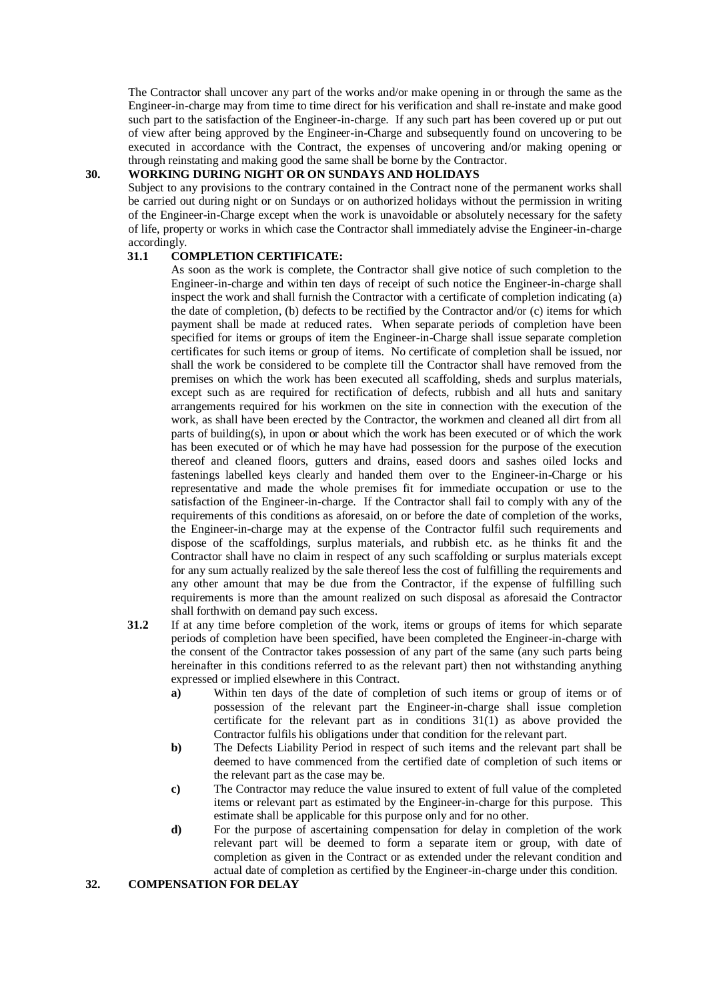The Contractor shall uncover any part of the works and/or make opening in or through the same as the Engineer-in-charge may from time to time direct for his verification and shall re-instate and make good such part to the satisfaction of the Engineer-in-charge. If any such part has been covered up or put out of view after being approved by the Engineer-in-Charge and subsequently found on uncovering to be executed in accordance with the Contract, the expenses of uncovering and/or making opening or through reinstating and making good the same shall be borne by the Contractor.

# **30. WORKING DURING NIGHT OR ON SUNDAYS AND HOLIDAYS**

Subject to any provisions to the contrary contained in the Contract none of the permanent works shall be carried out during night or on Sundays or on authorized holidays without the permission in writing of the Engineer-in-Charge except when the work is unavoidable or absolutely necessary for the safety of life, property or works in which case the Contractor shall immediately advise the Engineer-in-charge accordingly.

#### **31.1 COMPLETION CERTIFICATE:**

As soon as the work is complete, the Contractor shall give notice of such completion to the Engineer-in-charge and within ten days of receipt of such notice the Engineer-in-charge shall inspect the work and shall furnish the Contractor with a certificate of completion indicating (a) the date of completion, (b) defects to be rectified by the Contractor and/or (c) items for which payment shall be made at reduced rates. When separate periods of completion have been specified for items or groups of item the Engineer-in-Charge shall issue separate completion certificates for such items or group of items. No certificate of completion shall be issued, nor shall the work be considered to be complete till the Contractor shall have removed from the premises on which the work has been executed all scaffolding, sheds and surplus materials, except such as are required for rectification of defects, rubbish and all huts and sanitary arrangements required for his workmen on the site in connection with the execution of the work, as shall have been erected by the Contractor, the workmen and cleaned all dirt from all parts of building(s), in upon or about which the work has been executed or of which the work has been executed or of which he may have had possession for the purpose of the execution thereof and cleaned floors, gutters and drains, eased doors and sashes oiled locks and fastenings labelled keys clearly and handed them over to the Engineer-in-Charge or his representative and made the whole premises fit for immediate occupation or use to the satisfaction of the Engineer-in-charge. If the Contractor shall fail to comply with any of the requirements of this conditions as aforesaid, on or before the date of completion of the works, the Engineer-in-charge may at the expense of the Contractor fulfil such requirements and dispose of the scaffoldings, surplus materials, and rubbish etc. as he thinks fit and the Contractor shall have no claim in respect of any such scaffolding or surplus materials except for any sum actually realized by the sale thereof less the cost of fulfilling the requirements and any other amount that may be due from the Contractor, if the expense of fulfilling such requirements is more than the amount realized on such disposal as aforesaid the Contractor shall forthwith on demand pay such excess.

- **31.2** If at any time before completion of the work, items or groups of items for which separate periods of completion have been specified, have been completed the Engineer-in-charge with the consent of the Contractor takes possession of any part of the same (any such parts being hereinafter in this conditions referred to as the relevant part) then not withstanding anything expressed or implied elsewhere in this Contract.
	- **a)** Within ten days of the date of completion of such items or group of items or of possession of the relevant part the Engineer-in-charge shall issue completion certificate for the relevant part as in conditions 31(1) as above provided the Contractor fulfils his obligations under that condition for the relevant part.
	- **b**) The Defects Liability Period in respect of such items and the relevant part shall be deemed to have commenced from the certified date of completion of such items or the relevant part as the case may be.
	- **c)** The Contractor may reduce the value insured to extent of full value of the completed items or relevant part as estimated by the Engineer-in-charge for this purpose. This estimate shall be applicable for this purpose only and for no other.
	- **d)** For the purpose of ascertaining compensation for delay in completion of the work relevant part will be deemed to form a separate item or group, with date of completion as given in the Contract or as extended under the relevant condition and actual date of completion as certified by the Engineer-in-charge under this condition.

## **32. COMPENSATION FOR DELAY**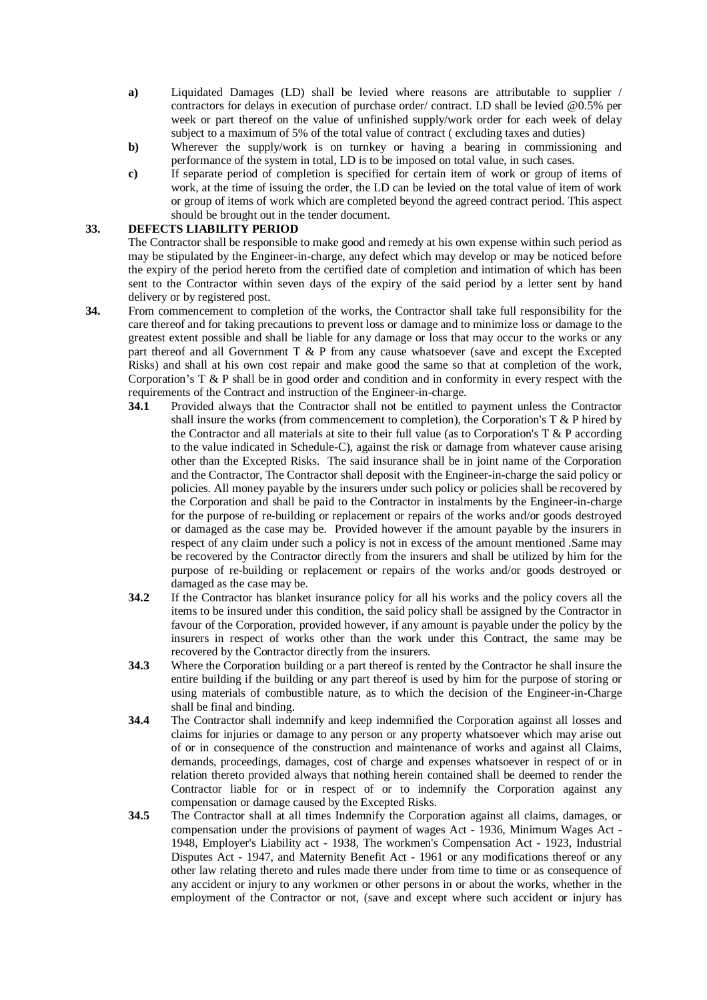- **a)** Liquidated Damages (LD) shall be levied where reasons are attributable to supplier / contractors for delays in execution of purchase order/ contract. LD shall be levied [@0.5%](mailto:@0.5%) per week or part thereof on the value of unfinished supply/work order for each week of delay subject to a maximum of 5% of the total value of contract ( excluding taxes and duties)
- **b)** Wherever the supply/work is on turnkey or having a bearing in commissioning and performance of the system in total, LD is to be imposed on total value, in such cases.
- **c)** If separate period of completion is specified for certain item of work or group of items of work, at the time of issuing the order, the LD can be levied on the total value of item of work or group of items of work which are completed beyond the agreed contract period. This aspect should be brought out in the tender document.

## **33. DEFECTS LIABILITY PERIOD**

The Contractor shall be responsible to make good and remedy at his own expense within such period as may be stipulated by the Engineer-in-charge, any defect which may develop or may be noticed before the expiry of the period hereto from the certified date of completion and intimation of which has been sent to the Contractor within seven days of the expiry of the said period by a letter sent by hand delivery or by registered post.

- **34.** From commencement to completion of the works, the Contractor shall take full responsibility for the care thereof and for taking precautions to prevent loss or damage and to minimize loss or damage to the greatest extent possible and shall be liable for any damage or loss that may occur to the works or any part thereof and all Government T & P from any cause whatsoever (save and except the Excepted Risks) and shall at his own cost repair and make good the same so that at completion of the work, Corporation's T & P shall be in good order and condition and in conformity in every respect with the requirements of the Contract and instruction of the Engineer-in-charge.
	- **34.1** Provided always that the Contractor shall not be entitled to payment unless the Contractor shall insure the works (from commencement to completion), the Corporation's  $T \& P$  hired by the Contractor and all materials at site to their full value (as to Corporation's  $T \& P$  according to the value indicated in Schedule-C), against the risk or damage from whatever cause arising other than the Excepted Risks. The said insurance shall be in joint name of the Corporation and the Contractor, The Contractor shall deposit with the Engineer-in-charge the said policy or policies. All money payable by the insurers under such policy or policies shall be recovered by the Corporation and shall be paid to the Contractor in instalments by the Engineer-in-charge for the purpose of re-building or replacement or repairs of the works and/or goods destroyed or damaged as the case may be. Provided however if the amount payable by the insurers in respect of any claim under such a policy is not in excess of the amount mentioned .Same may be recovered by the Contractor directly from the insurers and shall be utilized by him for the purpose of re-building or replacement or repairs of the works and/or goods destroyed or damaged as the case may be.
	- **34.2** If the Contractor has blanket insurance policy for all his works and the policy covers all the items to be insured under this condition, the said policy shall be assigned by the Contractor in favour of the Corporation, provided however, if any amount is payable under the policy by the insurers in respect of works other than the work under this Contract, the same may be recovered by the Contractor directly from the insurers.
	- **34.3** Where the Corporation building or a part thereof is rented by the Contractor he shall insure the entire building if the building or any part thereof is used by him for the purpose of storing or using materials of combustible nature, as to which the decision of the Engineer-in-Charge shall be final and binding.
	- **34.4** The Contractor shall indemnify and keep indemnified the Corporation against all losses and claims for injuries or damage to any person or any property whatsoever which may arise out of or in consequence of the construction and maintenance of works and against all Claims, demands, proceedings, damages, cost of charge and expenses whatsoever in respect of or in relation thereto provided always that nothing herein contained shall be deemed to render the Contractor liable for or in respect of or to indemnify the Corporation against any compensation or damage caused by the Excepted Risks.
	- **34.5** The Contractor shall at all times Indemnify the Corporation against all claims, damages, or compensation under the provisions of payment of wages Act - 1936, Minimum Wages Act - 1948, Employer's Liability act - 1938, The workmen's Compensation Act - 1923, Industrial Disputes Act - 1947, and Maternity Benefit Act - 1961 or any modifications thereof or any other law relating thereto and rules made there under from time to time or as consequence of any accident or injury to any workmen or other persons in or about the works, whether in the employment of the Contractor or not, (save and except where such accident or injury has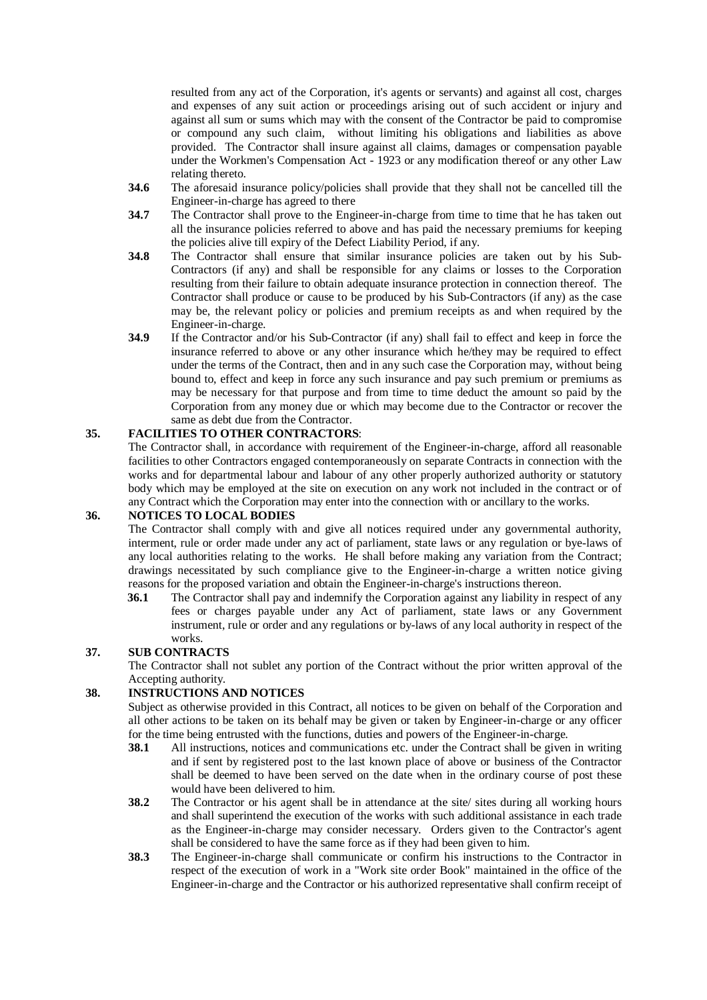resulted from any act of the Corporation, it's agents or servants) and against all cost, charges and expenses of any suit action or proceedings arising out of such accident or injury and against all sum or sums which may with the consent of the Contractor be paid to compromise or compound any such claim, without limiting his obligations and liabilities as above provided. The Contractor shall insure against all claims, damages or compensation payable under the Workmen's Compensation Act - 1923 or any modification thereof or any other Law relating thereto.

- **34.6** The aforesaid insurance policy/policies shall provide that they shall not be cancelled till the Engineer-in-charge has agreed to there
- **34.7** The Contractor shall prove to the Engineer-in-charge from time to time that he has taken out all the insurance policies referred to above and has paid the necessary premiums for keeping the policies alive till expiry of the Defect Liability Period, if any.
- **34.8** The Contractor shall ensure that similar insurance policies are taken out by his Sub-Contractors (if any) and shall be responsible for any claims or losses to the Corporation resulting from their failure to obtain adequate insurance protection in connection thereof. The Contractor shall produce or cause to be produced by his Sub-Contractors (if any) as the case may be, the relevant policy or policies and premium receipts as and when required by the Engineer-in-charge.
- **34.9** If the Contractor and/or his Sub-Contractor (if any) shall fail to effect and keep in force the insurance referred to above or any other insurance which he/they may be required to effect under the terms of the Contract, then and in any such case the Corporation may, without being bound to, effect and keep in force any such insurance and pay such premium or premiums as may be necessary for that purpose and from time to time deduct the amount so paid by the Corporation from any money due or which may become due to the Contractor or recover the same as debt due from the Contractor.

## **35. FACILITIES TO OTHER CONTRACTORS**:

The Contractor shall, in accordance with requirement of the Engineer-in-charge, afford all reasonable facilities to other Contractors engaged contemporaneously on separate Contracts in connection with the works and for departmental labour and labour of any other properly authorized authority or statutory body which may be employed at the site on execution on any work not included in the contract or of any Contract which the Corporation may enter into the connection with or ancillary to the works.

## **36. NOTICES TO LOCAL BODIES**

The Contractor shall comply with and give all notices required under any governmental authority, interment, rule or order made under any act of parliament, state laws or any regulation or bye-laws of any local authorities relating to the works. He shall before making any variation from the Contract; drawings necessitated by such compliance give to the Engineer-in-charge a written notice giving reasons for the proposed variation and obtain the Engineer-in-charge's instructions thereon.

**36.1** The Contractor shall pay and indemnify the Corporation against any liability in respect of any fees or charges payable under any Act of parliament, state laws or any Government instrument, rule or order and any regulations or by-laws of any local authority in respect of the works.

## **37. SUB CONTRACTS**

The Contractor shall not sublet any portion of the Contract without the prior written approval of the Accepting authority.

## **38. INSTRUCTIONS AND NOTICES**

Subject as otherwise provided in this Contract, all notices to be given on behalf of the Corporation and all other actions to be taken on its behalf may be given or taken by Engineer-in-charge or any officer for the time being entrusted with the functions, duties and powers of the Engineer-in-charge.<br> **38.1** All instructions, notices and communications etc. under the Contract shall be given

- **38.1** All instructions, notices and communications etc. under the Contract shall be given in writing and if sent by registered post to the last known place of above or business of the Contractor shall be deemed to have been served on the date when in the ordinary course of post these would have been delivered to him.
- **38.2** The Contractor or his agent shall be in attendance at the site/ sites during all working hours and shall superintend the execution of the works with such additional assistance in each trade as the Engineer-in-charge may consider necessary. Orders given to the Contractor's agent shall be considered to have the same force as if they had been given to him.
- **38.3** The Engineer-in-charge shall communicate or confirm his instructions to the Contractor in respect of the execution of work in a "Work site order Book" maintained in the office of the Engineer-in-charge and the Contractor or his authorized representative shall confirm receipt of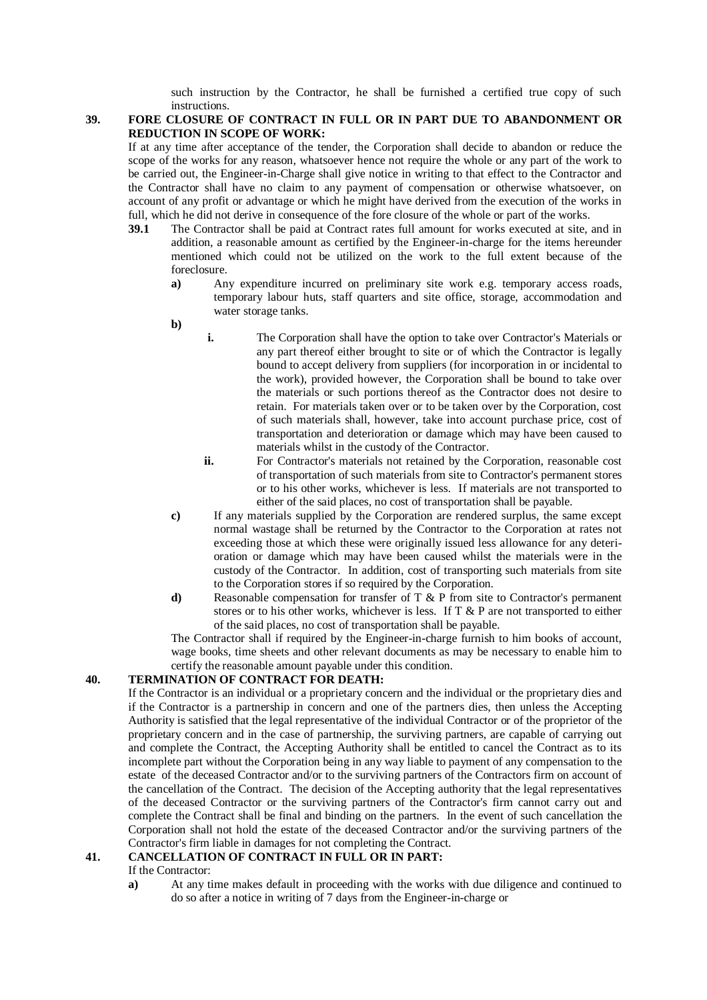such instruction by the Contractor, he shall be furnished a certified true copy of such instructions.

#### **39. FORE CLOSURE OF CONTRACT IN FULL OR IN PART DUE TO ABANDONMENT OR REDUCTION IN SCOPE OF WORK:**

If at any time after acceptance of the tender, the Corporation shall decide to abandon or reduce the scope of the works for any reason, whatsoever hence not require the whole or any part of the work to be carried out, the Engineer-in-Charge shall give notice in writing to that effect to the Contractor and the Contractor shall have no claim to any payment of compensation or otherwise whatsoever, on account of any profit or advantage or which he might have derived from the execution of the works in full, which he did not derive in consequence of the fore closure of the whole or part of the works.<br>39.1 The Contractor shall be paid at Contract rates full amount for works executed at site.

- **39.1** The Contractor shall be paid at Contract rates full amount for works executed at site, and in addition, a reasonable amount as certified by the Engineer-in-charge for the items hereunder mentioned which could not be utilized on the work to the full extent because of the foreclosure.
	- **a)** Any expenditure incurred on preliminary site work e.g. temporary access roads, temporary labour huts, staff quarters and site office, storage, accommodation and water storage tanks.

**b)**

- **i.** The Corporation shall have the option to take over Contractor's Materials or any part thereof either brought to site or of which the Contractor is legally bound to accept delivery from suppliers (for incorporation in or incidental to the work), provided however, the Corporation shall be bound to take over the materials or such portions thereof as the Contractor does not desire to retain. For materials taken over or to be taken over by the Corporation, cost of such materials shall, however, take into account purchase price, cost of transportation and deterioration or damage which may have been caused to materials whilst in the custody of the Contractor.
- **ii.** For Contractor's materials not retained by the Corporation, reasonable cost of transportation of such materials from site to Contractor's permanent stores or to his other works, whichever is less. If materials are not transported to either of the said places, no cost of transportation shall be payable.
- **c)** If any materials supplied by the Corporation are rendered surplus, the same except normal wastage shall be returned by the Contractor to the Corporation at rates not exceeding those at which these were originally issued less allowance for any deterioration or damage which may have been caused whilst the materials were in the custody of the Contractor. In addition, cost of transporting such materials from site to the Corporation stores if so required by the Corporation.
- **d)** Reasonable compensation for transfer of T & P from site to Contractor's permanent stores or to his other works, whichever is less. If T & P are not transported to either of the said places, no cost of transportation shall be payable.

The Contractor shall if required by the Engineer-in-charge furnish to him books of account, wage books, time sheets and other relevant documents as may be necessary to enable him to certify the reasonable amount payable under this condition.

## **40. TERMINATION OF CONTRACT FOR DEATH:**

If the Contractor is an individual or a proprietary concern and the individual or the proprietary dies and if the Contractor is a partnership in concern and one of the partners dies, then unless the Accepting Authority is satisfied that the legal representative of the individual Contractor or of the proprietor of the proprietary concern and in the case of partnership, the surviving partners, are capable of carrying out and complete the Contract, the Accepting Authority shall be entitled to cancel the Contract as to its incomplete part without the Corporation being in any way liable to payment of any compensation to the estate of the deceased Contractor and/or to the surviving partners of the Contractors firm on account of the cancellation of the Contract. The decision of the Accepting authority that the legal representatives of the deceased Contractor or the surviving partners of the Contractor's firm cannot carry out and complete the Contract shall be final and binding on the partners. In the event of such cancellation the Corporation shall not hold the estate of the deceased Contractor and/or the surviving partners of the Contractor's firm liable in damages for not completing the Contract.

## **41. CANCELLATION OF CONTRACT IN FULL OR IN PART:**

- If the Contractor:
- **a)** At any time makes default in proceeding with the works with due diligence and continued to do so after a notice in writing of 7 days from the Engineer-in-charge or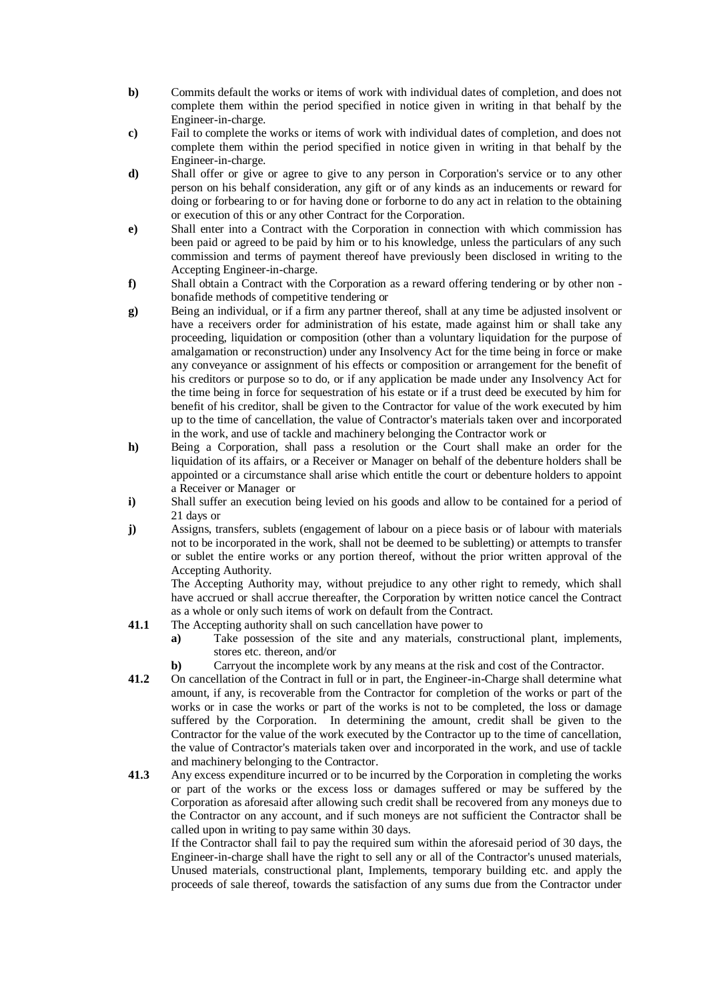- **b)** Commits default the works or items of work with individual dates of completion, and does not complete them within the period specified in notice given in writing in that behalf by the Engineer-in-charge.
- **c)** Fail to complete the works or items of work with individual dates of completion, and does not complete them within the period specified in notice given in writing in that behalf by the Engineer-in-charge.
- **d)** Shall offer or give or agree to give to any person in Corporation's service or to any other person on his behalf consideration, any gift or of any kinds as an inducements or reward for doing or forbearing to or for having done or forborne to do any act in relation to the obtaining or execution of this or any other Contract for the Corporation.
- **e)** Shall enter into a Contract with the Corporation in connection with which commission has been paid or agreed to be paid by him or to his knowledge, unless the particulars of any such commission and terms of payment thereof have previously been disclosed in writing to the Accepting Engineer-in-charge.
- **f)** Shall obtain a Contract with the Corporation as a reward offering tendering or by other non bonafide methods of competitive tendering or
- **g)** Being an individual, or if a firm any partner thereof, shall at any time be adjusted insolvent or have a receivers order for administration of his estate, made against him or shall take any proceeding, liquidation or composition (other than a voluntary liquidation for the purpose of amalgamation or reconstruction) under any Insolvency Act for the time being in force or make any conveyance or assignment of his effects or composition or arrangement for the benefit of his creditors or purpose so to do, or if any application be made under any Insolvency Act for the time being in force for sequestration of his estate or if a trust deed be executed by him for benefit of his creditor, shall be given to the Contractor for value of the work executed by him up to the time of cancellation, the value of Contractor's materials taken over and incorporated in the work, and use of tackle and machinery belonging the Contractor work or
- **h)** Being a Corporation, shall pass a resolution or the Court shall make an order for the liquidation of its affairs, or a Receiver or Manager on behalf of the debenture holders shall be appointed or a circumstance shall arise which entitle the court or debenture holders to appoint a Receiver or Manager or
- **i)** Shall suffer an execution being levied on his goods and allow to be contained for a period of 21 days or
- **j)** Assigns, transfers, sublets (engagement of labour on a piece basis or of labour with materials not to be incorporated in the work, shall not be deemed to be subletting) or attempts to transfer or sublet the entire works or any portion thereof, without the prior written approval of the Accepting Authority.

 The Accepting Authority may, without prejudice to any other right to remedy, which shall have accrued or shall accrue thereafter, the Corporation by written notice cancel the Contract as a whole or only such items of work on default from the Contract.

- **41.1** The Accepting authority shall on such cancellation have power to
	- **a)** Take possession of the site and any materials, constructional plant, implements, stores etc. thereon, and/or
	- **b**) Carryout the incomplete work by any means at the risk and cost of the Contractor.
- **41.2** On cancellation of the Contract in full or in part, the Engineer-in-Charge shall determine what amount, if any, is recoverable from the Contractor for completion of the works or part of the works or in case the works or part of the works is not to be completed, the loss or damage suffered by the Corporation. In determining the amount, credit shall be given to the Contractor for the value of the work executed by the Contractor up to the time of cancellation, the value of Contractor's materials taken over and incorporated in the work, and use of tackle and machinery belonging to the Contractor.
- **41.3** Any excess expenditure incurred or to be incurred by the Corporation in completing the works or part of the works or the excess loss or damages suffered or may be suffered by the Corporation as aforesaid after allowing such credit shall be recovered from any moneys due to the Contractor on any account, and if such moneys are not sufficient the Contractor shall be called upon in writing to pay same within 30 days.

If the Contractor shall fail to pay the required sum within the aforesaid period of 30 days, the Engineer-in-charge shall have the right to sell any or all of the Contractor's unused materials, Unused materials, constructional plant, Implements, temporary building etc. and apply the proceeds of sale thereof, towards the satisfaction of any sums due from the Contractor under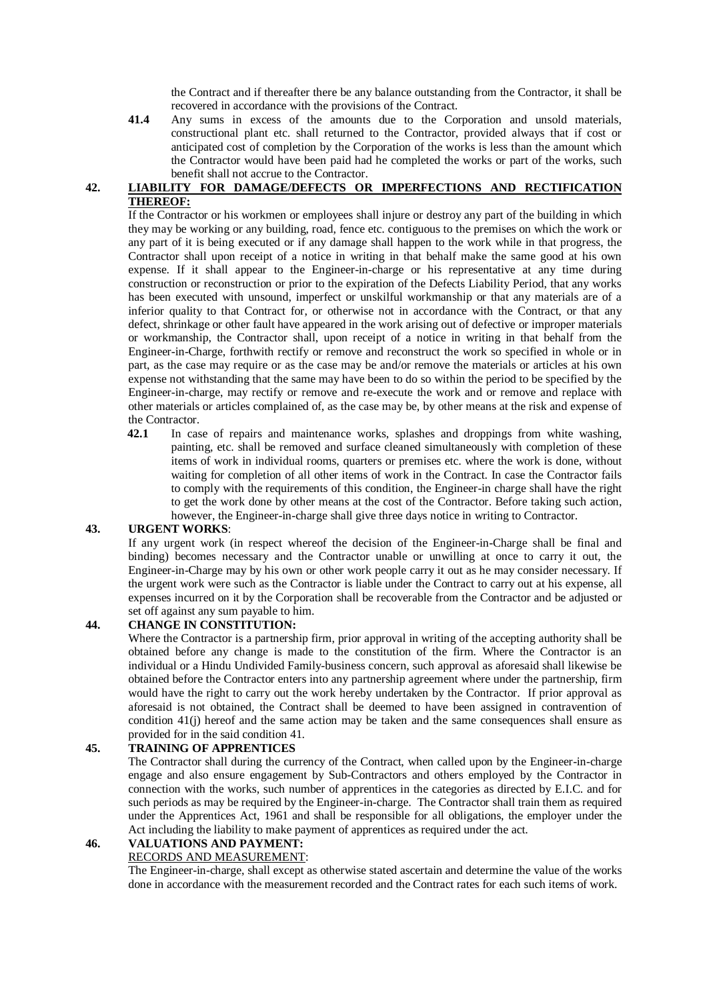the Contract and if thereafter there be any balance outstanding from the Contractor, it shall be recovered in accordance with the provisions of the Contract.

**41.4** Any sums in excess of the amounts due to the Corporation and unsold materials, constructional plant etc. shall returned to the Contractor, provided always that if cost or anticipated cost of completion by the Corporation of the works is less than the amount which the Contractor would have been paid had he completed the works or part of the works, such benefit shall not accrue to the Contractor.

## **42. LIABILITY FOR DAMAGE/DEFECTS OR IMPERFECTIONS AND RECTIFICATION THEREOF:**

If the Contractor or his workmen or employees shall injure or destroy any part of the building in which they may be working or any building, road, fence etc. contiguous to the premises on which the work or any part of it is being executed or if any damage shall happen to the work while in that progress, the Contractor shall upon receipt of a notice in writing in that behalf make the same good at his own expense. If it shall appear to the Engineer-in-charge or his representative at any time during construction or reconstruction or prior to the expiration of the Defects Liability Period, that any works has been executed with unsound, imperfect or unskilful workmanship or that any materials are of a inferior quality to that Contract for, or otherwise not in accordance with the Contract, or that any defect, shrinkage or other fault have appeared in the work arising out of defective or improper materials or workmanship, the Contractor shall, upon receipt of a notice in writing in that behalf from the Engineer-in-Charge, forthwith rectify or remove and reconstruct the work so specified in whole or in part, as the case may require or as the case may be and/or remove the materials or articles at his own expense not withstanding that the same may have been to do so within the period to be specified by the Engineer-in-charge, may rectify or remove and re-execute the work and or remove and replace with other materials or articles complained of, as the case may be, by other means at the risk and expense of the Contractor.

**42.1** In case of repairs and maintenance works, splashes and droppings from white washing, painting, etc. shall be removed and surface cleaned simultaneously with completion of these items of work in individual rooms, quarters or premises etc. where the work is done, without waiting for completion of all other items of work in the Contract. In case the Contractor fails to comply with the requirements of this condition, the Engineer-in charge shall have the right to get the work done by other means at the cost of the Contractor. Before taking such action, however, the Engineer-in-charge shall give three days notice in writing to Contractor.

## **43. URGENT WORKS**:

If any urgent work (in respect whereof the decision of the Engineer-in-Charge shall be final and binding) becomes necessary and the Contractor unable or unwilling at once to carry it out, the Engineer-in-Charge may by his own or other work people carry it out as he may consider necessary. If the urgent work were such as the Contractor is liable under the Contract to carry out at his expense, all expenses incurred on it by the Corporation shall be recoverable from the Contractor and be adjusted or set off against any sum payable to him.

## **44. CHANGE IN CONSTITUTION:**

Where the Contractor is a partnership firm, prior approval in writing of the accepting authority shall be obtained before any change is made to the constitution of the firm. Where the Contractor is an individual or a Hindu Undivided Family-business concern, such approval as aforesaid shall likewise be obtained before the Contractor enters into any partnership agreement where under the partnership, firm would have the right to carry out the work hereby undertaken by the Contractor. If prior approval as aforesaid is not obtained, the Contract shall be deemed to have been assigned in contravention of condition 41(j) hereof and the same action may be taken and the same consequences shall ensure as provided for in the said condition 41.

## **45. TRAINING OF APPRENTICES**

The Contractor shall during the currency of the Contract, when called upon by the Engineer-in-charge engage and also ensure engagement by Sub-Contractors and others employed by the Contractor in connection with the works, such number of apprentices in the categories as directed by E.I.C. and for such periods as may be required by the Engineer-in-charge. The Contractor shall train them as required under the Apprentices Act, 1961 and shall be responsible for all obligations, the employer under the Act including the liability to make payment of apprentices as required under the act.

## **46. VALUATIONS AND PAYMENT:**

## RECORDS AND MEASUREMENT:

The Engineer-in-charge, shall except as otherwise stated ascertain and determine the value of the works done in accordance with the measurement recorded and the Contract rates for each such items of work.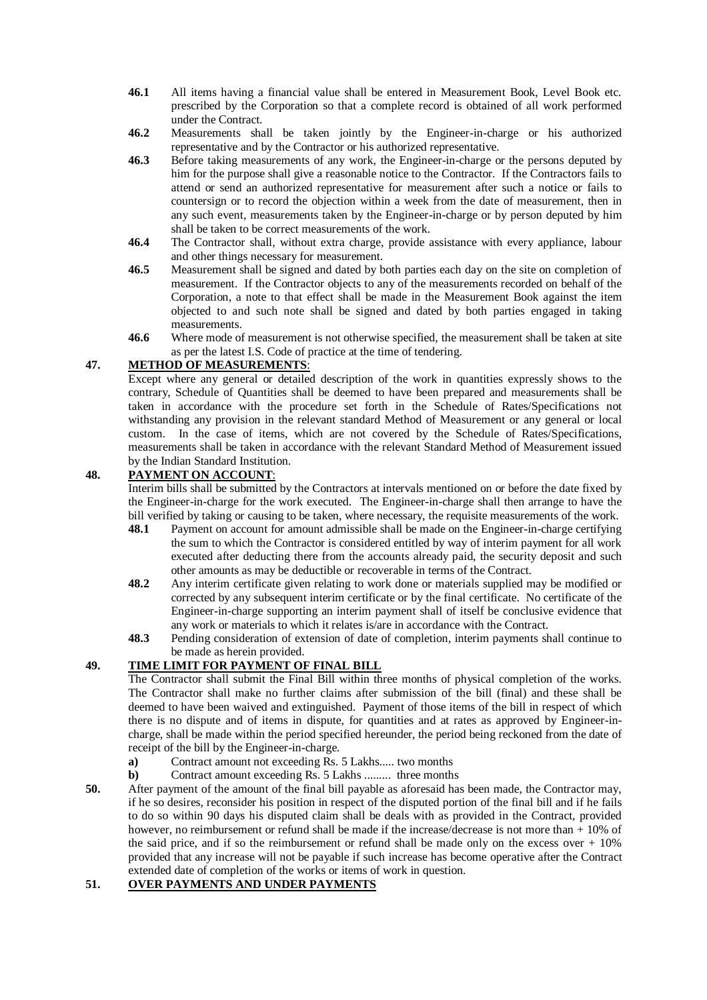- **46.1** All items having a financial value shall be entered in Measurement Book, Level Book etc. prescribed by the Corporation so that a complete record is obtained of all work performed under the Contract.
- **46.2** Measurements shall be taken jointly by the Engineer-in-charge or his authorized representative and by the Contractor or his authorized representative.
- **46.3** Before taking measurements of any work, the Engineer-in-charge or the persons deputed by him for the purpose shall give a reasonable notice to the Contractor. If the Contractors fails to attend or send an authorized representative for measurement after such a notice or fails to countersign or to record the objection within a week from the date of measurement, then in any such event, measurements taken by the Engineer-in-charge or by person deputed by him shall be taken to be correct measurements of the work.
- **46.4** The Contractor shall, without extra charge, provide assistance with every appliance, labour and other things necessary for measurement.
- **46.5** Measurement shall be signed and dated by both parties each day on the site on completion of measurement. If the Contractor objects to any of the measurements recorded on behalf of the Corporation, a note to that effect shall be made in the Measurement Book against the item objected to and such note shall be signed and dated by both parties engaged in taking measurements.
- **46.6** Where mode of measurement is not otherwise specified, the measurement shall be taken at site as per the latest I.S. Code of practice at the time of tendering.

## **47. METHOD OF MEASUREMENTS**:

Except where any general or detailed description of the work in quantities expressly shows to the contrary, Schedule of Quantities shall be deemed to have been prepared and measurements shall be taken in accordance with the procedure set forth in the Schedule of Rates/Specifications not withstanding any provision in the relevant standard Method of Measurement or any general or local custom. In the case of items, which are not covered by the Schedule of Rates/Specifications, measurements shall be taken in accordance with the relevant Standard Method of Measurement issued by the Indian Standard Institution.

## **48. PAYMENT ON ACCOUNT**:

Interim bills shall be submitted by the Contractors at intervals mentioned on or before the date fixed by the Engineer-in-charge for the work executed. The Engineer-in-charge shall then arrange to have the bill verified by taking or causing to be taken, where necessary, the requisite measurements of the work.

- **48.1** Payment on account for amount admissible shall be made on the Engineer-in-charge certifying the sum to which the Contractor is considered entitled by way of interim payment for all work executed after deducting there from the accounts already paid, the security deposit and such other amounts as may be deductible or recoverable in terms of the Contract.
- **48.2** Any interim certificate given relating to work done or materials supplied may be modified or corrected by any subsequent interim certificate or by the final certificate. No certificate of the Engineer-in-charge supporting an interim payment shall of itself be conclusive evidence that any work or materials to which it relates is/are in accordance with the Contract.
- **48.3** Pending consideration of extension of date of completion, interim payments shall continue to be made as herein provided.

## **49. TIME LIMIT FOR PAYMENT OF FINAL BILL**

The Contractor shall submit the Final Bill within three months of physical completion of the works. The Contractor shall make no further claims after submission of the bill (final) and these shall be deemed to have been waived and extinguished. Payment of those items of the bill in respect of which there is no dispute and of items in dispute, for quantities and at rates as approved by Engineer-incharge, shall be made within the period specified hereunder, the period being reckoned from the date of receipt of the bill by the Engineer-in-charge.

- **a)** Contract amount not exceeding Rs. 5 Lakhs..... two months
- **b)** Contract amount exceeding Rs. 5 Lakhs ......... three months
- **50.** After payment of the amount of the final bill payable as aforesaid has been made, the Contractor may, if he so desires, reconsider his position in respect of the disputed portion of the final bill and if he fails to do so within 90 days his disputed claim shall be deals with as provided in the Contract, provided however, no reimbursement or refund shall be made if the increase/decrease is not more than + 10% of the said price, and if so the reimbursement or refund shall be made only on the excess over  $+10\%$ provided that any increase will not be payable if such increase has become operative after the Contract extended date of completion of the works or items of work in question.

## **51. OVER PAYMENTS AND UNDER PAYMENTS**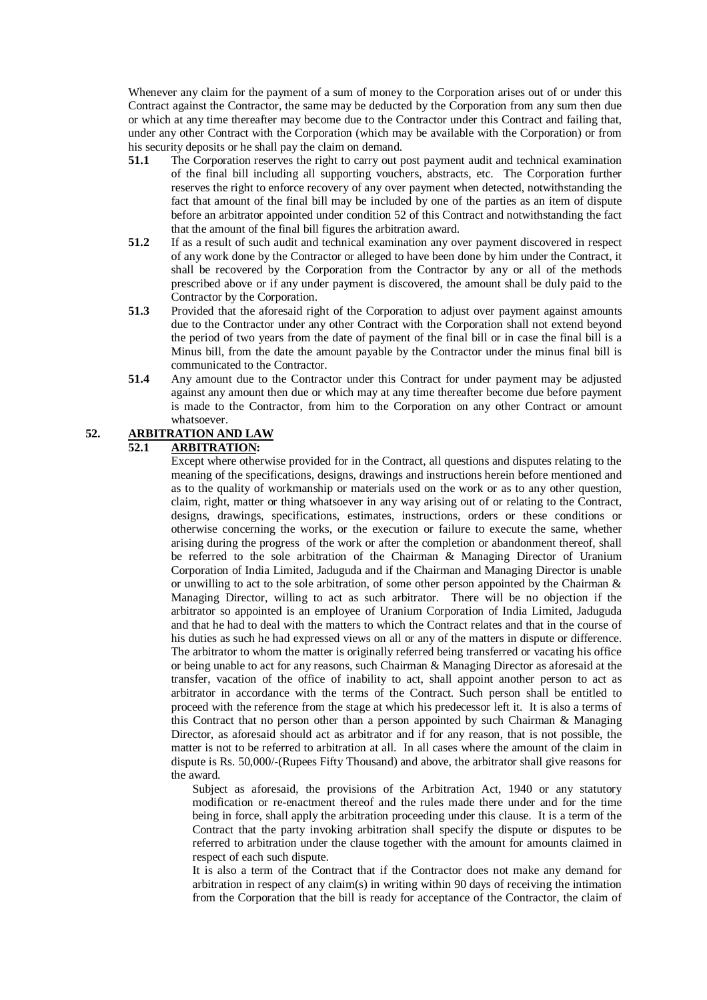Whenever any claim for the payment of a sum of money to the Corporation arises out of or under this Contract against the Contractor, the same may be deducted by the Corporation from any sum then due or which at any time thereafter may become due to the Contractor under this Contract and failing that, under any other Contract with the Corporation (which may be available with the Corporation) or from his security deposits or he shall pay the claim on demand.

- **51.1** The Corporation reserves the right to carry out post payment audit and technical examination of the final bill including all supporting vouchers, abstracts, etc. The Corporation further reserves the right to enforce recovery of any over payment when detected, notwithstanding the fact that amount of the final bill may be included by one of the parties as an item of dispute before an arbitrator appointed under condition 52 of this Contract and notwithstanding the fact that the amount of the final bill figures the arbitration award.
- **51.2** If as a result of such audit and technical examination any over payment discovered in respect of any work done by the Contractor or alleged to have been done by him under the Contract, it shall be recovered by the Corporation from the Contractor by any or all of the methods prescribed above or if any under payment is discovered, the amount shall be duly paid to the Contractor by the Corporation.
- **51.3** Provided that the aforesaid right of the Corporation to adjust over payment against amounts due to the Contractor under any other Contract with the Corporation shall not extend beyond the period of two years from the date of payment of the final bill or in case the final bill is a Minus bill, from the date the amount payable by the Contractor under the minus final bill is communicated to the Contractor.
- **51.4** Any amount due to the Contractor under this Contract for under payment may be adjusted against any amount then due or which may at any time thereafter become due before payment is made to the Contractor, from him to the Corporation on any other Contract or amount whatsoever.

# **52. ARBITRATION AND LAW**

## **52.1 ARBITRATION:**

Except where otherwise provided for in the Contract, all questions and disputes relating to the meaning of the specifications, designs, drawings and instructions herein before mentioned and as to the quality of workmanship or materials used on the work or as to any other question, claim, right, matter or thing whatsoever in any way arising out of or relating to the Contract, designs, drawings, specifications, estimates, instructions, orders or these conditions or otherwise concerning the works, or the execution or failure to execute the same, whether arising during the progress of the work or after the completion or abandonment thereof, shall be referred to the sole arbitration of the Chairman & Managing Director of Uranium Corporation of India Limited, Jaduguda and if the Chairman and Managing Director is unable or unwilling to act to the sole arbitration, of some other person appointed by the Chairman  $\&$ Managing Director, willing to act as such arbitrator. There will be no objection if the arbitrator so appointed is an employee of Uranium Corporation of India Limited, Jaduguda and that he had to deal with the matters to which the Contract relates and that in the course of his duties as such he had expressed views on all or any of the matters in dispute or difference. The arbitrator to whom the matter is originally referred being transferred or vacating his office or being unable to act for any reasons, such Chairman & Managing Director as aforesaid at the transfer, vacation of the office of inability to act, shall appoint another person to act as arbitrator in accordance with the terms of the Contract. Such person shall be entitled to proceed with the reference from the stage at which his predecessor left it. It is also a terms of this Contract that no person other than a person appointed by such Chairman & Managing Director, as aforesaid should act as arbitrator and if for any reason, that is not possible, the matter is not to be referred to arbitration at all. In all cases where the amount of the claim in dispute is Rs. 50,000/-(Rupees Fifty Thousand) and above, the arbitrator shall give reasons for the award.

Subject as aforesaid, the provisions of the Arbitration Act, 1940 or any statutory modification or re-enactment thereof and the rules made there under and for the time being in force, shall apply the arbitration proceeding under this clause. It is a term of the Contract that the party invoking arbitration shall specify the dispute or disputes to be referred to arbitration under the clause together with the amount for amounts claimed in respect of each such dispute.

It is also a term of the Contract that if the Contractor does not make any demand for arbitration in respect of any claim(s) in writing within 90 days of receiving the intimation from the Corporation that the bill is ready for acceptance of the Contractor, the claim of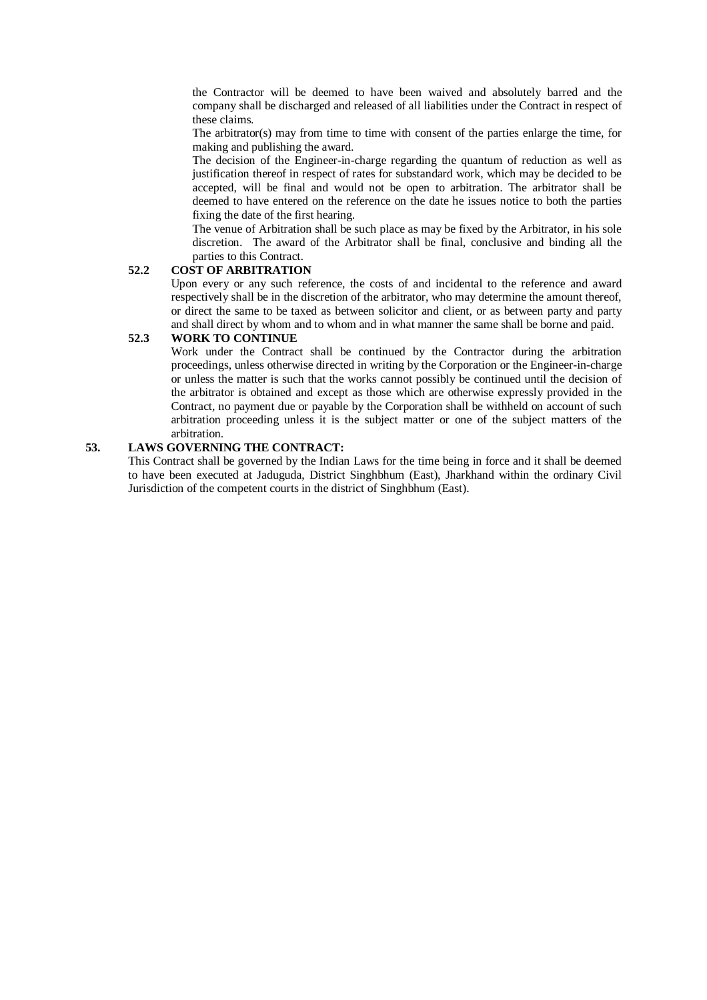the Contractor will be deemed to have been waived and absolutely barred and the company shall be discharged and released of all liabilities under the Contract in respect of these claims.

The arbitrator(s) may from time to time with consent of the parties enlarge the time, for making and publishing the award.

The decision of the Engineer-in-charge regarding the quantum of reduction as well as justification thereof in respect of rates for substandard work, which may be decided to be accepted, will be final and would not be open to arbitration. The arbitrator shall be deemed to have entered on the reference on the date he issues notice to both the parties fixing the date of the first hearing.

The venue of Arbitration shall be such place as may be fixed by the Arbitrator, in his sole discretion. The award of the Arbitrator shall be final, conclusive and binding all the parties to this Contract.

## **52.2 COST OF ARBITRATION**

Upon every or any such reference, the costs of and incidental to the reference and award respectively shall be in the discretion of the arbitrator, who may determine the amount thereof, or direct the same to be taxed as between solicitor and client, or as between party and party and shall direct by whom and to whom and in what manner the same shall be borne and paid.

#### **52.3 WORK TO CONTINUE**

Work under the Contract shall be continued by the Contractor during the arbitration proceedings, unless otherwise directed in writing by the Corporation or the Engineer-in-charge or unless the matter is such that the works cannot possibly be continued until the decision of the arbitrator is obtained and except as those which are otherwise expressly provided in the Contract, no payment due or payable by the Corporation shall be withheld on account of such arbitration proceeding unless it is the subject matter or one of the subject matters of the arbitration.

## **53. LAWS GOVERNING THE CONTRACT:**

This Contract shall be governed by the Indian Laws for the time being in force and it shall be deemed to have been executed at Jaduguda, District Singhbhum (East), Jharkhand within the ordinary Civil Jurisdiction of the competent courts in the district of Singhbhum (East).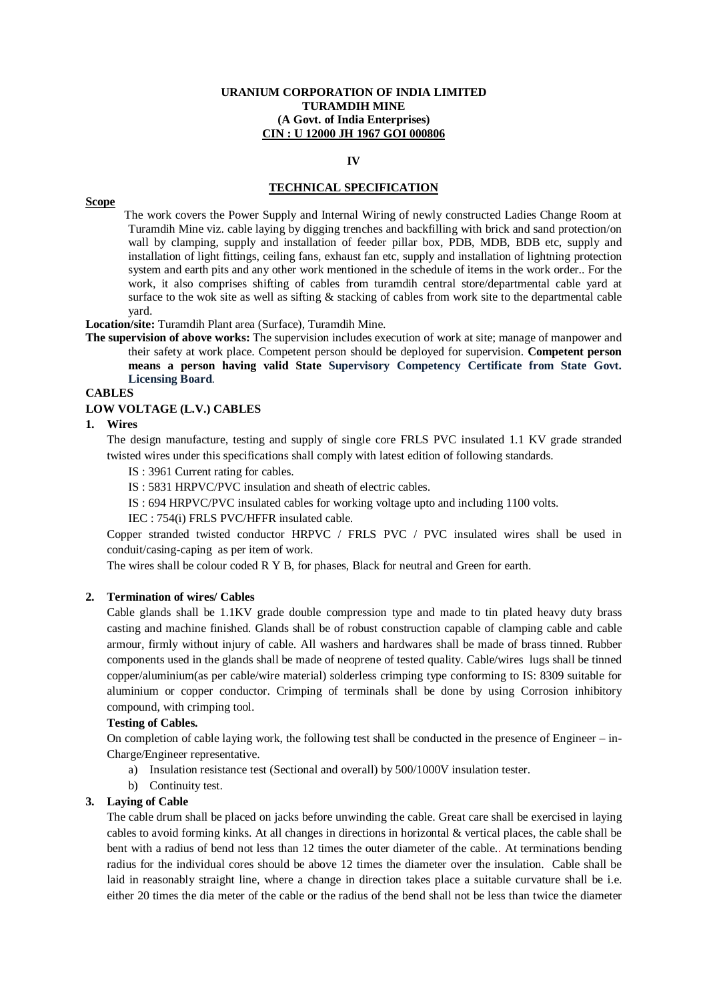#### **URANIUM CORPORATION OF INDIA LIMITED TURAMDIH MINE (A Govt. of India Enterprises) CIN : U 12000 JH 1967 GOI 000806**

#### **IV**

## **TECHNICAL SPECIFICATION**

#### **Scope**

 The work covers the Power Supply and Internal Wiring of newly constructed Ladies Change Room at Turamdih Mine viz. cable laying by digging trenches and backfilling with brick and sand protection/on wall by clamping, supply and installation of feeder pillar box, PDB, MDB, BDB etc, supply and installation of light fittings, ceiling fans, exhaust fan etc, supply and installation of lightning protection system and earth pits and any other work mentioned in the schedule of items in the work order.. For the work, it also comprises shifting of cables from turamdih central store/departmental cable yard at surface to the wok site as well as sifting & stacking of cables from work site to the departmental cable yard.

#### **Location/site:** Turamdih Plant area (Surface), Turamdih Mine.

**The supervision of above works:** The supervision includes execution of work at site; manage of manpower and their safety at work place. Competent person should be deployed for supervision. **Competent person means a person having valid State Supervisory Competency Certificate from State Govt. Licensing Board**.

#### **CABLES**

#### **LOW VOLTAGE (L.V.) CABLES**

#### **1. Wires**

The design manufacture, testing and supply of single core FRLS PVC insulated 1.1 KV grade stranded twisted wires under this specifications shall comply with latest edition of following standards.

IS : 3961 Current rating for cables.

IS : 5831 HRPVC/PVC insulation and sheath of electric cables.

IS : 694 HRPVC/PVC insulated cables for working voltage upto and including 1100 volts.

IEC : 754(i) FRLS PVC/HFFR insulated cable.

Copper stranded twisted conductor HRPVC / FRLS PVC / PVC insulated wires shall be used in conduit/casing-caping as per item of work.

The wires shall be colour coded R Y B, for phases, Black for neutral and Green for earth.

#### **2. Termination of wires/ Cables**

Cable glands shall be 1.1KV grade double compression type and made to tin plated heavy duty brass casting and machine finished. Glands shall be of robust construction capable of clamping cable and cable armour, firmly without injury of cable. All washers and hardwares shall be made of brass tinned. Rubber components used in the glands shall be made of neoprene of tested quality. Cable/wires lugs shall be tinned copper/aluminium(as per cable/wire material) solderless crimping type conforming to IS: 8309 suitable for aluminium or copper conductor. Crimping of terminals shall be done by using Corrosion inhibitory compound, with crimping tool.

#### **Testing of Cables.**

On completion of cable laying work, the following test shall be conducted in the presence of Engineer – in-Charge/Engineer representative.

- a) Insulation resistance test (Sectional and overall) by 500/1000V insulation tester.
- b) Continuity test.

#### **3. Laying of Cable**

The cable drum shall be placed on jacks before unwinding the cable. Great care shall be exercised in laying cables to avoid forming kinks. At all changes in directions in horizontal & vertical places, the cable shall be bent with a radius of bend not less than 12 times the outer diameter of the cable.. At terminations bending radius for the individual cores should be above 12 times the diameter over the insulation. Cable shall be laid in reasonably straight line, where a change in direction takes place a suitable curvature shall be i.e. either 20 times the dia meter of the cable or the radius of the bend shall not be less than twice the diameter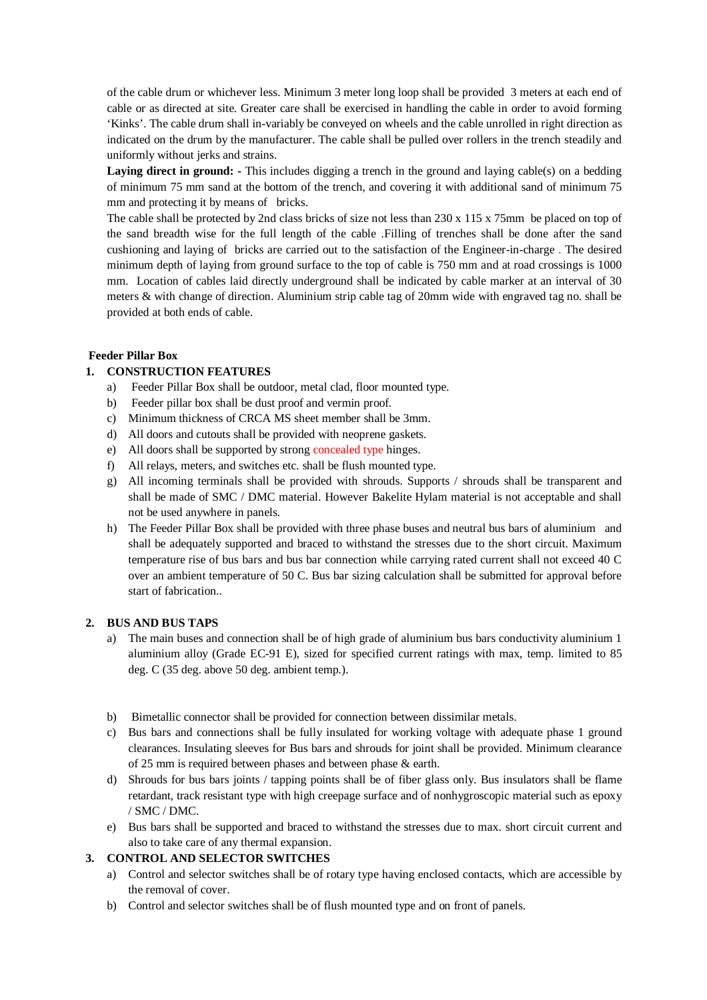of the cable drum or whichever less. Minimum 3 meter long loop shall be provided 3 meters at each end of cable or as directed at site. Greater care shall be exercised in handling the cable in order to avoid forming 'Kinks'. The cable drum shall in-variably be conveyed on wheels and the cable unrolled in right direction as indicated on the drum by the manufacturer. The cable shall be pulled over rollers in the trench steadily and uniformly without jerks and strains.

Laying direct in ground: - This includes digging a trench in the ground and laying cable(s) on a bedding of minimum 75 mm sand at the bottom of the trench, and covering it with additional sand of minimum 75 mm and protecting it by means of bricks.

The cable shall be protected by 2nd class bricks of size not less than 230 x 115 x 75mm be placed on top of the sand breadth wise for the full length of the cable .Filling of trenches shall be done after the sand cushioning and laying of bricks are carried out to the satisfaction of the Engineer-in-charge . The desired minimum depth of laying from ground surface to the top of cable is 750 mm and at road crossings is 1000 mm. Location of cables laid directly underground shall be indicated by cable marker at an interval of 30 meters & with change of direction. Aluminium strip cable tag of 20mm wide with engraved tag no. shall be provided at both ends of cable.

## **Feeder Pillar Box**

## **1. CONSTRUCTION FEATURES**

- a) Feeder Pillar Box shall be outdoor, metal clad, floor mounted type.
- b) Feeder pillar box shall be dust proof and vermin proof.
- c) Minimum thickness of CRCA MS sheet member shall be 3mm.
- d) All doors and cutouts shall be provided with neoprene gaskets.
- e) All doors shall be supported by strong concealed type hinges.
- f) All relays, meters, and switches etc. shall be flush mounted type.
- g) All incoming terminals shall be provided with shrouds. Supports / shrouds shall be transparent and shall be made of SMC / DMC material. However Bakelite Hylam material is not acceptable and shall not be used anywhere in panels.
- h) The Feeder Pillar Box shall be provided with three phase buses and neutral bus bars of aluminium and shall be adequately supported and braced to withstand the stresses due to the short circuit. Maximum temperature rise of bus bars and bus bar connection while carrying rated current shall not exceed 40 C over an ambient temperature of 50 C. Bus bar sizing calculation shall be submitted for approval before start of fabrication..

## **2. BUS AND BUS TAPS**

- a) The main buses and connection shall be of high grade of aluminium bus bars conductivity aluminium 1 aluminium alloy (Grade EC-91 E), sized for specified current ratings with max, temp. limited to 85 deg. C (35 deg. above 50 deg. ambient temp.).
- b) Bimetallic connector shall be provided for connection between dissimilar metals.
- c) Bus bars and connections shall be fully insulated for working voltage with adequate phase 1 ground clearances. Insulating sleeves for Bus bars and shrouds for joint shall be provided. Minimum clearance of 25 mm is required between phases and between phase & earth.
- d) Shrouds for bus bars joints / tapping points shall be of fiber glass only. Bus insulators shall be flame retardant, track resistant type with high creepage surface and of nonhygroscopic material such as epoxy / SMC / DMC.
- e) Bus bars shall be supported and braced to withstand the stresses due to max. short circuit current and also to take care of any thermal expansion.

## **3. CONTROL AND SELECTOR SWITCHES**

- a) Control and selector switches shall be of rotary type having enclosed contacts, which are accessible by the removal of cover.
- b) Control and selector switches shall be of flush mounted type and on front of panels.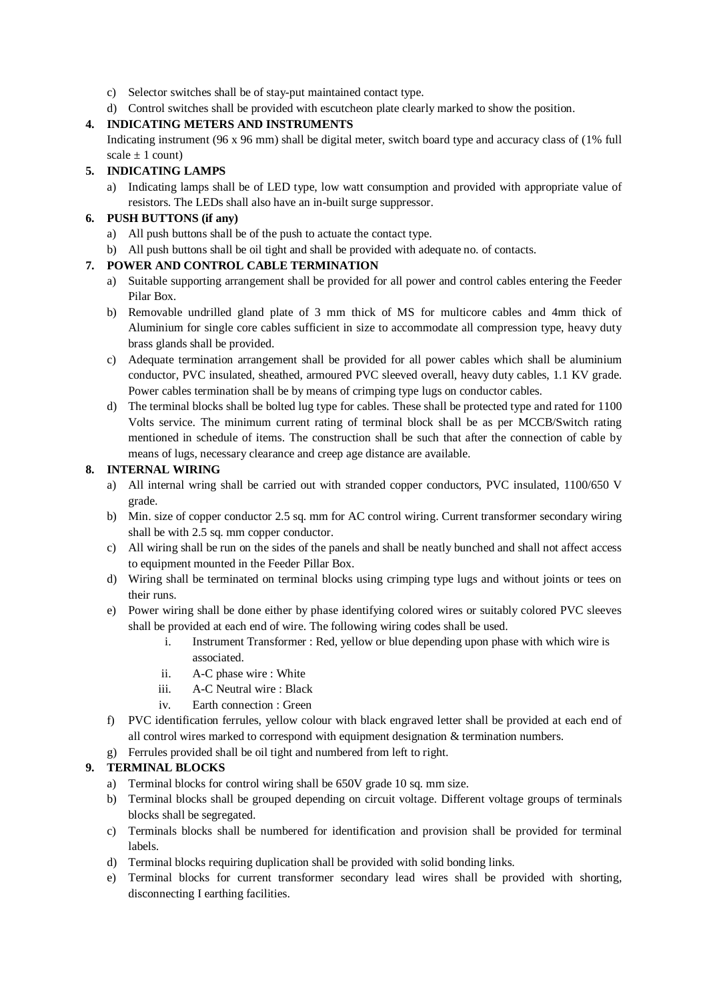- c) Selector switches shall be of stay-put maintained contact type.
- d) Control switches shall be provided with escutcheon plate clearly marked to show the position.

# **4. INDICATING METERS AND INSTRUMENTS**

Indicating instrument (96 x 96 mm) shall be digital meter, switch board type and accuracy class of (1% full scale  $\pm$  1 count)

# **5. INDICATING LAMPS**

a) Indicating lamps shall be of LED type, low watt consumption and provided with appropriate value of resistors. The LEDs shall also have an in-built surge suppressor.

# **6. PUSH BUTTONS (if any)**

- a) All push buttons shall be of the push to actuate the contact type.
- b) All push buttons shall be oil tight and shall be provided with adequate no. of contacts.

# **7. POWER AND CONTROL CABLE TERMINATION**

- a) Suitable supporting arrangement shall be provided for all power and control cables entering the Feeder Pilar Box.
- b) Removable undrilled gland plate of 3 mm thick of MS for multicore cables and 4mm thick of Aluminium for single core cables sufficient in size to accommodate all compression type, heavy duty brass glands shall be provided.
- c) Adequate termination arrangement shall be provided for all power cables which shall be aluminium conductor, PVC insulated, sheathed, armoured PVC sleeved overall, heavy duty cables, 1.1 KV grade. Power cables termination shall be by means of crimping type lugs on conductor cables.
- d) The terminal blocks shall be bolted lug type for cables. These shall be protected type and rated for 1100 Volts service. The minimum current rating of terminal block shall be as per MCCB/Switch rating mentioned in schedule of items. The construction shall be such that after the connection of cable by means of lugs, necessary clearance and creep age distance are available.

# **8. INTERNAL WIRING**

- a) All internal wring shall be carried out with stranded copper conductors, PVC insulated, 1100/650 V grade.
- b) Min. size of copper conductor 2.5 sq. mm for AC control wiring. Current transformer secondary wiring shall be with 2.5 sq. mm copper conductor.
- c) All wiring shall be run on the sides of the panels and shall be neatly bunched and shall not affect access to equipment mounted in the Feeder Pillar Box.
- d) Wiring shall be terminated on terminal blocks using crimping type lugs and without joints or tees on their runs.
- e) Power wiring shall be done either by phase identifying colored wires or suitably colored PVC sleeves shall be provided at each end of wire. The following wiring codes shall be used.
	- i. Instrument Transformer : Red, yellow or blue depending upon phase with which wire is associated.
	- ii. A-C phase wire : White
	- iii. A-C Neutral wire : Black
	- iv. Earth connection : Green
- f) PVC identification ferrules, yellow colour with black engraved letter shall be provided at each end of all control wires marked to correspond with equipment designation & termination numbers.
- g) Ferrules provided shall be oil tight and numbered from left to right.

# **9. TERMINAL BLOCKS**

- a) Terminal blocks for control wiring shall be 650V grade 10 sq. mm size.
- b) Terminal blocks shall be grouped depending on circuit voltage. Different voltage groups of terminals blocks shall be segregated.
- c) Terminals blocks shall be numbered for identification and provision shall be provided for terminal labels.
- d) Terminal blocks requiring duplication shall be provided with solid bonding links.
- e) Terminal blocks for current transformer secondary lead wires shall be provided with shorting, disconnecting I earthing facilities.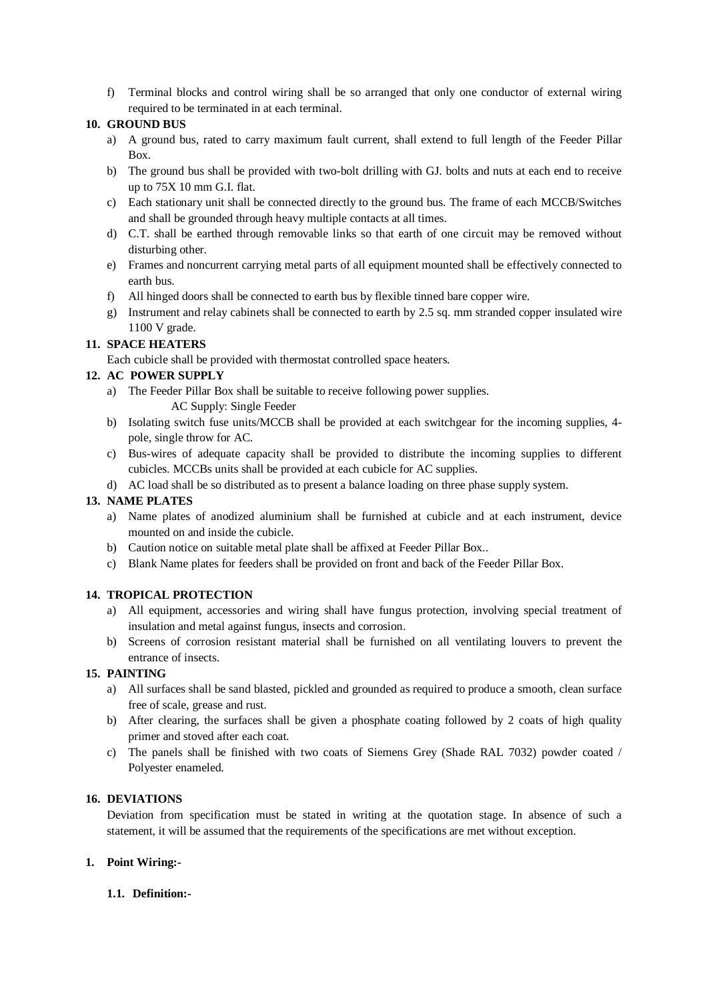f) Terminal blocks and control wiring shall be so arranged that only one conductor of external wiring required to be terminated in at each terminal.

## **10. GROUND BUS**

- a) A ground bus, rated to carry maximum fault current, shall extend to full length of the Feeder Pillar Box.
- b) The ground bus shall be provided with two-bolt drilling with GJ. bolts and nuts at each end to receive up to 75X 10 mm G.I. flat.
- c) Each stationary unit shall be connected directly to the ground bus. The frame of each MCCB/Switches and shall be grounded through heavy multiple contacts at all times.
- d) C.T. shall be earthed through removable links so that earth of one circuit may be removed without disturbing other.
- e) Frames and noncurrent carrying metal parts of all equipment mounted shall be effectively connected to earth bus.
- f) All hinged doors shall be connected to earth bus by flexible tinned bare copper wire.
- g) Instrument and relay cabinets shall be connected to earth by 2.5 sq. mm stranded copper insulated wire 1100 V grade.

## **11. SPACE HEATERS**

Each cubicle shall be provided with thermostat controlled space heaters.

## **12. AC POWER SUPPLY**

- a) The Feeder Pillar Box shall be suitable to receive following power supplies. AC Supply: Single Feeder
- b) Isolating switch fuse units/MCCB shall be provided at each switchgear for the incoming supplies, 4 pole, single throw for AC.
- c) Bus-wires of adequate capacity shall be provided to distribute the incoming supplies to different cubicles. MCCBs units shall be provided at each cubicle for AC supplies.
- d) AC load shall be so distributed as to present a balance loading on three phase supply system.

## **13. NAME PLATES**

- a) Name plates of anodized aluminium shall be furnished at cubicle and at each instrument, device mounted on and inside the cubicle.
- b) Caution notice on suitable metal plate shall be affixed at Feeder Pillar Box..
- c) Blank Name plates for feeders shall be provided on front and back of the Feeder Pillar Box.

## **14. TROPICAL PROTECTION**

- a) All equipment, accessories and wiring shall have fungus protection, involving special treatment of insulation and metal against fungus, insects and corrosion.
- b) Screens of corrosion resistant material shall be furnished on all ventilating louvers to prevent the entrance of insects.

## **15. PAINTING**

- a) All surfaces shall be sand blasted, pickled and grounded as required to produce a smooth, clean surface free of scale, grease and rust.
- b) After clearing, the surfaces shall be given a phosphate coating followed by 2 coats of high quality primer and stoved after each coat.
- c) The panels shall be finished with two coats of Siemens Grey (Shade RAL 7032) powder coated / Polyester enameled.

## **16. DEVIATIONS**

Deviation from specification must be stated in writing at the quotation stage. In absence of such a statement, it will be assumed that the requirements of the specifications are met without exception.

## **1. Point Wiring:-**

## **1.1. Definition:-**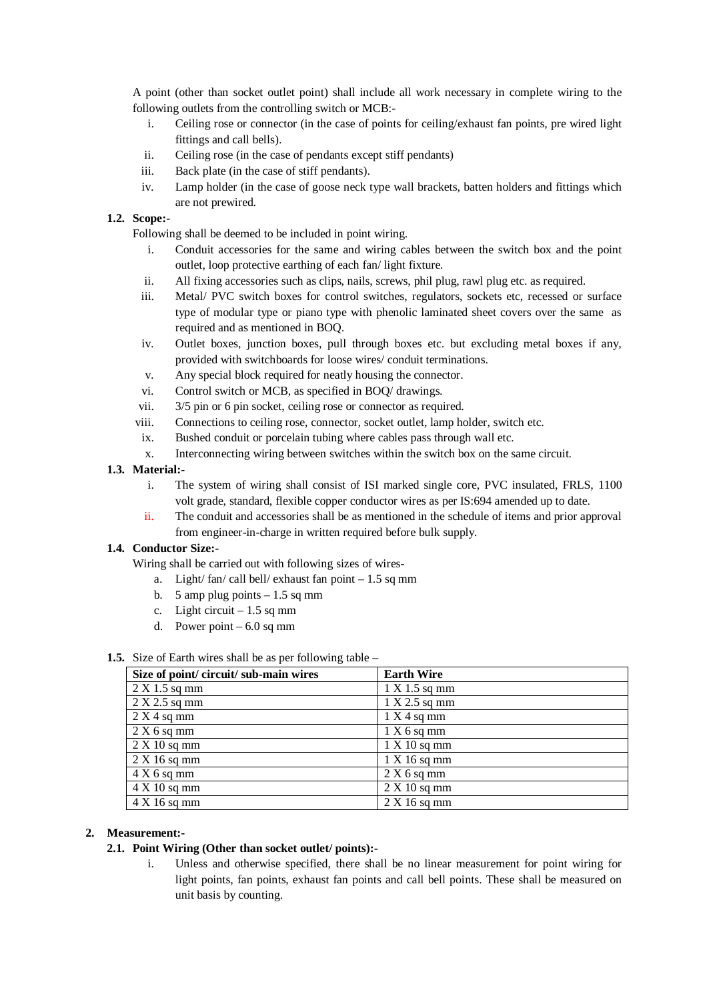A point (other than socket outlet point) shall include all work necessary in complete wiring to the following outlets from the controlling switch or MCB:-

- i. Ceiling rose or connector (in the case of points for ceiling/exhaust fan points, pre wired light fittings and call bells).
- ii. Ceiling rose (in the case of pendants except stiff pendants)
- iii. Back plate (in the case of stiff pendants).
- iv. Lamp holder (in the case of goose neck type wall brackets, batten holders and fittings which are not prewired.

## **1.2. Scope:-**

Following shall be deemed to be included in point wiring.

- i. Conduit accessories for the same and wiring cables between the switch box and the point outlet, loop protective earthing of each fan/ light fixture.
- ii. All fixing accessories such as clips, nails, screws, phil plug, rawl plug etc. as required.
- iii. Metal/ PVC switch boxes for control switches, regulators, sockets etc, recessed or surface type of modular type or piano type with phenolic laminated sheet covers over the same as required and as mentioned in BOQ.
- iv. Outlet boxes, junction boxes, pull through boxes etc. but excluding metal boxes if any, provided with switchboards for loose wires/ conduit terminations.
- v. Any special block required for neatly housing the connector.
- vi. Control switch or MCB, as specified in BOQ/ drawings.
- vii. 3/5 pin or 6 pin socket, ceiling rose or connector as required.
- viii. Connections to ceiling rose, connector, socket outlet, lamp holder, switch etc.
- ix. Bushed conduit or porcelain tubing where cables pass through wall etc.
- x. Interconnecting wiring between switches within the switch box on the same circuit.

## **1.3. Material:-**

- i. The system of wiring shall consist of ISI marked single core, PVC insulated, FRLS, 1100 volt grade, standard, flexible copper conductor wires as per IS:694 amended up to date.
- ii. The conduit and accessories shall be as mentioned in the schedule of items and prior approval from engineer-in-charge in written required before bulk supply.

## **1.4. Conductor Size:-**

Wiring shall be carried out with following sizes of wires-

- a. Light/ fan/ call bell/ exhaust fan point  $-1.5$  sq mm
- b. 5 amp plug points  $-1.5$  sq mm
- c. Light circuit  $-1.5$  sq mm
- d. Power point  $-6.0$  sq mm

## **1.5.** Size of Earth wires shall be as per following table –

| Size of point/circuit/sub-main wires | <b>Earth Wire</b> |
|--------------------------------------|-------------------|
| $2 \text{ X } 1.5 \text{ sq mm}$     | 1 X 1.5 sq mm     |
| $2 \text{ X } 2.5 \text{ sq mm}$     | 1 X 2.5 sq mm     |
| 2 X 4 sq mm                          | 1 X 4 sq mm       |
| 2 X 6 sq mm                          | 1 X 6 sq mm       |
| $2 \text{ X } 10 \text{ sq mm}$      | 1 X 10 sq mm      |
| 2 X 16 sq mm                         | 1 X 16 sq mm      |
| $4 \text{ X } 6 \text{ sq mm}$       | 2 X 6 sq mm       |
| $4 \times 10$ sq mm                  | 2 X 10 sq mm      |
| $4 \text{ X } 16 \text{ sq mm}$      | 2 X 16 sq mm      |

## **2. Measurement:-**

## **2.1. Point Wiring (Other than socket outlet/ points):-**

i. Unless and otherwise specified, there shall be no linear measurement for point wiring for light points, fan points, exhaust fan points and call bell points. These shall be measured on unit basis by counting.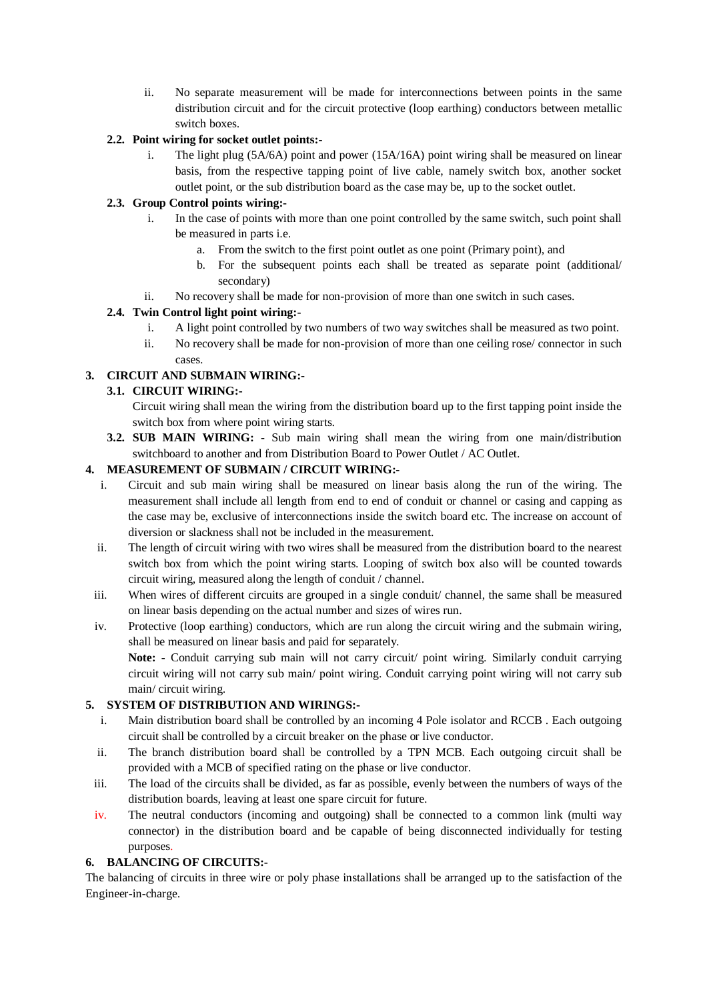ii. No separate measurement will be made for interconnections between points in the same distribution circuit and for the circuit protective (loop earthing) conductors between metallic switch boxes.

## **2.2. Point wiring for socket outlet points:-**

i. The light plug (5A/6A) point and power (15A/16A) point wiring shall be measured on linear basis, from the respective tapping point of live cable, namely switch box, another socket outlet point, or the sub distribution board as the case may be, up to the socket outlet.

# **2.3. Group Control points wiring:-**

- i. In the case of points with more than one point controlled by the same switch, such point shall be measured in parts i.e.
	- a. From the switch to the first point outlet as one point (Primary point), and
	- b. For the subsequent points each shall be treated as separate point (additional/ secondary)
- ii. No recovery shall be made for non-provision of more than one switch in such cases.

# **2.4. Twin Control light point wiring:-**

- i. A light point controlled by two numbers of two way switches shall be measured as two point.
- ii. No recovery shall be made for non-provision of more than one ceiling rose/ connector in such cases.

# **3. CIRCUIT AND SUBMAIN WIRING:-**

# **3.1. CIRCUIT WIRING:-**

Circuit wiring shall mean the wiring from the distribution board up to the first tapping point inside the switch box from where point wiring starts.

**3.2. SUB MAIN WIRING: -** Sub main wiring shall mean the wiring from one main/distribution switchboard to another and from Distribution Board to Power Outlet / AC Outlet.

# **4. MEASUREMENT OF SUBMAIN / CIRCUIT WIRING:-**

- i. Circuit and sub main wiring shall be measured on linear basis along the run of the wiring. The measurement shall include all length from end to end of conduit or channel or casing and capping as the case may be, exclusive of interconnections inside the switch board etc. The increase on account of diversion or slackness shall not be included in the measurement.
- ii. The length of circuit wiring with two wires shall be measured from the distribution board to the nearest switch box from which the point wiring starts. Looping of switch box also will be counted towards circuit wiring, measured along the length of conduit / channel.
- iii. When wires of different circuits are grouped in a single conduit/ channel, the same shall be measured on linear basis depending on the actual number and sizes of wires run.
- iv. Protective (loop earthing) conductors, which are run along the circuit wiring and the submain wiring, shall be measured on linear basis and paid for separately.

**Note: -** Conduit carrying sub main will not carry circuit/ point wiring. Similarly conduit carrying circuit wiring will not carry sub main/ point wiring. Conduit carrying point wiring will not carry sub main/ circuit wiring.

## **5. SYSTEM OF DISTRIBUTION AND WIRINGS:-**

- i. Main distribution board shall be controlled by an incoming 4 Pole isolator and RCCB . Each outgoing circuit shall be controlled by a circuit breaker on the phase or live conductor.
- ii. The branch distribution board shall be controlled by a TPN MCB. Each outgoing circuit shall be provided with a MCB of specified rating on the phase or live conductor.
- iii. The load of the circuits shall be divided, as far as possible, evenly between the numbers of ways of the distribution boards, leaving at least one spare circuit for future.
- iv. The neutral conductors (incoming and outgoing) shall be connected to a common link (multi way connector) in the distribution board and be capable of being disconnected individually for testing purposes.

# **6. BALANCING OF CIRCUITS:-**

The balancing of circuits in three wire or poly phase installations shall be arranged up to the satisfaction of the Engineer-in-charge.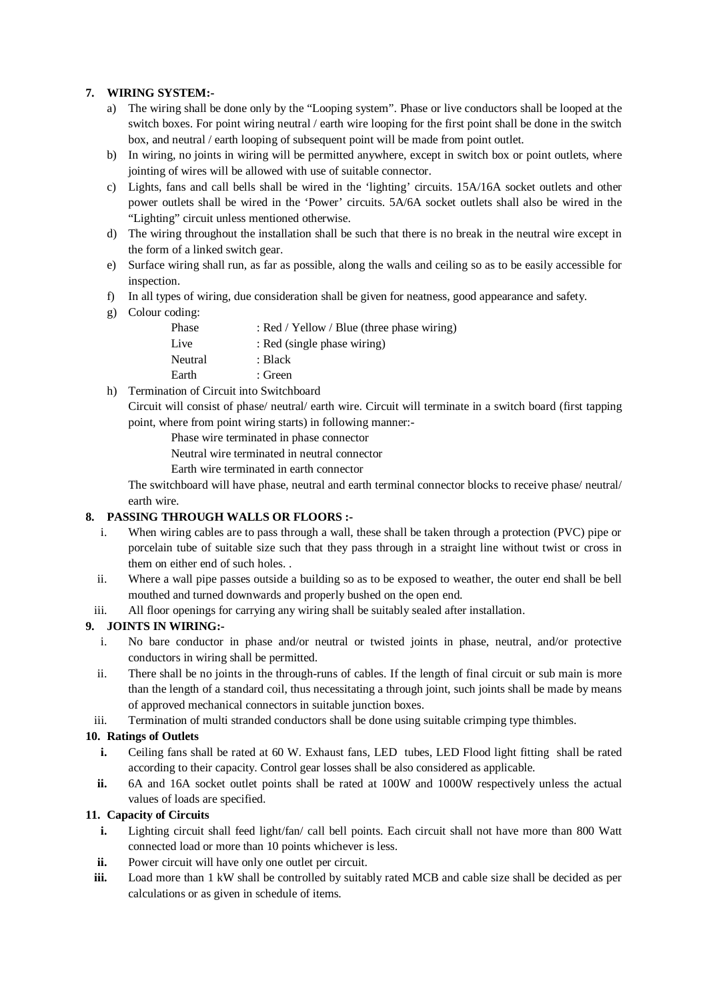# **7. WIRING SYSTEM:-**

- a) The wiring shall be done only by the "Looping system". Phase or live conductors shall be looped at the switch boxes. For point wiring neutral / earth wire looping for the first point shall be done in the switch box, and neutral / earth looping of subsequent point will be made from point outlet.
- b) In wiring, no joints in wiring will be permitted anywhere, except in switch box or point outlets, where jointing of wires will be allowed with use of suitable connector.
- c) Lights, fans and call bells shall be wired in the 'lighting' circuits. 15A/16A socket outlets and other power outlets shall be wired in the 'Power' circuits. 5A/6A socket outlets shall also be wired in the "Lighting" circuit unless mentioned otherwise.
- d) The wiring throughout the installation shall be such that there is no break in the neutral wire except in the form of a linked switch gear.
- e) Surface wiring shall run, as far as possible, along the walls and ceiling so as to be easily accessible for inspection.
- f) In all types of wiring, due consideration shall be given for neatness, good appearance and safety.
- g) Colour coding:

| Phase   | : Red / Yellow / Blue (three phase wiring) |
|---------|--------------------------------------------|
| Live    | : Red (single phase wiring)                |
| Neutral | : Black                                    |
| Earth   | : Green                                    |
|         |                                            |

h) Termination of Circuit into Switchboard

Circuit will consist of phase/ neutral/ earth wire. Circuit will terminate in a switch board (first tapping point, where from point wiring starts) in following manner:-

Phase wire terminated in phase connector

Neutral wire terminated in neutral connector

Earth wire terminated in earth connector

The switchboard will have phase, neutral and earth terminal connector blocks to receive phase/ neutral/ earth wire.

## **8. PASSING THROUGH WALLS OR FLOORS :-**

- i. When wiring cables are to pass through a wall, these shall be taken through a protection (PVC) pipe or porcelain tube of suitable size such that they pass through in a straight line without twist or cross in them on either end of such holes. .
- ii. Where a wall pipe passes outside a building so as to be exposed to weather, the outer end shall be bell mouthed and turned downwards and properly bushed on the open end.
- iii. All floor openings for carrying any wiring shall be suitably sealed after installation.

## **9. JOINTS IN WIRING:-**

- i. No bare conductor in phase and/or neutral or twisted joints in phase, neutral, and/or protective conductors in wiring shall be permitted.
- ii. There shall be no joints in the through-runs of cables. If the length of final circuit or sub main is more than the length of a standard coil, thus necessitating a through joint, such joints shall be made by means of approved mechanical connectors in suitable junction boxes.
- iii. Termination of multi stranded conductors shall be done using suitable crimping type thimbles.

## **10. Ratings of Outlets**

- **i.** Ceiling fans shall be rated at 60 W. Exhaust fans, LED tubes, LED Flood light fitting shall be rated according to their capacity. Control gear losses shall be also considered as applicable.
- **ii.** 6A and 16A socket outlet points shall be rated at 100W and 1000W respectively unless the actual values of loads are specified.

## **11. Capacity of Circuits**

- **i.** Lighting circuit shall feed light/fan/ call bell points. Each circuit shall not have more than 800 Watt connected load or more than 10 points whichever is less.
- **ii.** Power circuit will have only one outlet per circuit.
- **iii.** Load more than 1 kW shall be controlled by suitably rated MCB and cable size shall be decided as per calculations or as given in schedule of items.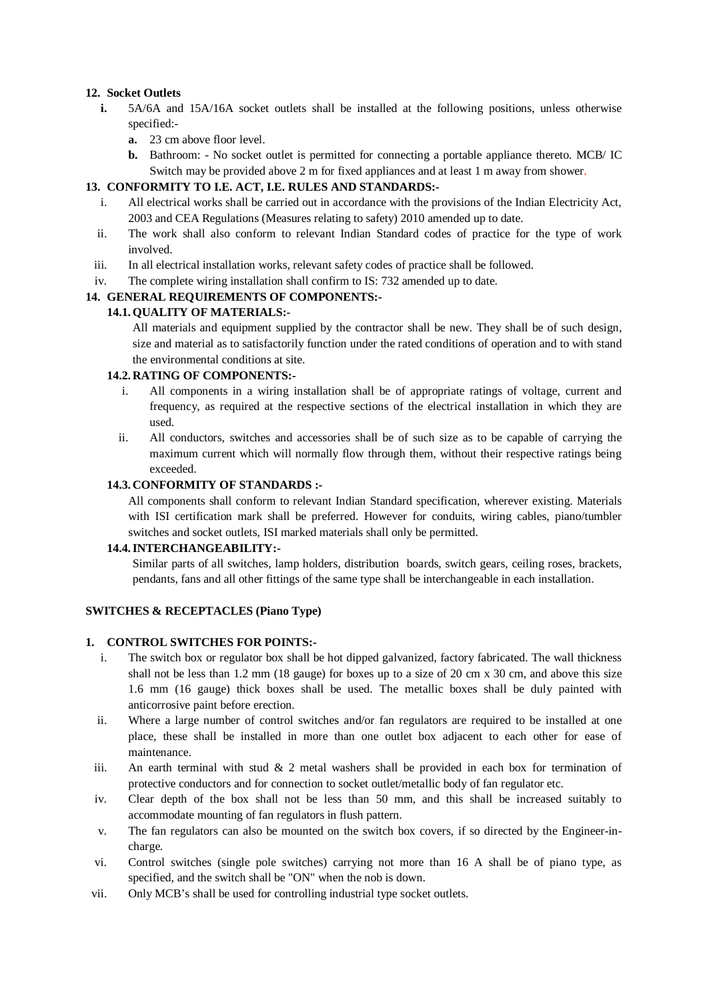## **12. Socket Outlets**

- **i.** 5A/6A and 15A/16A socket outlets shall be installed at the following positions, unless otherwise specified:
	- **a.** 23 cm above floor level.
	- **b.** Bathroom: No socket outlet is permitted for connecting a portable appliance thereto. MCB/ IC Switch may be provided above 2 m for fixed appliances and at least 1 m away from shower.

## **13. CONFORMITY TO I.E. ACT, I.E. RULES AND STANDARDS:-**

- i. All electrical works shall be carried out in accordance with the provisions of the Indian Electricity Act, 2003 and CEA Regulations (Measures relating to safety) 2010 amended up to date.
- ii. The work shall also conform to relevant Indian Standard codes of practice for the type of work involved.
- iii. In all electrical installation works, relevant safety codes of practice shall be followed.
- iv. The complete wiring installation shall confirm to IS: 732 amended up to date.

## **14. GENERAL REQUIREMENTS OF COMPONENTS:-**

## **14.1.QUALITY OF MATERIALS:-**

All materials and equipment supplied by the contractor shall be new. They shall be of such design, size and material as to satisfactorily function under the rated conditions of operation and to with stand the environmental conditions at site.

## **14.2. RATING OF COMPONENTS:-**

- i. All components in a wiring installation shall be of appropriate ratings of voltage, current and frequency, as required at the respective sections of the electrical installation in which they are used.
- ii. All conductors, switches and accessories shall be of such size as to be capable of carrying the maximum current which will normally flow through them, without their respective ratings being exceeded.

## **14.3. CONFORMITY OF STANDARDS :-**

All components shall conform to relevant Indian Standard specification, wherever existing. Materials with ISI certification mark shall be preferred. However for conduits, wiring cables, piano/tumbler switches and socket outlets, ISI marked materials shall only be permitted.

## **14.4.INTERCHANGEABILITY:-**

Similar parts of all switches, lamp holders, distribution boards, switch gears, ceiling roses, brackets, pendants, fans and all other fittings of the same type shall be interchangeable in each installation.

## **SWITCHES & RECEPTACLES (Piano Type)**

## **1. CONTROL SWITCHES FOR POINTS:-**

- i. The switch box or regulator box shall be hot dipped galvanized, factory fabricated. The wall thickness shall not be less than 1.2 mm (18 gauge) for boxes up to a size of 20 cm x 30 cm, and above this size 1.6 mm (16 gauge) thick boxes shall be used. The metallic boxes shall be duly painted with anticorrosive paint before erection.
- ii. Where a large number of control switches and/or fan regulators are required to be installed at one place, these shall be installed in more than one outlet box adjacent to each other for ease of maintenance.
- iii. An earth terminal with stud  $\&$  2 metal washers shall be provided in each box for termination of protective conductors and for connection to socket outlet/metallic body of fan regulator etc.
- iv. Clear depth of the box shall not be less than 50 mm, and this shall be increased suitably to accommodate mounting of fan regulators in flush pattern.
- v. The fan regulators can also be mounted on the switch box covers, if so directed by the Engineer-incharge.
- vi. Control switches (single pole switches) carrying not more than 16 A shall be of piano type, as specified, and the switch shall be "ON" when the nob is down.
- vii. Only MCB's shall be used for controlling industrial type socket outlets.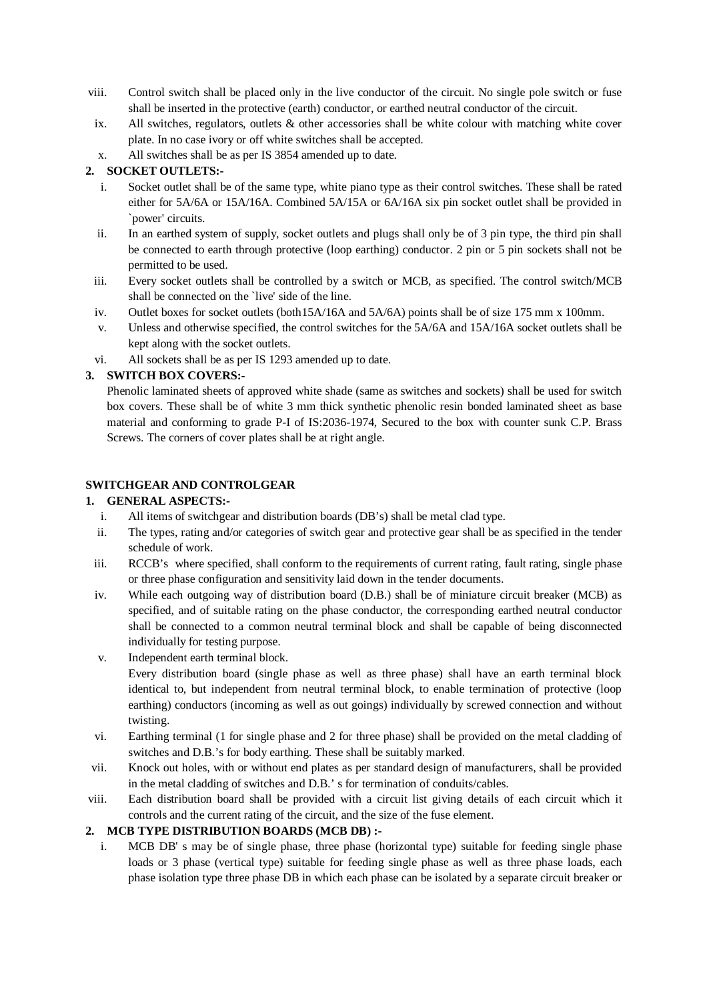- viii. Control switch shall be placed only in the live conductor of the circuit. No single pole switch or fuse shall be inserted in the protective (earth) conductor, or earthed neutral conductor of the circuit.
- ix. All switches, regulators, outlets & other accessories shall be white colour with matching white cover plate. In no case ivory or off white switches shall be accepted.
- x. All switches shall be as per IS 3854 amended up to date.

# **2. SOCKET OUTLETS:-**

- i. Socket outlet shall be of the same type, white piano type as their control switches. These shall be rated either for 5A/6A or 15A/16A. Combined 5A/15A or 6A/16A six pin socket outlet shall be provided in `power' circuits.
- ii. In an earthed system of supply, socket outlets and plugs shall only be of 3 pin type, the third pin shall be connected to earth through protective (loop earthing) conductor. 2 pin or 5 pin sockets shall not be permitted to be used.
- iii. Every socket outlets shall be controlled by a switch or MCB, as specified. The control switch/MCB shall be connected on the `live' side of the line.
- iv. Outlet boxes for socket outlets (both15A/16A and 5A/6A) points shall be of size 175 mm x 100mm.
- v. Unless and otherwise specified, the control switches for the 5A/6A and 15A/16A socket outlets shall be kept along with the socket outlets.
- vi. All sockets shall be as per IS 1293 amended up to date.

# **3. SWITCH BOX COVERS:-**

Phenolic laminated sheets of approved white shade (same as switches and sockets) shall be used for switch box covers. These shall be of white 3 mm thick synthetic phenolic resin bonded laminated sheet as base material and conforming to grade P-I of IS:2036-1974, Secured to the box with counter sunk C.P. Brass Screws. The corners of cover plates shall be at right angle.

# **SWITCHGEAR AND CONTROLGEAR**

## **1. GENERAL ASPECTS:-**

- i. All items of switchgear and distribution boards (DB's) shall be metal clad type.
- ii. The types, rating and/or categories of switch gear and protective gear shall be as specified in the tender schedule of work.
- iii. RCCB's where specified, shall conform to the requirements of current rating, fault rating, single phase or three phase configuration and sensitivity laid down in the tender documents.
- iv. While each outgoing way of distribution board (D.B.) shall be of miniature circuit breaker (MCB) as specified, and of suitable rating on the phase conductor, the corresponding earthed neutral conductor shall be connected to a common neutral terminal block and shall be capable of being disconnected individually for testing purpose.
- v. Independent earth terminal block.

Every distribution board (single phase as well as three phase) shall have an earth terminal block identical to, but independent from neutral terminal block, to enable termination of protective (loop earthing) conductors (incoming as well as out goings) individually by screwed connection and without twisting.

- vi. Earthing terminal (1 for single phase and 2 for three phase) shall be provided on the metal cladding of switches and D.B.'s for body earthing. These shall be suitably marked.
- vii. Knock out holes, with or without end plates as per standard design of manufacturers, shall be provided in the metal cladding of switches and D.B.' s for termination of conduits/cables.
- viii. Each distribution board shall be provided with a circuit list giving details of each circuit which it controls and the current rating of the circuit, and the size of the fuse element.

## **2. MCB TYPE DISTRIBUTION BOARDS (MCB DB) :-**

i. MCB DB' s may be of single phase, three phase (horizontal type) suitable for feeding single phase loads or 3 phase (vertical type) suitable for feeding single phase as well as three phase loads, each phase isolation type three phase DB in which each phase can be isolated by a separate circuit breaker or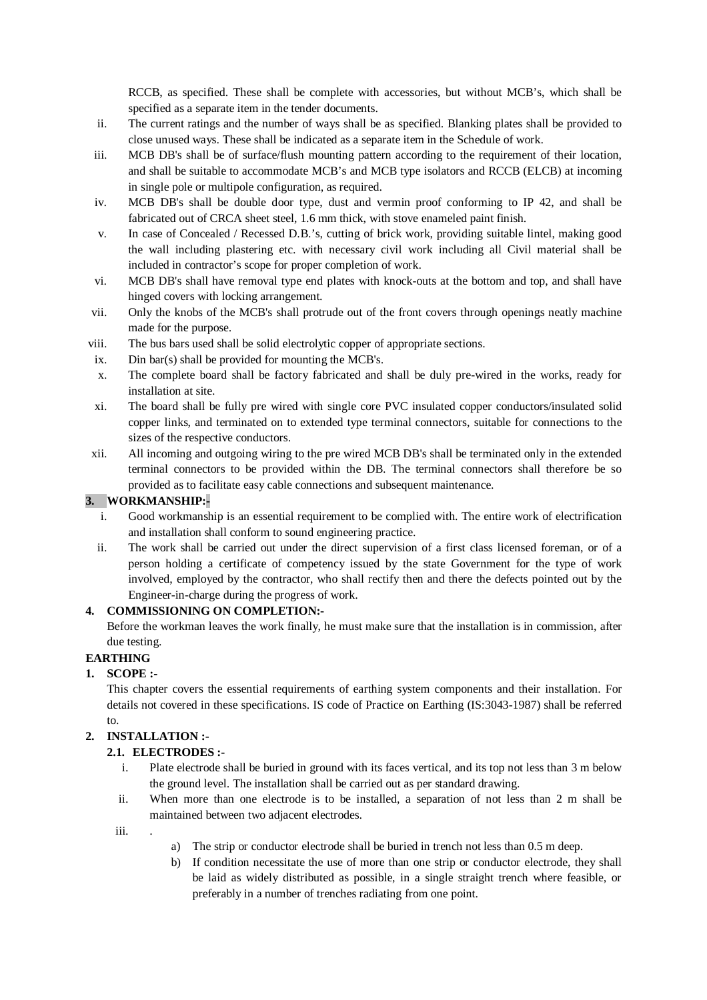RCCB, as specified. These shall be complete with accessories, but without MCB's, which shall be specified as a separate item in the tender documents.

- ii. The current ratings and the number of ways shall be as specified. Blanking plates shall be provided to close unused ways. These shall be indicated as a separate item in the Schedule of work.
- iii. MCB DB's shall be of surface/flush mounting pattern according to the requirement of their location, and shall be suitable to accommodate MCB's and MCB type isolators and RCCB (ELCB) at incoming in single pole or multipole configuration, as required.
- iv. MCB DB's shall be double door type, dust and vermin proof conforming to IP 42, and shall be fabricated out of CRCA sheet steel, 1.6 mm thick, with stove enameled paint finish.
- v. In case of Concealed / Recessed D.B.'s, cutting of brick work, providing suitable lintel, making good the wall including plastering etc. with necessary civil work including all Civil material shall be included in contractor's scope for proper completion of work.
- vi. MCB DB's shall have removal type end plates with knock-outs at the bottom and top, and shall have hinged covers with locking arrangement.
- vii. Only the knobs of the MCB's shall protrude out of the front covers through openings neatly machine made for the purpose.
- viii. The bus bars used shall be solid electrolytic copper of appropriate sections.
- ix. Din bar(s) shall be provided for mounting the MCB's.
- x. The complete board shall be factory fabricated and shall be duly pre-wired in the works, ready for installation at site.
- xi. The board shall be fully pre wired with single core PVC insulated copper conductors/insulated solid copper links, and terminated on to extended type terminal connectors, suitable for connections to the sizes of the respective conductors.
- xii. All incoming and outgoing wiring to the pre wired MCB DB's shall be terminated only in the extended terminal connectors to be provided within the DB. The terminal connectors shall therefore be so provided as to facilitate easy cable connections and subsequent maintenance.

# **3. WORKMANSHIP:-**

- i. Good workmanship is an essential requirement to be complied with. The entire work of electrification and installation shall conform to sound engineering practice.
- ii. The work shall be carried out under the direct supervision of a first class licensed foreman, or of a person holding a certificate of competency issued by the state Government for the type of work involved, employed by the contractor, who shall rectify then and there the defects pointed out by the Engineer-in-charge during the progress of work.

## **4. COMMISSIONING ON COMPLETION:-**

Before the workman leaves the work finally, he must make sure that the installation is in commission, after due testing.

# **EARTHING**

# **1. SCOPE :-**

This chapter covers the essential requirements of earthing system components and their installation. For details not covered in these specifications. IS code of Practice on Earthing (IS:3043-1987) shall be referred to.

# **2. INSTALLATION :-**

## **2.1. ELECTRODES :-**

- i. Plate electrode shall be buried in ground with its faces vertical, and its top not less than 3 m below the ground level. The installation shall be carried out as per standard drawing.
- ii. When more than one electrode is to be installed, a separation of not less than 2 m shall be maintained between two adjacent electrodes.

iii.

- a) The strip or conductor electrode shall be buried in trench not less than 0.5 m deep.
- b) If condition necessitate the use of more than one strip or conductor electrode, they shall be laid as widely distributed as possible, in a single straight trench where feasible, or preferably in a number of trenches radiating from one point.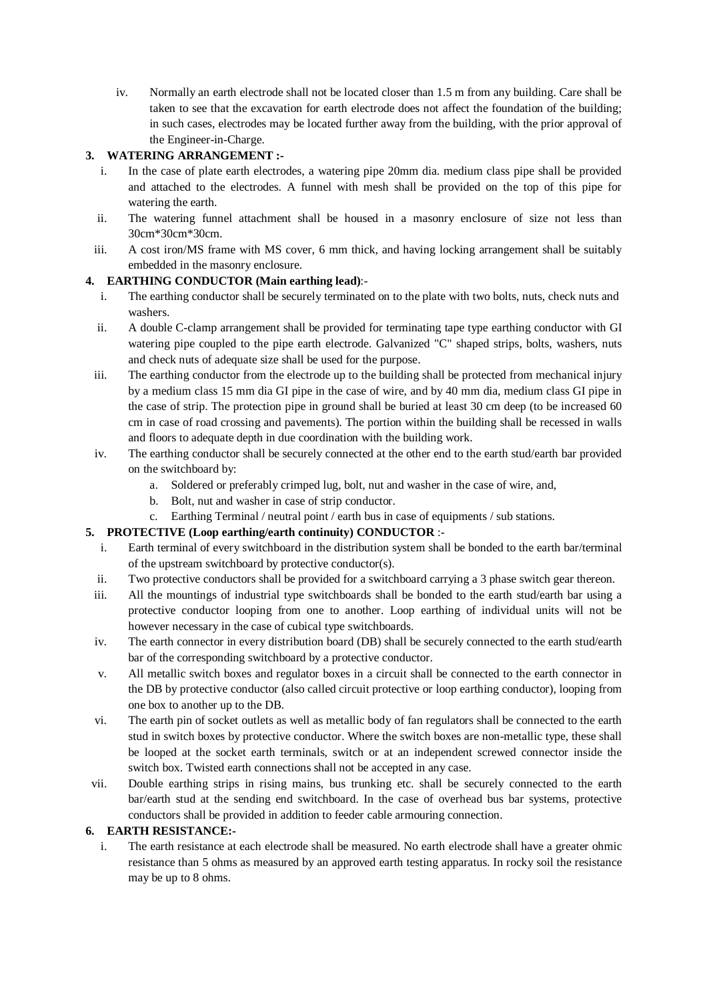iv. Normally an earth electrode shall not be located closer than 1.5 m from any building. Care shall be taken to see that the excavation for earth electrode does not affect the foundation of the building; in such cases, electrodes may be located further away from the building, with the prior approval of the Engineer-in-Charge.

# **3. WATERING ARRANGEMENT :-**

- i. In the case of plate earth electrodes, a watering pipe 20mm dia. medium class pipe shall be provided and attached to the electrodes. A funnel with mesh shall be provided on the top of this pipe for watering the earth.
- ii. The watering funnel attachment shall be housed in a masonry enclosure of size not less than 30cm\*30cm\*30cm.
- iii. A cost iron/MS frame with MS cover, 6 mm thick, and having locking arrangement shall be suitably embedded in the masonry enclosure.

## **4. EARTHING CONDUCTOR (Main earthing lead)**:-

- i. The earthing conductor shall be securely terminated on to the plate with two bolts, nuts, check nuts and washers.
- ii. A double C-clamp arrangement shall be provided for terminating tape type earthing conductor with GI watering pipe coupled to the pipe earth electrode. Galvanized "C" shaped strips, bolts, washers, nuts and check nuts of adequate size shall be used for the purpose.
- iii. The earthing conductor from the electrode up to the building shall be protected from mechanical injury by a medium class 15 mm dia GI pipe in the case of wire, and by 40 mm dia, medium class GI pipe in the case of strip. The protection pipe in ground shall be buried at least 30 cm deep (to be increased 60 cm in case of road crossing and pavements). The portion within the building shall be recessed in walls and floors to adequate depth in due coordination with the building work.
- iv. The earthing conductor shall be securely connected at the other end to the earth stud/earth bar provided on the switchboard by:
	- a. Soldered or preferably crimped lug, bolt, nut and washer in the case of wire, and,
	- b. Bolt, nut and washer in case of strip conductor.
	- c. Earthing Terminal / neutral point / earth bus in case of equipments / sub stations.

## **5. PROTECTIVE (Loop earthing/earth continuity) CONDUCTOR** :-

- i. Earth terminal of every switchboard in the distribution system shall be bonded to the earth bar/terminal of the upstream switchboard by protective conductor(s).
- ii. Two protective conductors shall be provided for a switchboard carrying a 3 phase switch gear thereon.
- iii. All the mountings of industrial type switchboards shall be bonded to the earth stud/earth bar using a protective conductor looping from one to another. Loop earthing of individual units will not be however necessary in the case of cubical type switchboards.
- iv. The earth connector in every distribution board (DB) shall be securely connected to the earth stud/earth bar of the corresponding switchboard by a protective conductor.
- v. All metallic switch boxes and regulator boxes in a circuit shall be connected to the earth connector in the DB by protective conductor (also called circuit protective or loop earthing conductor), looping from one box to another up to the DB.
- vi. The earth pin of socket outlets as well as metallic body of fan regulators shall be connected to the earth stud in switch boxes by protective conductor. Where the switch boxes are non-metallic type, these shall be looped at the socket earth terminals, switch or at an independent screwed connector inside the switch box. Twisted earth connections shall not be accepted in any case.
- vii. Double earthing strips in rising mains, bus trunking etc. shall be securely connected to the earth bar/earth stud at the sending end switchboard. In the case of overhead bus bar systems, protective conductors shall be provided in addition to feeder cable armouring connection.

## **6. EARTH RESISTANCE:-**

i. The earth resistance at each electrode shall be measured. No earth electrode shall have a greater ohmic resistance than 5 ohms as measured by an approved earth testing apparatus. In rocky soil the resistance may be up to 8 ohms.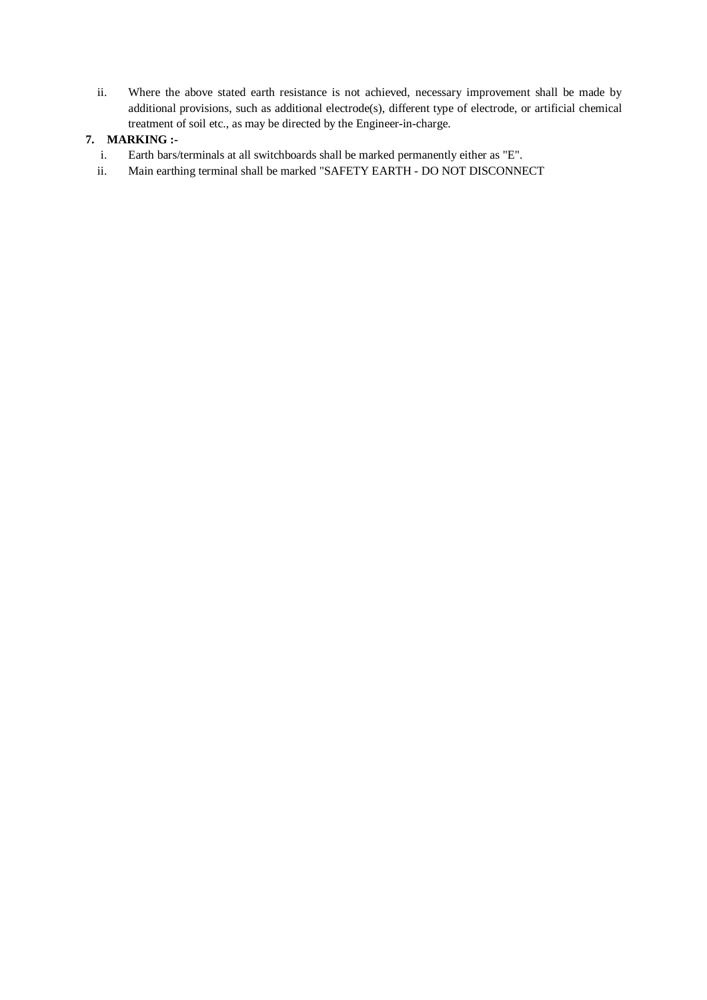ii. Where the above stated earth resistance is not achieved, necessary improvement shall be made by additional provisions, such as additional electrode(s), different type of electrode, or artificial chemical treatment of soil etc., as may be directed by the Engineer-in-charge.

# **7. MARKING :-**

- i. Earth bars/terminals at all switchboards shall be marked permanently either as "E".
- ii. Main earthing terminal shall be marked "SAFETY EARTH DO NOT DISCONNECT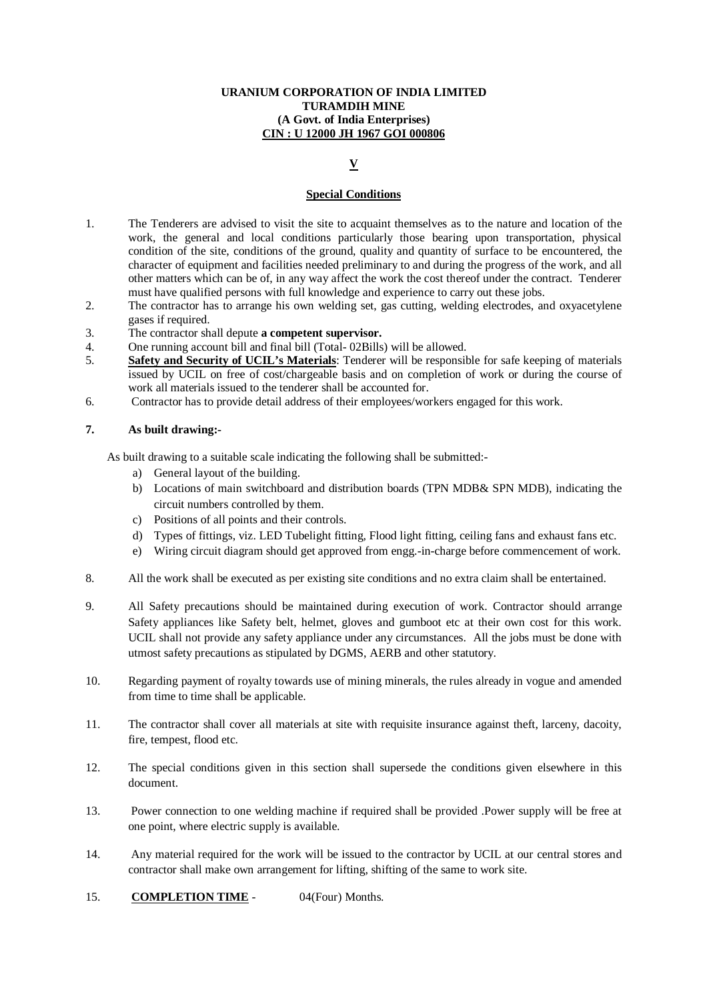## **V**

#### **Special Conditions**

- 1. The Tenderers are advised to visit the site to acquaint themselves as to the nature and location of the work, the general and local conditions particularly those bearing upon transportation, physical condition of the site, conditions of the ground, quality and quantity of surface to be encountered, the character of equipment and facilities needed preliminary to and during the progress of the work, and all other matters which can be of, in any way affect the work the cost thereof under the contract. Tenderer must have qualified persons with full knowledge and experience to carry out these jobs.
- 2. The contractor has to arrange his own welding set, gas cutting, welding electrodes, and oxyacetylene gases if required.
- 3. The contractor shall depute **a competent supervisor.**
- 4. One running account bill and final bill (Total- 02Bills) will be allowed.
- 5. **Safety and Security of UCIL's Materials**: Tenderer will be responsible for safe keeping of materials issued by UCIL on free of cost/chargeable basis and on completion of work or during the course of work all materials issued to the tenderer shall be accounted for.
- 6. Contractor has to provide detail address of their employees/workers engaged for this work.

#### **7. As built drawing:-**

As built drawing to a suitable scale indicating the following shall be submitted:-

- a) General layout of the building.
- b) Locations of main switchboard and distribution boards (TPN MDB& SPN MDB), indicating the circuit numbers controlled by them.
- c) Positions of all points and their controls.
- d) Types of fittings, viz. LED Tubelight fitting, Flood light fitting, ceiling fans and exhaust fans etc.
- e) Wiring circuit diagram should get approved from engg.-in-charge before commencement of work.
- 8. All the work shall be executed as per existing site conditions and no extra claim shall be entertained.
- 9. All Safety precautions should be maintained during execution of work. Contractor should arrange Safety appliances like Safety belt, helmet, gloves and gumboot etc at their own cost for this work. UCIL shall not provide any safety appliance under any circumstances. All the jobs must be done with utmost safety precautions as stipulated by DGMS, AERB and other statutory.
- 10. Regarding payment of royalty towards use of mining minerals, the rules already in vogue and amended from time to time shall be applicable.
- 11. The contractor shall cover all materials at site with requisite insurance against theft, larceny, dacoity, fire, tempest, flood etc.
- 12. The special conditions given in this section shall supersede the conditions given elsewhere in this document.
- 13. Power connection to one welding machine if required shall be provided .Power supply will be free at one point, where electric supply is available.
- 14. Any material required for the work will be issued to the contractor by UCIL at our central stores and contractor shall make own arrangement for lifting, shifting of the same to work site.
- 15. **COMPLETION TIME** 04(Four) Months.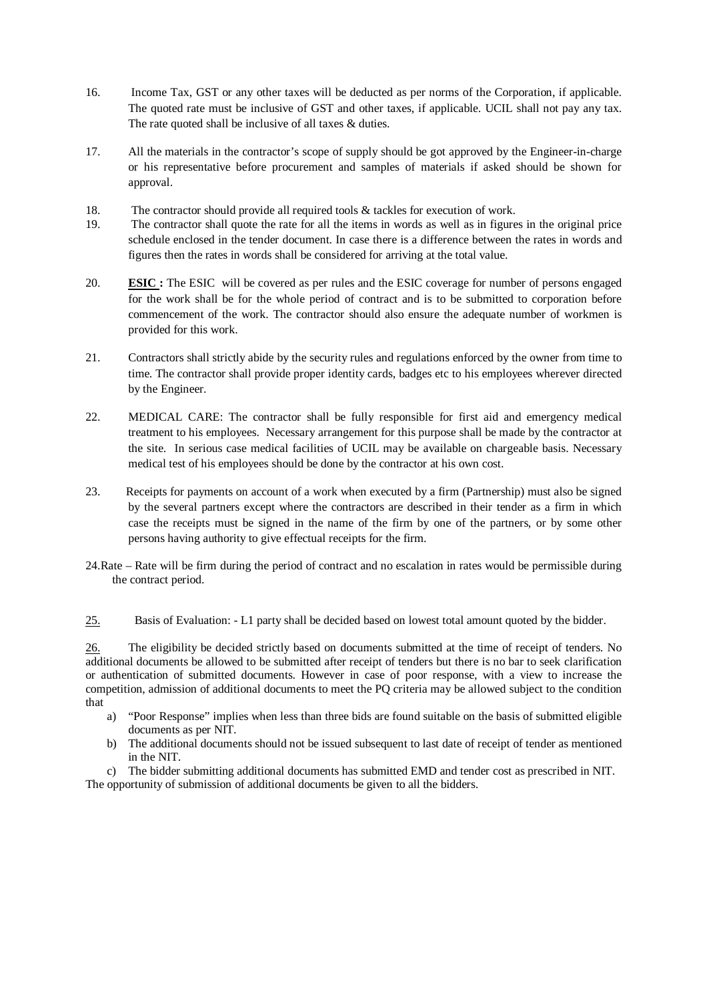- 16. Income Tax, GST or any other taxes will be deducted as per norms of the Corporation, if applicable. The quoted rate must be inclusive of GST and other taxes, if applicable. UCIL shall not pay any tax. The rate quoted shall be inclusive of all taxes & duties.
- 17. All the materials in the contractor's scope of supply should be got approved by the Engineer-in-charge or his representative before procurement and samples of materials if asked should be shown for approval.
- 18. The contractor should provide all required tools & tackles for execution of work.
- 19. The contractor shall quote the rate for all the items in words as well as in figures in the original price schedule enclosed in the tender document. In case there is a difference between the rates in words and figures then the rates in words shall be considered for arriving at the total value.
- 20. **ESIC :** The ESIC will be covered as per rules and the ESIC coverage for number of persons engaged for the work shall be for the whole period of contract and is to be submitted to corporation before commencement of the work. The contractor should also ensure the adequate number of workmen is provided for this work.
- 21. Contractors shall strictly abide by the security rules and regulations enforced by the owner from time to time. The contractor shall provide proper identity cards, badges etc to his employees wherever directed by the Engineer.
- 22. MEDICAL CARE: The contractor shall be fully responsible for first aid and emergency medical treatment to his employees. Necessary arrangement for this purpose shall be made by the contractor at the site. In serious case medical facilities of UCIL may be available on chargeable basis. Necessary medical test of his employees should be done by the contractor at his own cost.
- 23. Receipts for payments on account of a work when executed by a firm (Partnership) must also be signed by the several partners except where the contractors are described in their tender as a firm in which case the receipts must be signed in the name of the firm by one of the partners, or by some other persons having authority to give effectual receipts for the firm.
- 24.Rate Rate will be firm during the period of contract and no escalation in rates would be permissible during the contract period.

25. Basis of Evaluation: - L1 party shall be decided based on lowest total amount quoted by the bidder.

26. The eligibility be decided strictly based on documents submitted at the time of receipt of tenders. No additional documents be allowed to be submitted after receipt of tenders but there is no bar to seek clarification or authentication of submitted documents. However in case of poor response, with a view to increase the competition, admission of additional documents to meet the PQ criteria may be allowed subject to the condition that

- a) "Poor Response" implies when less than three bids are found suitable on the basis of submitted eligible documents as per NIT.
- b) The additional documents should not be issued subsequent to last date of receipt of tender as mentioned in the NIT.

c) The bidder submitting additional documents has submitted EMD and tender cost as prescribed in NIT. The opportunity of submission of additional documents be given to all the bidders.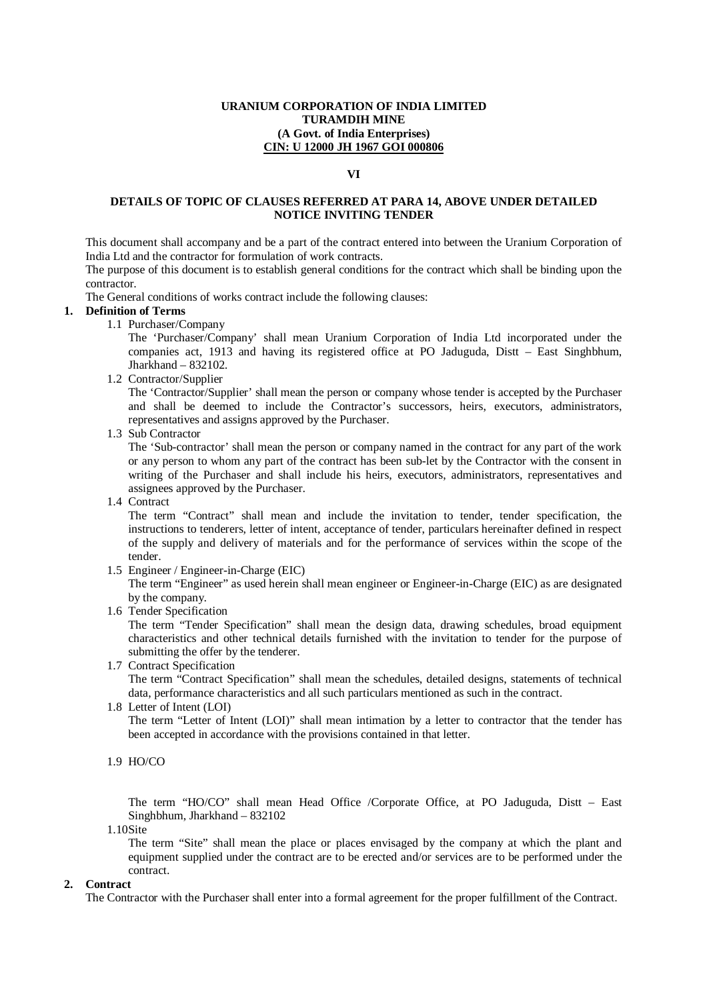#### **VI**

## **DETAILS OF TOPIC OF CLAUSES REFERRED AT PARA 14, ABOVE UNDER DETAILED NOTICE INVITING TENDER**

This document shall accompany and be a part of the contract entered into between the Uranium Corporation of India Ltd and the contractor for formulation of work contracts.

The purpose of this document is to establish general conditions for the contract which shall be binding upon the contractor.

The General conditions of works contract include the following clauses:

#### **1. Definition of Terms**

1.1 Purchaser/Company

The 'Purchaser/Company' shall mean Uranium Corporation of India Ltd incorporated under the companies act, 1913 and having its registered office at PO Jaduguda, Distt – East Singhbhum, Jharkhand – 832102.

1.2 Contractor/Supplier

The 'Contractor/Supplier' shall mean the person or company whose tender is accepted by the Purchaser and shall be deemed to include the Contractor's successors, heirs, executors, administrators, representatives and assigns approved by the Purchaser.

1.3 Sub Contractor

The 'Sub-contractor' shall mean the person or company named in the contract for any part of the work or any person to whom any part of the contract has been sub-let by the Contractor with the consent in writing of the Purchaser and shall include his heirs, executors, administrators, representatives and assignees approved by the Purchaser.

1.4 Contract

The term "Contract" shall mean and include the invitation to tender, tender specification, the instructions to tenderers, letter of intent, acceptance of tender, particulars hereinafter defined in respect of the supply and delivery of materials and for the performance of services within the scope of the tender.

1.5 Engineer / Engineer-in-Charge (EIC)

The term "Engineer" as used herein shall mean engineer or Engineer-in-Charge (EIC) as are designated by the company.

1.6 Tender Specification

The term "Tender Specification" shall mean the design data, drawing schedules, broad equipment characteristics and other technical details furnished with the invitation to tender for the purpose of submitting the offer by the tenderer.

- 1.7 Contract Specification The term "Contract Specification" shall mean the schedules, detailed designs, statements of technical data, performance characteristics and all such particulars mentioned as such in the contract.
- 1.8 Letter of Intent (LOI)

The term "Letter of Intent (LOI)" shall mean intimation by a letter to contractor that the tender has been accepted in accordance with the provisions contained in that letter.

1.9 HO/CO

The term "HO/CO" shall mean Head Office /Corporate Office, at PO Jaduguda, Distt – East Singhbhum, Jharkhand – 832102

1.10Site

The term "Site" shall mean the place or places envisaged by the company at which the plant and equipment supplied under the contract are to be erected and/or services are to be performed under the contract.

#### **2. Contract**

The Contractor with the Purchaser shall enter into a formal agreement for the proper fulfillment of the Contract.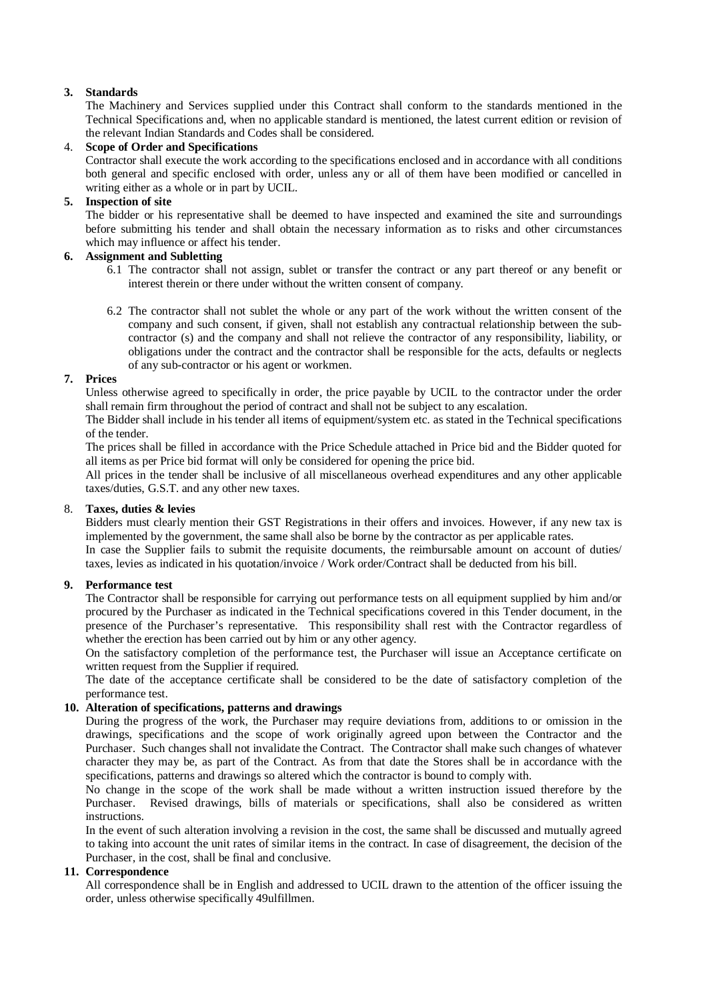## **3. Standards**

The Machinery and Services supplied under this Contract shall conform to the standards mentioned in the Technical Specifications and, when no applicable standard is mentioned, the latest current edition or revision of the relevant Indian Standards and Codes shall be considered.

## 4. **Scope of Order and Specifications**

Contractor shall execute the work according to the specifications enclosed and in accordance with all conditions both general and specific enclosed with order, unless any or all of them have been modified or cancelled in writing either as a whole or in part by UCIL.

## **5. Inspection of site**

The bidder or his representative shall be deemed to have inspected and examined the site and surroundings before submitting his tender and shall obtain the necessary information as to risks and other circumstances which may influence or affect his tender.

## **6. Assignment and Subletting**

- 6.1 The contractor shall not assign, sublet or transfer the contract or any part thereof or any benefit or interest therein or there under without the written consent of company.
- 6.2 The contractor shall not sublet the whole or any part of the work without the written consent of the company and such consent, if given, shall not establish any contractual relationship between the subcontractor (s) and the company and shall not relieve the contractor of any responsibility, liability, or obligations under the contract and the contractor shall be responsible for the acts, defaults or neglects of any sub-contractor or his agent or workmen.

## **7. Prices**

Unless otherwise agreed to specifically in order, the price payable by UCIL to the contractor under the order shall remain firm throughout the period of contract and shall not be subject to any escalation.

The Bidder shall include in his tender all items of equipment/system etc. as stated in the Technical specifications of the tender.

The prices shall be filled in accordance with the Price Schedule attached in Price bid and the Bidder quoted for all items as per Price bid format will only be considered for opening the price bid.

All prices in the tender shall be inclusive of all miscellaneous overhead expenditures and any other applicable taxes/duties, G.S.T. and any other new taxes.

## 8. **Taxes, duties & levies**

Bidders must clearly mention their GST Registrations in their offers and invoices. However, if any new tax is implemented by the government, the same shall also be borne by the contractor as per applicable rates.

In case the Supplier fails to submit the requisite documents, the reimbursable amount on account of duties/ taxes, levies as indicated in his quotation/invoice / Work order/Contract shall be deducted from his bill.

## **9. Performance test**

The Contractor shall be responsible for carrying out performance tests on all equipment supplied by him and/or procured by the Purchaser as indicated in the Technical specifications covered in this Tender document, in the presence of the Purchaser's representative. This responsibility shall rest with the Contractor regardless of whether the erection has been carried out by him or any other agency.

On the satisfactory completion of the performance test, the Purchaser will issue an Acceptance certificate on written request from the Supplier if required.

The date of the acceptance certificate shall be considered to be the date of satisfactory completion of the performance test.

## **10. Alteration of specifications, patterns and drawings**

During the progress of the work, the Purchaser may require deviations from, additions to or omission in the drawings, specifications and the scope of work originally agreed upon between the Contractor and the Purchaser. Such changes shall not invalidate the Contract. The Contractor shall make such changes of whatever character they may be, as part of the Contract. As from that date the Stores shall be in accordance with the specifications, patterns and drawings so altered which the contractor is bound to comply with.

No change in the scope of the work shall be made without a written instruction issued therefore by the Purchaser. Revised drawings, bills of materials or specifications, shall also be considered as written instructions.

In the event of such alteration involving a revision in the cost, the same shall be discussed and mutually agreed to taking into account the unit rates of similar items in the contract. In case of disagreement, the decision of the Purchaser, in the cost, shall be final and conclusive.

## **11. Correspondence**

All correspondence shall be in English and addressed to UCIL drawn to the attention of the officer issuing the order, unless otherwise specifically 49ulfillmen.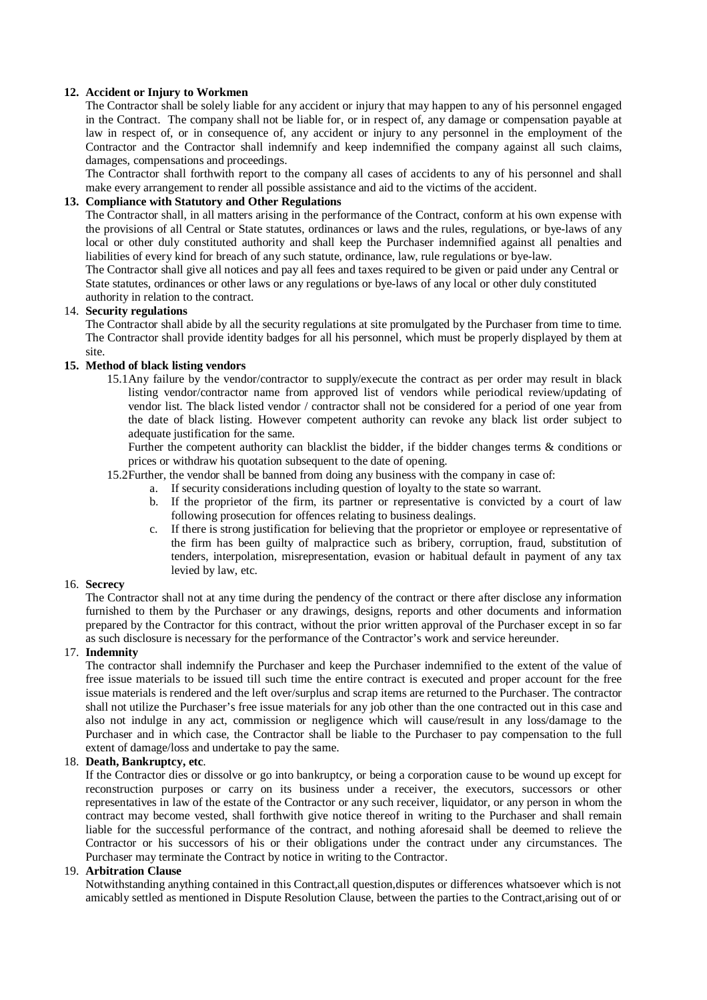## **12. Accident or Injury to Workmen**

The Contractor shall be solely liable for any accident or injury that may happen to any of his personnel engaged in the Contract. The company shall not be liable for, or in respect of, any damage or compensation payable at law in respect of, or in consequence of, any accident or injury to any personnel in the employment of the Contractor and the Contractor shall indemnify and keep indemnified the company against all such claims, damages, compensations and proceedings.

The Contractor shall forthwith report to the company all cases of accidents to any of his personnel and shall make every arrangement to render all possible assistance and aid to the victims of the accident.

## **13. Compliance with Statutory and Other Regulations**

The Contractor shall, in all matters arising in the performance of the Contract, conform at his own expense with the provisions of all Central or State statutes, ordinances or laws and the rules, regulations, or bye-laws of any local or other duly constituted authority and shall keep the Purchaser indemnified against all penalties and liabilities of every kind for breach of any such statute, ordinance, law, rule regulations or bye-law.

The Contractor shall give all notices and pay all fees and taxes required to be given or paid under any Central or State statutes, ordinances or other laws or any regulations or bye-laws of any local or other duly constituted authority in relation to the contract.

## 14. **Security regulations**

The Contractor shall abide by all the security regulations at site promulgated by the Purchaser from time to time. The Contractor shall provide identity badges for all his personnel, which must be properly displayed by them at site.

## **15. Method of black listing vendors**

15.1Any failure by the vendor/contractor to supply/execute the contract as per order may result in black listing vendor/contractor name from approved list of vendors while periodical review/updating of vendor list. The black listed vendor / contractor shall not be considered for a period of one year from the date of black listing. However competent authority can revoke any black list order subject to adequate justification for the same.

Further the competent authority can blacklist the bidder, if the bidder changes terms & conditions or prices or withdraw his quotation subsequent to the date of opening.

- 15.2Further, the vendor shall be banned from doing any business with the company in case of:
	- a. If security considerations including question of loyalty to the state so warrant.
	- b. If the proprietor of the firm, its partner or representative is convicted by a court of law following prosecution for offences relating to business dealings.
	- c. If there is strong justification for believing that the proprietor or employee or representative of the firm has been guilty of malpractice such as bribery, corruption, fraud, substitution of tenders, interpolation, misrepresentation, evasion or habitual default in payment of any tax levied by law, etc.

## 16. **Secrecy**

The Contractor shall not at any time during the pendency of the contract or there after disclose any information furnished to them by the Purchaser or any drawings, designs, reports and other documents and information prepared by the Contractor for this contract, without the prior written approval of the Purchaser except in so far as such disclosure is necessary for the performance of the Contractor's work and service hereunder.

## 17. **Indemnity**

The contractor shall indemnify the Purchaser and keep the Purchaser indemnified to the extent of the value of free issue materials to be issued till such time the entire contract is executed and proper account for the free issue materials is rendered and the left over/surplus and scrap items are returned to the Purchaser. The contractor shall not utilize the Purchaser's free issue materials for any job other than the one contracted out in this case and also not indulge in any act, commission or negligence which will cause/result in any loss/damage to the Purchaser and in which case, the Contractor shall be liable to the Purchaser to pay compensation to the full extent of damage/loss and undertake to pay the same.

## 18. **Death, Bankruptcy, etc**.

If the Contractor dies or dissolve or go into bankruptcy, or being a corporation cause to be wound up except for reconstruction purposes or carry on its business under a receiver, the executors, successors or other representatives in law of the estate of the Contractor or any such receiver, liquidator, or any person in whom the contract may become vested, shall forthwith give notice thereof in writing to the Purchaser and shall remain liable for the successful performance of the contract, and nothing aforesaid shall be deemed to relieve the Contractor or his successors of his or their obligations under the contract under any circumstances. The Purchaser may terminate the Contract by notice in writing to the Contractor.

#### 19. **Arbitration Clause**

Notwithstanding anything contained in this Contract,all question,disputes or differences whatsoever which is not amicably settled as mentioned in Dispute Resolution Clause, between the parties to the Contract,arising out of or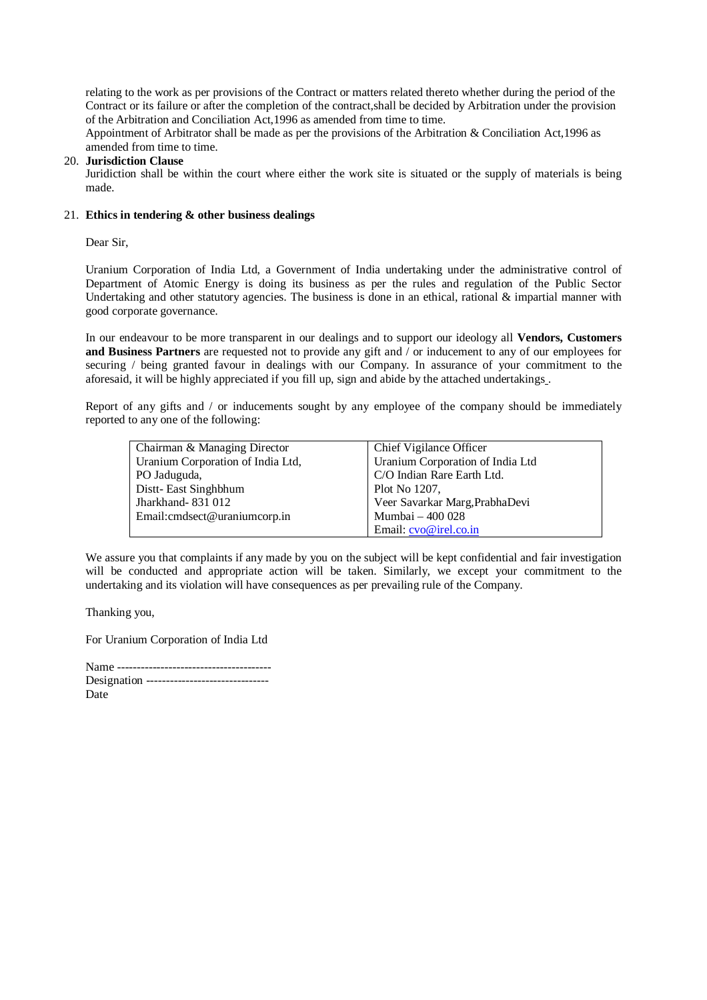relating to the work as per provisions of the Contract or matters related thereto whether during the period of the Contract or its failure or after the completion of the contract,shall be decided by Arbitration under the provision of the Arbitration and Conciliation Act,1996 as amended from time to time.

Appointment of Arbitrator shall be made as per the provisions of the Arbitration & Conciliation Act,1996 as amended from time to time.

#### 20. **Jurisdiction Clause**

Juridiction shall be within the court where either the work site is situated or the supply of materials is being made.

#### 21. **Ethics in tendering & other business dealings**

Dear Sir,

Uranium Corporation of India Ltd, a Government of India undertaking under the administrative control of Department of Atomic Energy is doing its business as per the rules and regulation of the Public Sector Undertaking and other statutory agencies. The business is done in an ethical, rational & impartial manner with good corporate governance.

In our endeavour to be more transparent in our dealings and to support our ideology all **Vendors, Customers and Business Partners** are requested not to provide any gift and / or inducement to any of our employees for securing / being granted favour in dealings with our Company. In assurance of your commitment to the aforesaid, it will be highly appreciated if you fill up, sign and abide by the attached undertakings .

Report of any gifts and / or inducements sought by any employee of the company should be immediately reported to any one of the following:

| Chairman & Managing Director      | Chief Vigilance Officer          |
|-----------------------------------|----------------------------------|
| Uranium Corporation of India Ltd, | Uranium Corporation of India Ltd |
| PO Jaduguda,                      | C/O Indian Rare Earth Ltd.       |
| Distt-East Singhbhum              | Plot No 1207,                    |
| Jharkhand-831012                  | Veer Savarkar Marg, PrabhaDevi   |
| Email: cmdsect@uraniumcorp.in     | Mumbai - 400 028                 |
|                                   | Email: cvo@irel.co.in            |

We assure you that complaints if any made by you on the subject will be kept confidential and fair investigation will be conducted and appropriate action will be taken. Similarly, we except your commitment to the undertaking and its violation will have consequences as per prevailing rule of the Company.

Thanking you,

For Uranium Corporation of India Ltd

| Designation ------------------------------- |  |
|---------------------------------------------|--|
| Date                                        |  |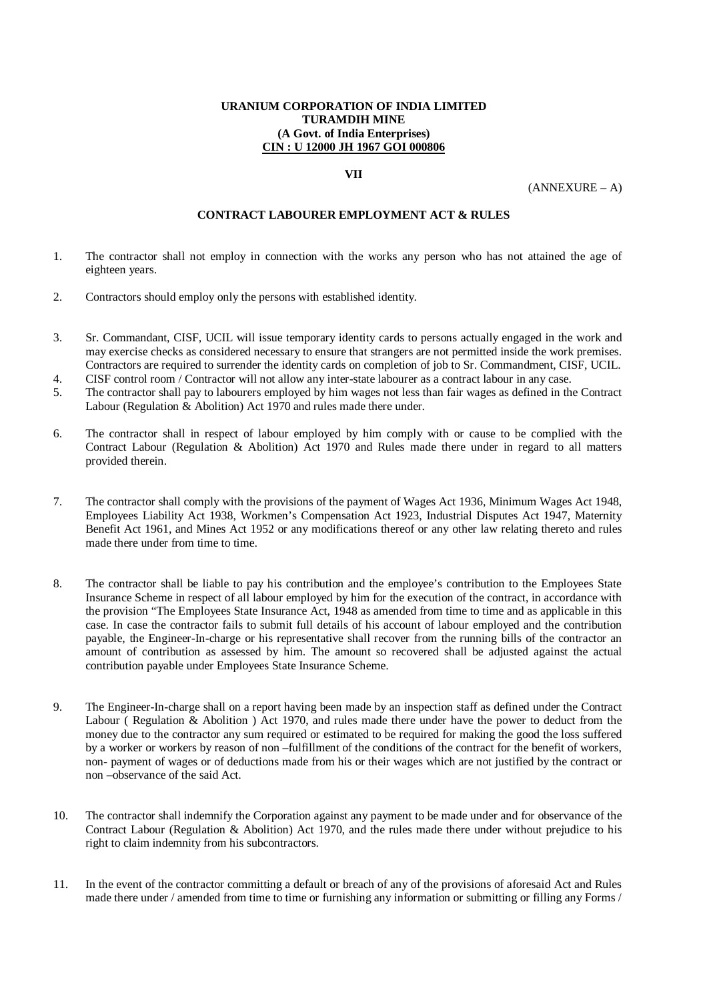#### **VII**

 $(ANNEXURE - A)$ 

## **CONTRACT LABOURER EMPLOYMENT ACT & RULES**

- 1. The contractor shall not employ in connection with the works any person who has not attained the age of eighteen years.
- 2. Contractors should employ only the persons with established identity.
- 3. Sr. Commandant, CISF, UCIL will issue temporary identity cards to persons actually engaged in the work and may exercise checks as considered necessary to ensure that strangers are not permitted inside the work premises. Contractors are required to surrender the identity cards on completion of job to Sr. Commandment, CISF, UCIL.
- 4. CISF control room / Contractor will not allow any inter-state labourer as a contract labour in any case.
- 5. The contractor shall pay to labourers employed by him wages not less than fair wages as defined in the Contract Labour (Regulation & Abolition) Act 1970 and rules made there under.
- 6. The contractor shall in respect of labour employed by him comply with or cause to be complied with the Contract Labour (Regulation & Abolition) Act 1970 and Rules made there under in regard to all matters provided therein.
- 7. The contractor shall comply with the provisions of the payment of Wages Act 1936, Minimum Wages Act 1948, Employees Liability Act 1938, Workmen's Compensation Act 1923, Industrial Disputes Act 1947, Maternity Benefit Act 1961, and Mines Act 1952 or any modifications thereof or any other law relating thereto and rules made there under from time to time.
- 8. The contractor shall be liable to pay his contribution and the employee's contribution to the Employees State Insurance Scheme in respect of all labour employed by him for the execution of the contract, in accordance with the provision "The Employees State Insurance Act, 1948 as amended from time to time and as applicable in this case. In case the contractor fails to submit full details of his account of labour employed and the contribution payable, the Engineer-In-charge or his representative shall recover from the running bills of the contractor an amount of contribution as assessed by him. The amount so recovered shall be adjusted against the actual contribution payable under Employees State Insurance Scheme.
- 9. The Engineer-In-charge shall on a report having been made by an inspection staff as defined under the Contract Labour ( Regulation & Abolition ) Act 1970, and rules made there under have the power to deduct from the money due to the contractor any sum required or estimated to be required for making the good the loss suffered by a worker or workers by reason of non –fulfillment of the conditions of the contract for the benefit of workers, non- payment of wages or of deductions made from his or their wages which are not justified by the contract or non –observance of the said Act.
- 10. The contractor shall indemnify the Corporation against any payment to be made under and for observance of the Contract Labour (Regulation & Abolition) Act 1970, and the rules made there under without prejudice to his right to claim indemnity from his subcontractors.
- 11. In the event of the contractor committing a default or breach of any of the provisions of aforesaid Act and Rules made there under / amended from time to time or furnishing any information or submitting or filling any Forms /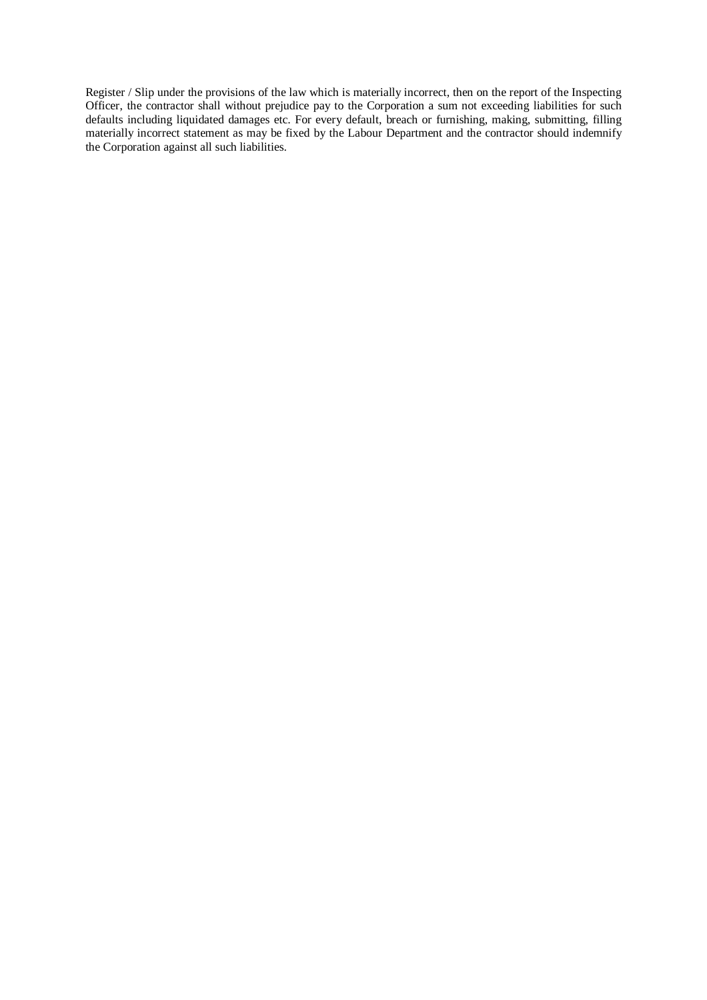Register / Slip under the provisions of the law which is materially incorrect, then on the report of the Inspecting Officer, the contractor shall without prejudice pay to the Corporation a sum not exceeding liabilities for such defaults including liquidated damages etc. For every default, breach or furnishing, making, submitting, filling materially incorrect statement as may be fixed by the Labour Department and the contractor should indemnify the Corporation against all such liabilities.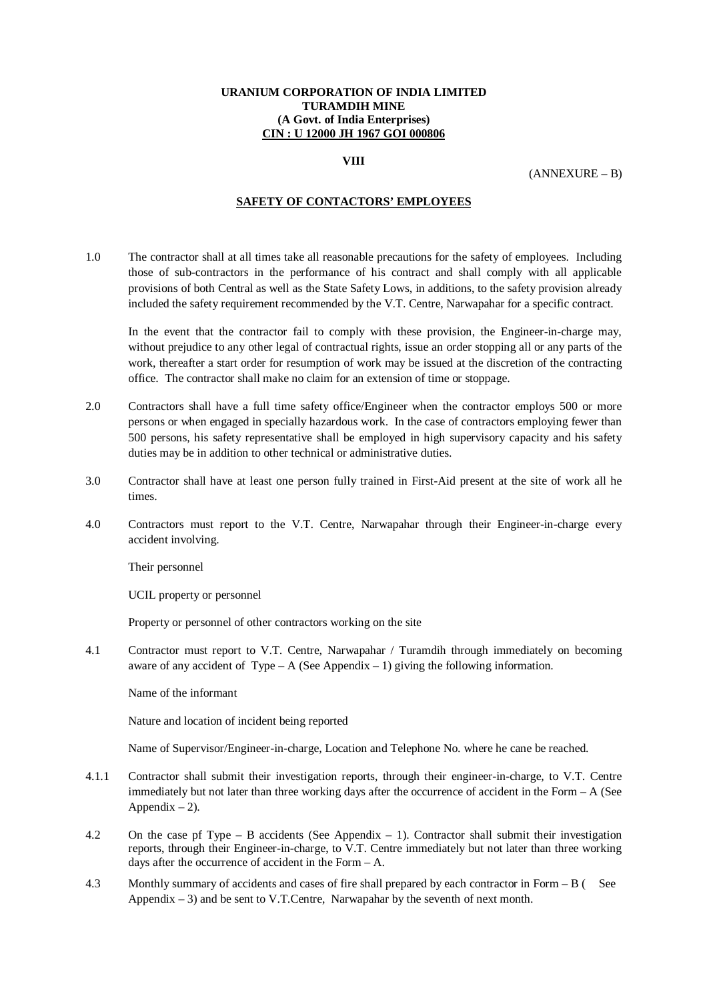#### **VIII**

(ANNEXURE – B)

#### **SAFETY OF CONTACTORS' EMPLOYEES**

1.0 The contractor shall at all times take all reasonable precautions for the safety of employees. Including those of sub-contractors in the performance of his contract and shall comply with all applicable provisions of both Central as well as the State Safety Lows, in additions, to the safety provision already included the safety requirement recommended by the V.T. Centre, Narwapahar for a specific contract.

In the event that the contractor fail to comply with these provision, the Engineer-in-charge may, without prejudice to any other legal of contractual rights, issue an order stopping all or any parts of the work, thereafter a start order for resumption of work may be issued at the discretion of the contracting office. The contractor shall make no claim for an extension of time or stoppage.

- 2.0 Contractors shall have a full time safety office/Engineer when the contractor employs 500 or more persons or when engaged in specially hazardous work. In the case of contractors employing fewer than 500 persons, his safety representative shall be employed in high supervisory capacity and his safety duties may be in addition to other technical or administrative duties.
- 3.0 Contractor shall have at least one person fully trained in First-Aid present at the site of work all he times.
- 4.0 Contractors must report to the V.T. Centre, Narwapahar through their Engineer-in-charge every accident involving.

Their personnel

UCIL property or personnel

Property or personnel of other contractors working on the site

4.1 Contractor must report to V.T. Centre, Narwapahar / Turamdih through immediately on becoming aware of any accident of Type – A (See Appendix – 1) giving the following information.

Name of the informant

Nature and location of incident being reported

Name of Supervisor/Engineer-in-charge, Location and Telephone No. where he cane be reached.

- 4.1.1 Contractor shall submit their investigation reports, through their engineer-in-charge, to V.T. Centre immediately but not later than three working days after the occurrence of accident in the Form – A (See Appendix  $-2$ ).
- 4.2 On the case pf Type B accidents (See Appendix 1). Contractor shall submit their investigation reports, through their Engineer-in-charge, to V.T. Centre immediately but not later than three working days after the occurrence of accident in the Form – A.
- 4.3 Monthly summary of accidents and cases of fire shall prepared by each contractor in Form B ( See Appendix  $-3$ ) and be sent to V.T.Centre, Narwapahar by the seventh of next month.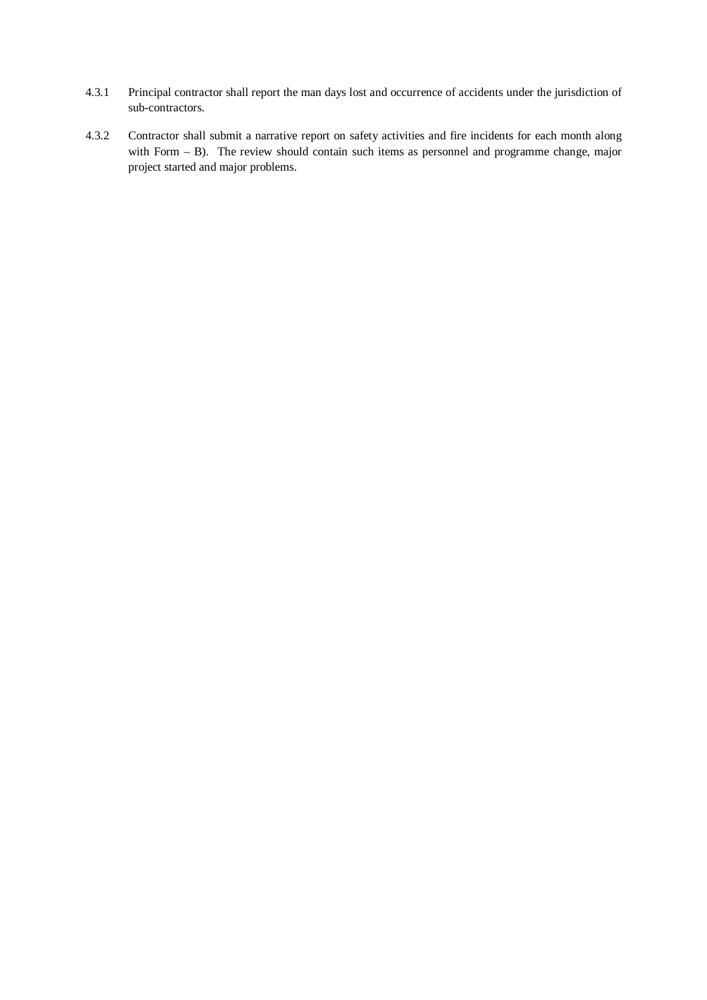- 4.3.1 Principal contractor shall report the man days lost and occurrence of accidents under the jurisdiction of sub-contractors.
- 4.3.2 Contractor shall submit a narrative report on safety activities and fire incidents for each month along with Form – B). The review should contain such items as personnel and programme change, major project started and major problems.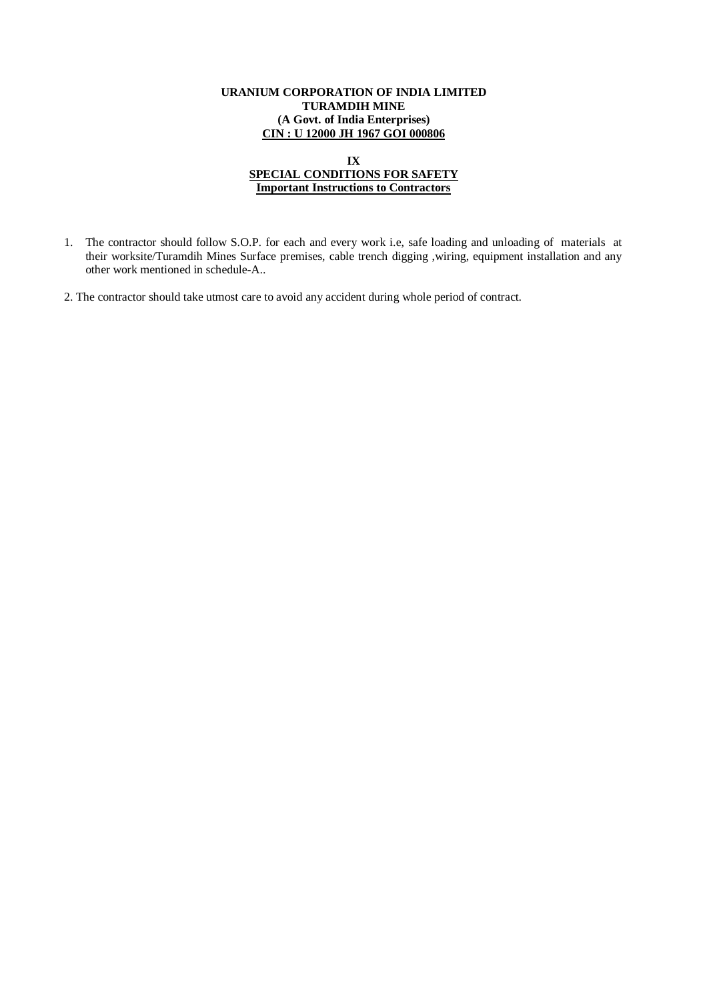#### **IX SPECIAL CONDITIONS FOR SAFETY Important Instructions to Contractors**

- 1. The contractor should follow S.O.P. for each and every work i.e, safe loading and unloading of materials at their worksite/Turamdih Mines Surface premises, cable trench digging ,wiring, equipment installation and any other work mentioned in schedule-A..
- 2. The contractor should take utmost care to avoid any accident during whole period of contract.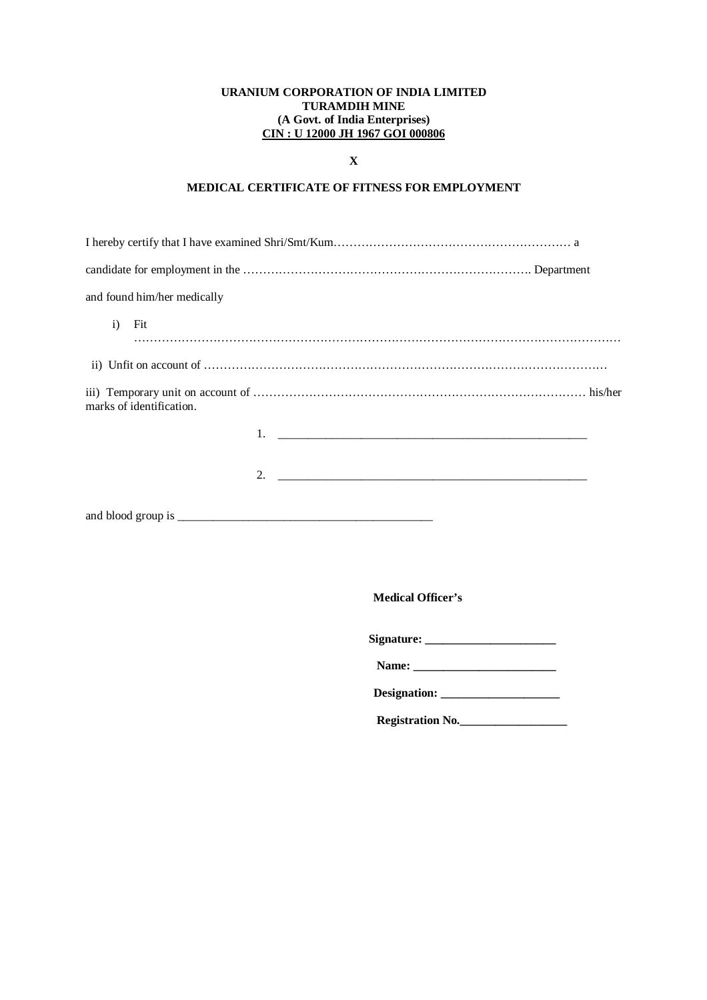## **X**

# **MEDICAL CERTIFICATE OF FITNESS FOR EMPLOYMENT**

| and found him/her medically |  |
|-----------------------------|--|
| $\mathbf{i}$<br>Fit         |  |
|                             |  |
| marks of identification.    |  |
|                             |  |
|                             |  |
|                             |  |

**Medical Officer's** 

| Signature: |  |
|------------|--|
|            |  |

| Designation: |
|--------------|
|--------------|

 **Registration No.\_\_\_\_\_\_\_\_\_\_\_\_\_\_\_\_\_\_**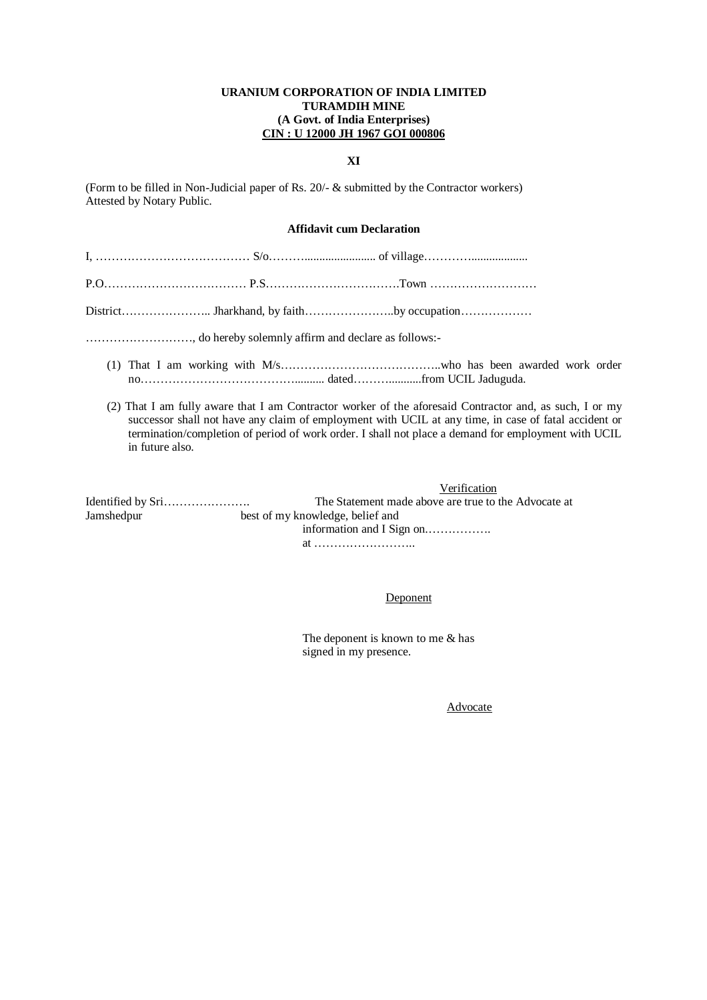#### **XI**

(Form to be filled in Non-Judicial paper of Rs. 20/- & submitted by the Contractor workers) Attested by Notary Public.

## **Affidavit cum Declaration**

| (2) That I am fully aware that I am Contractor worker of the aforesaid Contractor and, as such, I or my<br>successor shall not have any claim of employment with UCIL at any time, in case of fatal accident or<br>termination/completion of period of work order. I shall not place a demand for employment with UCIL<br>in future also. |
|-------------------------------------------------------------------------------------------------------------------------------------------------------------------------------------------------------------------------------------------------------------------------------------------------------------------------------------------|
| Verification                                                                                                                                                                                                                                                                                                                              |
| The Statement made above are true to the Advocate at                                                                                                                                                                                                                                                                                      |
| Jamshednur <b>Manager and State State State</b><br>best of my knowledge, belief and                                                                                                                                                                                                                                                       |

Jamshedpur best of my knowledge, information and I Sign on.……………. at ……………………..

#### Deponent

 The deponent is known to me & has signed in my presence.

Advocate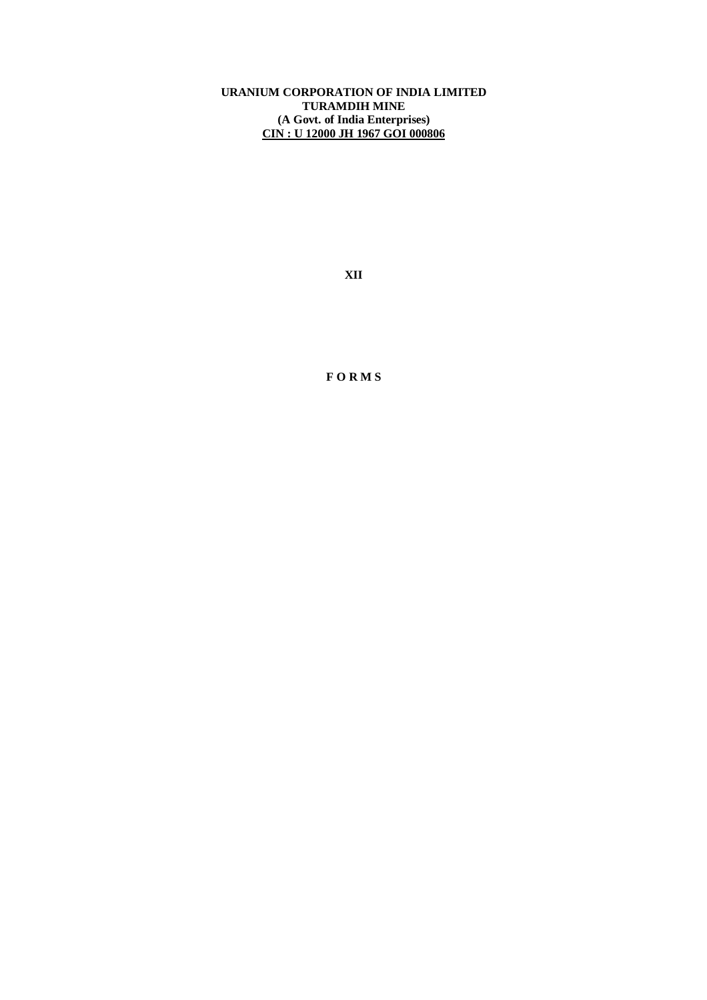**XII**

**F O R M S**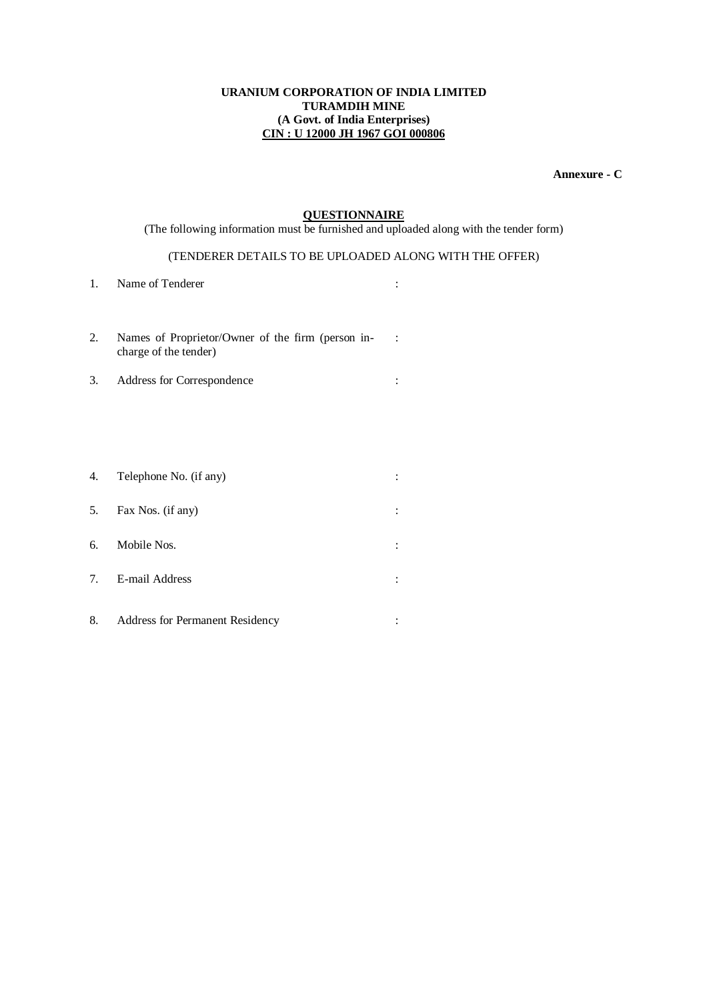**Annexure - C**

## **QUESTIONNAIRE**

(The following information must be furnished and uploaded along with the tender form)

## (TENDERER DETAILS TO BE UPLOADED ALONG WITH THE OFFER)

:

- 1. Name of Tenderer :  $\blacksquare$
- 2. Names of Proprietor/Owner of the firm (person incharge of the tender)
- 3. Address for Correspondence :
- 4. Telephone No. (if any) : 5. Fax Nos. (if any) : 6. Mobile Nos. : 7. E-mail Address :
- 8. Address for Permanent Residency :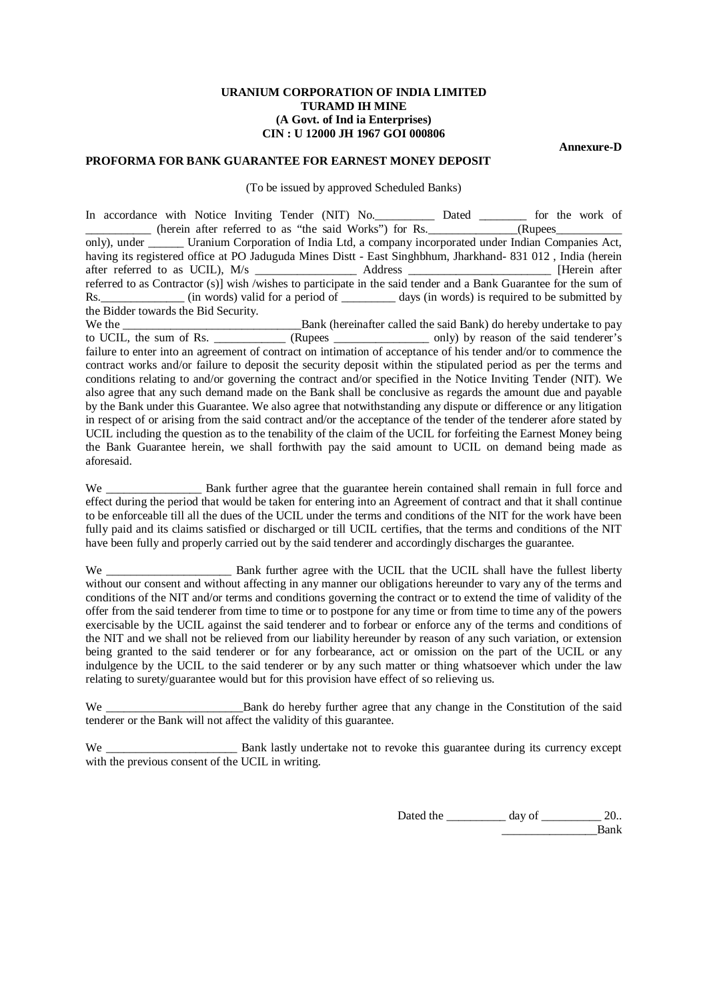**Annexure-D**

## **PROFORMA FOR BANK GUARANTEE FOR EARNEST MONEY DEPOSIT**

(To be issued by approved Scheduled Banks)

In accordance with Notice Inviting Tender (NIT) No. Dated \_\_\_\_\_\_\_\_ for the work of  $\frac{1}{2}$  (herein after referred to as "the said Works") for Rs.  $\frac{1}{2}$  (Rupees only), under Uranium Corporation of India Ltd, a company incorporated under Indian Companies Act, having its registered office at PO Jaduguda Mines Distt - East Singhbhum, Jharkhand- 831 012, India (herein after referred to as UCIL), M/s Address [Herein after after referred to as UCIL), M/s \_\_\_\_\_\_\_\_\_\_\_\_\_\_\_\_\_\_\_\_\_\_ Address \_ referred to as Contractor (s)] wish /wishes to participate in the said tender and a Bank Guarantee for the sum of Rs. (in words) valid for a period of days (in words) is required to be submitted by the Bidder towards the Bid Security. We the \_\_\_\_\_\_\_\_\_\_\_\_\_\_\_\_\_\_\_\_\_\_\_\_\_\_\_\_\_\_Bank (hereinafter called the said Bank) do hereby undertake to pay to UCIL, the sum of Rs. \_\_\_\_\_\_\_\_\_\_\_\_ (Rupees \_\_\_\_\_\_\_\_\_\_\_\_\_\_\_\_ only) by reason of the said tenderer's failure to enter into an agreement of contract on intimation of acceptance of his tender and/or to commence the contract works and/or failure to deposit the security deposit within the stipulated period as per the terms and conditions relating to and/or governing the contract and/or specified in the Notice Inviting Tender (NIT). We also agree that any such demand made on the Bank shall be conclusive as regards the amount due and payable by the Bank under this Guarantee. We also agree that notwithstanding any dispute or difference or any litigation in respect of or arising from the said contract and/or the acceptance of the tender of the tenderer afore stated by UCIL including the question as to the tenability of the claim of the UCIL for forfeiting the Earnest Money being the Bank Guarantee herein, we shall forthwith pay the said amount to UCIL on demand being made as

aforesaid.

We \_\_\_\_\_\_\_\_\_\_\_\_\_\_\_\_\_\_\_ Bank further agree that the guarantee herein contained shall remain in full force and effect during the period that would be taken for entering into an Agreement of contract and that it shall continue to be enforceable till all the dues of the UCIL under the terms and conditions of the NIT for the work have been fully paid and its claims satisfied or discharged or till UCIL certifies, that the terms and conditions of the NIT have been fully and properly carried out by the said tenderer and accordingly discharges the guarantee.

We \_\_\_\_\_\_\_\_\_\_\_\_\_\_\_\_\_\_\_\_\_\_\_\_\_\_ Bank further agree with the UCIL that the UCIL shall have the fullest liberty without our consent and without affecting in any manner our obligations hereunder to vary any of the terms and conditions of the NIT and/or terms and conditions governing the contract or to extend the time of validity of the offer from the said tenderer from time to time or to postpone for any time or from time to time any of the powers exercisable by the UCIL against the said tenderer and to forbear or enforce any of the terms and conditions of the NIT and we shall not be relieved from our liability hereunder by reason of any such variation, or extension being granted to the said tenderer or for any forbearance, act or omission on the part of the UCIL or any indulgence by the UCIL to the said tenderer or by any such matter or thing whatsoever which under the law relating to surety/guarantee would but for this provision have effect of so relieving us.

Bank do hereby further agree that any change in the Constitution of the said tenderer or the Bank will not affect the validity of this guarantee.

We \_\_\_\_\_\_\_\_\_\_\_\_\_\_\_\_\_\_\_\_\_\_\_\_\_\_ Bank lastly undertake not to revoke this guarantee during its currency except with the previous consent of the UCIL in writing.

> Dated the \_\_\_\_\_\_\_\_\_\_\_\_ day of \_\_\_\_\_\_\_\_\_\_\_ 20.. Bank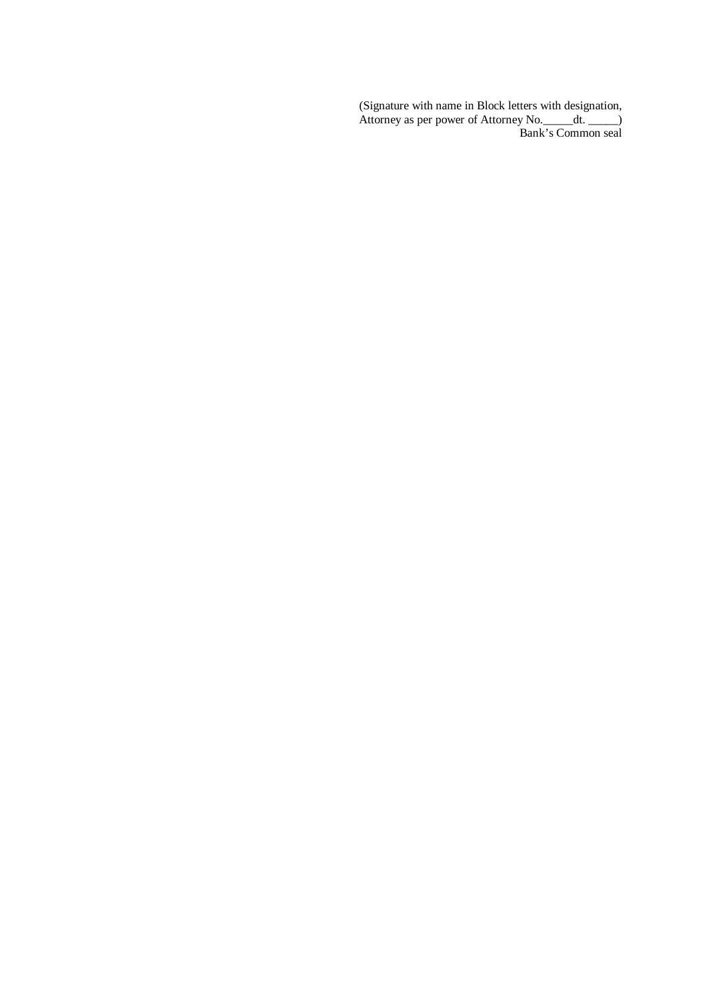(Signature with name in Block letters with designation, Attorney as per power of Attorney No. \_\_\_\_\_dt. \_\_\_\_\_) Bank's Common seal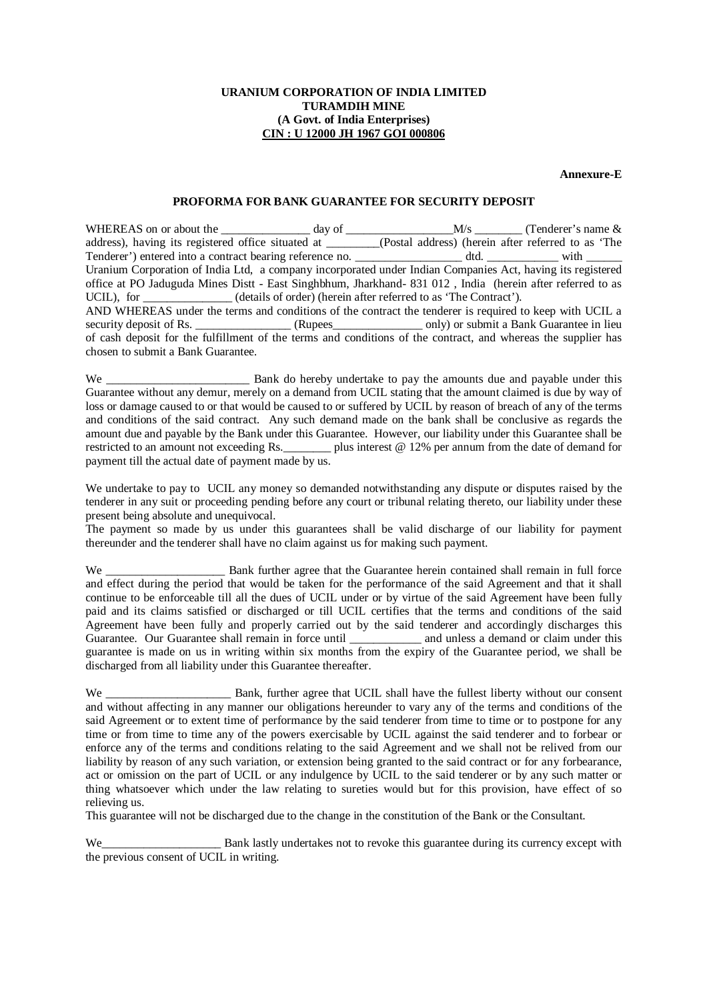**Annexure-E**

## **PROFORMA FOR BANK GUARANTEE FOR SECURITY DEPOSIT**

WHEREAS on or about the  $\frac{1}{\text{address}}$  day of  $\frac{M}{\text{dddress}}$  (Tenderer's name & address), having its registered office situated at (Postal address) (herein after referred to as 'The (Postal address) (herein after referred to as 'The dtd. Tenderer') entered into a contract bearing reference no. \_\_\_\_\_\_\_\_\_\_\_\_\_\_\_\_\_\_ dtd. \_\_\_\_\_\_\_\_\_\_\_\_ with \_\_\_\_\_\_ Uranium Corporation of India Ltd, a company incorporated under Indian Companies Act, having its registered office at PO Jaduguda Mines Distt - East Singhbhum, Jharkhand- 831 012 , India (herein after referred to as UCIL), for (details of order) (herein after referred to as 'The Contract'). AND WHEREAS under the terms and conditions of the contract the tenderer is required to keep with UCIL a security deposit of Rs. \_\_\_\_\_\_\_\_\_\_\_\_\_\_\_ (Rupees\_\_\_\_\_\_\_\_\_\_\_\_\_\_\_ only) or submit a Bank Guarantee in lieu of cash deposit for the fulfillment of the terms and conditions of the contract, and whereas the supplier has chosen to submit a Bank Guarantee.

We \_\_\_\_\_\_\_\_\_\_\_\_\_\_\_\_\_\_\_\_\_\_\_\_ Bank do hereby undertake to pay the amounts due and payable under this Guarantee without any demur, merely on a demand from UCIL stating that the amount claimed is due by way of loss or damage caused to or that would be caused to or suffered by UCIL by reason of breach of any of the terms and conditions of the said contract. Any such demand made on the bank shall be conclusive as regards the amount due and payable by the Bank under this Guarantee. However, our liability under this Guarantee shall be plus interest  $@ 12\%$  per annum from the date of demand for payment till the actual date of payment made by us.

We undertake to pay to UCIL any money so demanded notwithstanding any dispute or disputes raised by the tenderer in any suit or proceeding pending before any court or tribunal relating thereto, our liability under these present being absolute and unequivocal.

The payment so made by us under this guarantees shall be valid discharge of our liability for payment thereunder and the tenderer shall have no claim against us for making such payment.

We **EXECUTE:** Bank further agree that the Guarantee herein contained shall remain in full force and effect during the period that would be taken for the performance of the said Agreement and that it shall continue to be enforceable till all the dues of UCIL under or by virtue of the said Agreement have been fully paid and its claims satisfied or discharged or till UCIL certifies that the terms and conditions of the said Agreement have been fully and properly carried out by the said tenderer and accordingly discharges this Guarantee. Our Guarantee shall remain in force until \_\_\_\_\_\_\_\_\_\_\_\_\_ and unless a demand or claim under this guarantee is made on us in writing within six months from the expiry of the Guarantee period, we shall be discharged from all liability under this Guarantee thereafter.

We \_\_\_\_\_\_\_\_\_\_\_\_\_\_\_\_\_\_\_\_\_\_\_\_\_ Bank, further agree that UCIL shall have the fullest liberty without our consent and without affecting in any manner our obligations hereunder to vary any of the terms and conditions of the said Agreement or to extent time of performance by the said tenderer from time to time or to postpone for any time or from time to time any of the powers exercisable by UCIL against the said tenderer and to forbear or enforce any of the terms and conditions relating to the said Agreement and we shall not be relived from our liability by reason of any such variation, or extension being granted to the said contract or for any forbearance, act or omission on the part of UCIL or any indulgence by UCIL to the said tenderer or by any such matter or thing whatsoever which under the law relating to sureties would but for this provision, have effect of so relieving us.

This guarantee will not be discharged due to the change in the constitution of the Bank or the Consultant.

Bank lastly undertakes not to revoke this guarantee during its currency except with the previous consent of UCIL in writing.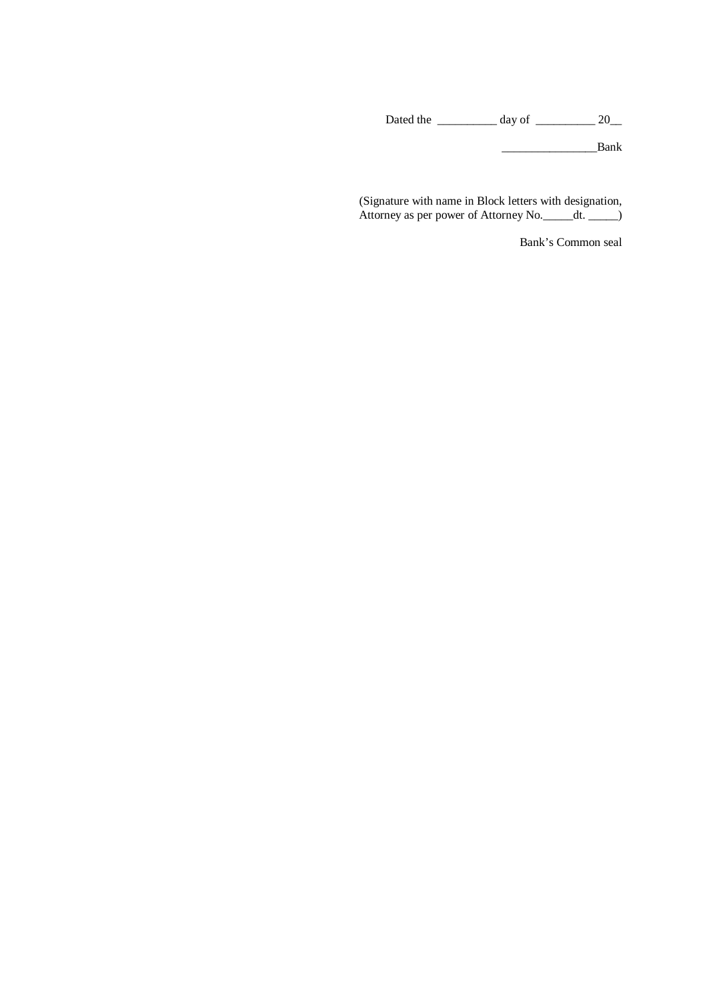Dated the \_\_\_\_\_\_\_\_\_\_\_\_ day of \_\_\_\_\_\_\_\_\_\_\_\_ 20\_\_\_

\_\_\_\_\_\_\_\_\_\_\_\_\_\_\_\_Bank

(Signature with name in Block letters with designation, Attorney as per power of Attorney No. \_\_\_\_\_dt. \_\_\_\_\_)

Bank's Common seal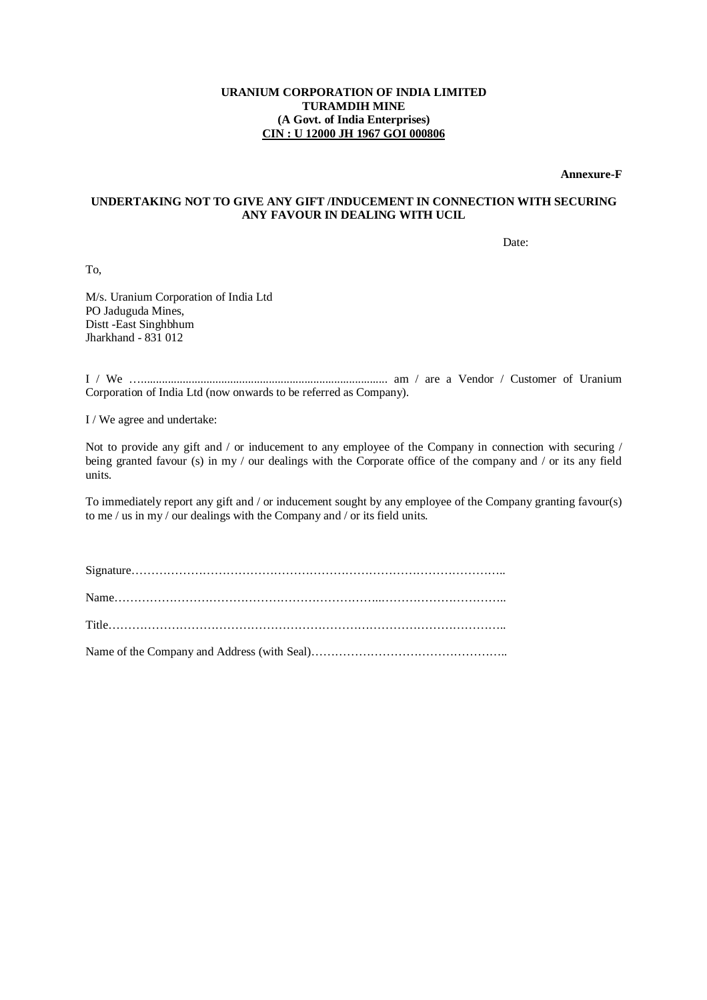**Annexure-F**

## **UNDERTAKING NOT TO GIVE ANY GIFT /INDUCEMENT IN CONNECTION WITH SECURING ANY FAVOUR IN DEALING WITH UCIL**

Date:

To,

M/s. Uranium Corporation of India Ltd PO Jaduguda Mines, Distt -East Singhbhum Jharkhand - 831 012

I / We …................................................................................... am / are a Vendor / Customer of Uranium Corporation of India Ltd (now onwards to be referred as Company).

I / We agree and undertake:

Not to provide any gift and / or inducement to any employee of the Company in connection with securing / being granted favour (s) in my / our dealings with the Corporate office of the company and / or its any field units.

To immediately report any gift and / or inducement sought by any employee of the Company granting favour(s) to me / us in my / our dealings with the Company and / or its field units.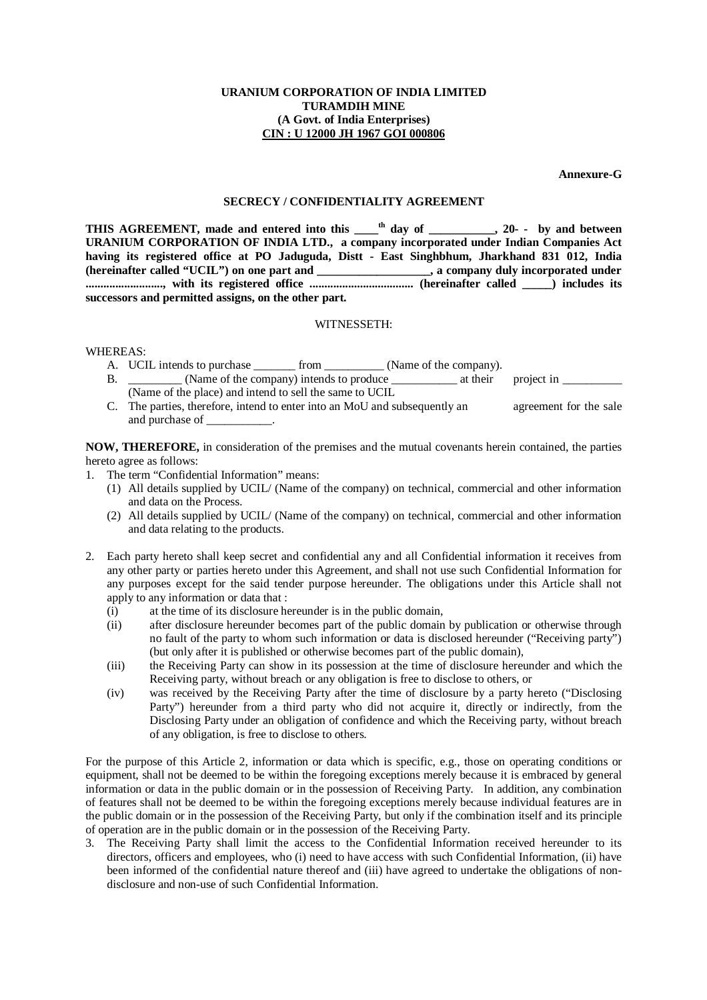**Annexure-G**

#### **SECRECY / CONFIDENTIALITY AGREEMENT**

**THIS AGREEMENT, made and entered into this \_\_\_\_th day of \_\_\_\_\_\_\_\_\_\_\_, 20- - by and between URANIUM CORPORATION OF INDIA LTD., a company incorporated under Indian Companies Act having its registered office at PO Jaduguda, Distt - East Singhbhum, Jharkhand 831 012, India (hereinafter called "UCIL") on one part and \_\_\_\_\_\_\_\_\_\_\_\_\_\_\_\_\_\_\_, a company duly incorporated under .........................., with its registered office ................................... (hereinafter called \_\_\_\_\_) includes its successors and permitted assigns, on the other part.**

## WITNESSETH:

WHEREAS:

- A. UCIL intends to purchase \_\_\_\_\_\_\_\_ from \_\_\_\_\_\_\_\_\_\_ (Name of the company).
- B. \_\_\_\_\_\_\_\_\_ (Name of the company) intends to produce \_\_\_\_\_\_\_\_\_\_\_\_\_\_\_\_\_\_\_\_\_\_\_\_\_\_ at their project in \_\_\_\_\_\_\_\_\_\_\_\_\_\_\_\_ (Name of the place) and intend to sell the same to UCIL
- C. The parties, therefore, intend to enter into an MoU and subsequently an agreement for the sale and purchase of \_\_\_\_\_\_\_\_\_\_\_.

**NOW, THEREFORE,** in consideration of the premises and the mutual covenants herein contained, the parties hereto agree as follows:

- 1. The term "Confidential Information" means:
	- (1) All details supplied by UCIL/ (Name of the company) on technical, commercial and other information and data on the Process.
	- (2) All details supplied by UCIL/ (Name of the company) on technical, commercial and other information and data relating to the products.
- 2. Each party hereto shall keep secret and confidential any and all Confidential information it receives from any other party or parties hereto under this Agreement, and shall not use such Confidential Information for any purposes except for the said tender purpose hereunder. The obligations under this Article shall not apply to any information or data that :
	- (i) at the time of its disclosure hereunder is in the public domain,
	- (ii) after disclosure hereunder becomes part of the public domain by publication or otherwise through no fault of the party to whom such information or data is disclosed hereunder ("Receiving party") (but only after it is published or otherwise becomes part of the public domain),
	- (iii) the Receiving Party can show in its possession at the time of disclosure hereunder and which the Receiving party, without breach or any obligation is free to disclose to others, or
	- (iv) was received by the Receiving Party after the time of disclosure by a party hereto ("Disclosing Party") hereunder from a third party who did not acquire it, directly or indirectly, from the Disclosing Party under an obligation of confidence and which the Receiving party, without breach of any obligation, is free to disclose to others.

For the purpose of this Article 2, information or data which is specific, e.g., those on operating conditions or equipment, shall not be deemed to be within the foregoing exceptions merely because it is embraced by general information or data in the public domain or in the possession of Receiving Party. In addition, any combination of features shall not be deemed to be within the foregoing exceptions merely because individual features are in the public domain or in the possession of the Receiving Party, but only if the combination itself and its principle of operation are in the public domain or in the possession of the Receiving Party.

3. The Receiving Party shall limit the access to the Confidential Information received hereunder to its directors, officers and employees, who (i) need to have access with such Confidential Information, (ii) have been informed of the confidential nature thereof and (iii) have agreed to undertake the obligations of nondisclosure and non-use of such Confidential Information.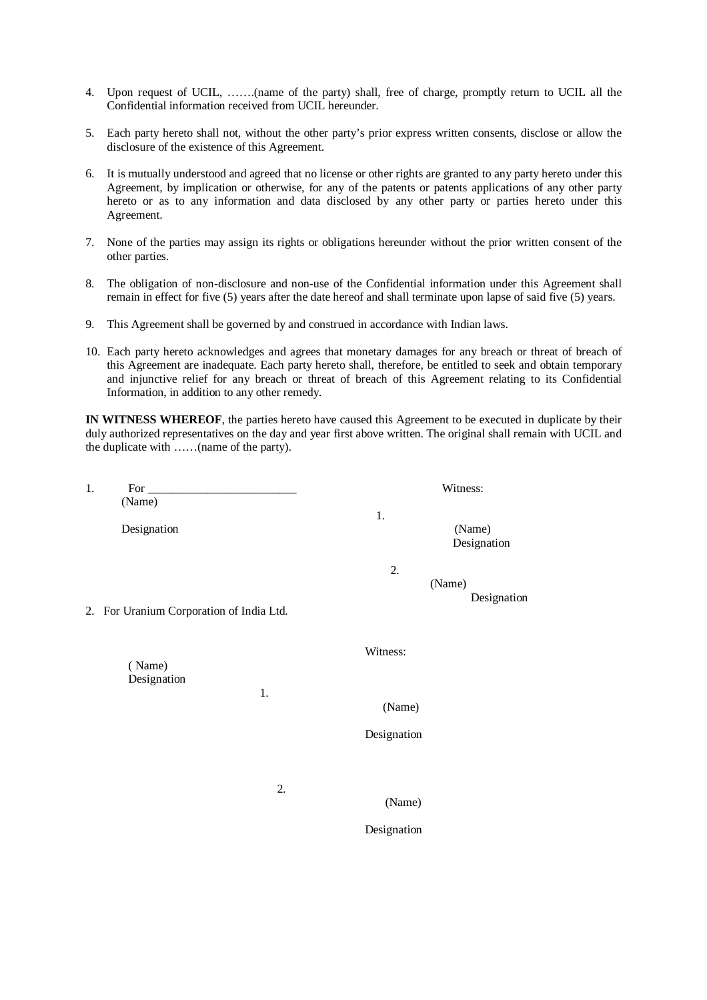- 4. Upon request of UCIL, …….(name of the party) shall, free of charge, promptly return to UCIL all the Confidential information received from UCIL hereunder.
- 5. Each party hereto shall not, without the other party's prior express written consents, disclose or allow the disclosure of the existence of this Agreement.
- 6. It is mutually understood and agreed that no license or other rights are granted to any party hereto under this Agreement, by implication or otherwise, for any of the patents or patents applications of any other party hereto or as to any information and data disclosed by any other party or parties hereto under this Agreement.
- 7. None of the parties may assign its rights or obligations hereunder without the prior written consent of the other parties.
- 8. The obligation of non-disclosure and non-use of the Confidential information under this Agreement shall remain in effect for five (5) years after the date hereof and shall terminate upon lapse of said five (5) years.
- 9. This Agreement shall be governed by and construed in accordance with Indian laws.
- 10. Each party hereto acknowledges and agrees that monetary damages for any breach or threat of breach of this Agreement are inadequate. Each party hereto shall, therefore, be entitled to seek and obtain temporary and injunctive relief for any breach or threat of breach of this Agreement relating to its Confidential Information, in addition to any other remedy.

**IN WITNESS WHEREOF**, the parties hereto have caused this Agreement to be executed in duplicate by their duly authorized representatives on the day and year first above written. The original shall remain with UCIL and the duplicate with ……(name of the party).

| 1. | For                                      |    |             | Witness:              |
|----|------------------------------------------|----|-------------|-----------------------|
|    | (Name)                                   |    |             |                       |
|    | Designation                              |    | 1.          | (Name)<br>Designation |
|    | 2. For Uranium Corporation of India Ltd. |    | 2.          | (Name)<br>Designation |
|    | (Name)<br>Designation                    |    | Witness:    |                       |
|    |                                          | 1. | (Name)      |                       |
|    |                                          |    | Designation |                       |
|    |                                          |    |             |                       |
|    |                                          | 2. | (Name)      |                       |
|    |                                          |    | Designation |                       |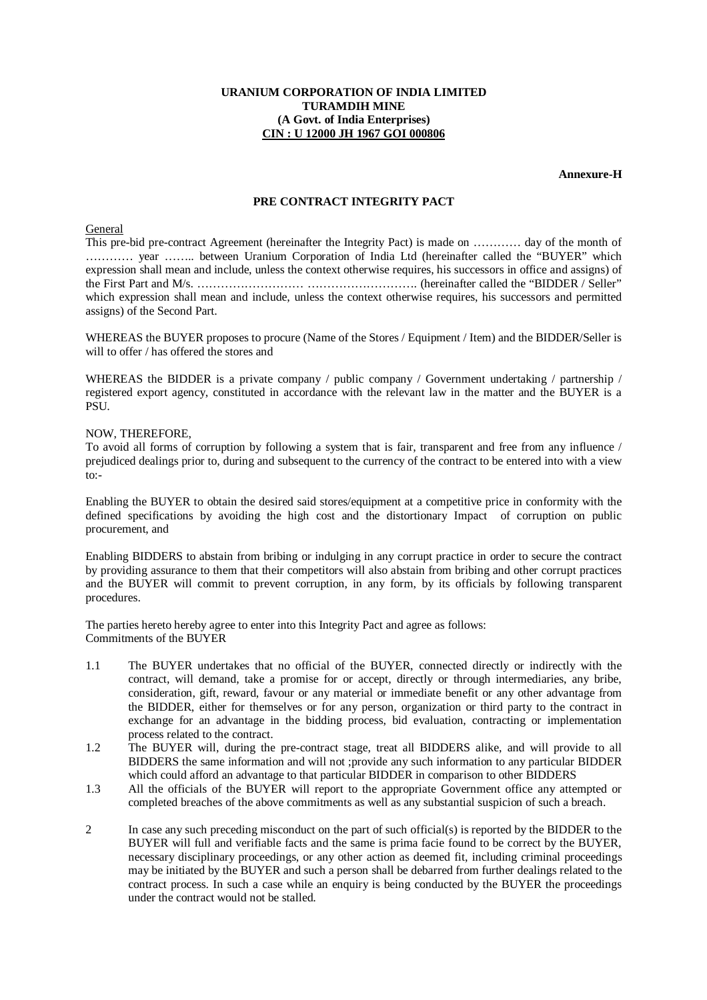**Annexure-H**

## **PRE CONTRACT INTEGRITY PACT**

#### General

This pre-bid pre-contract Agreement (hereinafter the Integrity Pact) is made on ………… day of the month of ………… year …….. between Uranium Corporation of India Ltd (hereinafter called the "BUYER" which expression shall mean and include, unless the context otherwise requires, his successors in office and assigns) of the First Part and M/s. ……………………… ………………………. (hereinafter called the "BIDDER / Seller" which expression shall mean and include, unless the context otherwise requires, his successors and permitted assigns) of the Second Part.

WHEREAS the BUYER proposes to procure (Name of the Stores / Equipment / Item) and the BIDDER/Seller is will to offer / has offered the stores and

WHEREAS the BIDDER is a private company / public company / Government undertaking / partnership / registered export agency, constituted in accordance with the relevant law in the matter and the BUYER is a PSU.

#### NOW, THEREFORE,

To avoid all forms of corruption by following a system that is fair, transparent and free from any influence / prejudiced dealings prior to, during and subsequent to the currency of the contract to be entered into with a view  $to:$ 

Enabling the BUYER to obtain the desired said stores/equipment at a competitive price in conformity with the defined specifications by avoiding the high cost and the distortionary Impact of corruption on public procurement, and

Enabling BIDDERS to abstain from bribing or indulging in any corrupt practice in order to secure the contract by providing assurance to them that their competitors will also abstain from bribing and other corrupt practices and the BUYER will commit to prevent corruption, in any form, by its officials by following transparent procedures.

The parties hereto hereby agree to enter into this Integrity Pact and agree as follows: Commitments of the BUYER

- 1.1 The BUYER undertakes that no official of the BUYER, connected directly or indirectly with the contract, will demand, take a promise for or accept, directly or through intermediaries, any bribe, consideration, gift, reward, favour or any material or immediate benefit or any other advantage from the BIDDER, either for themselves or for any person, organization or third party to the contract in exchange for an advantage in the bidding process, bid evaluation, contracting or implementation process related to the contract.
- 1.2 The BUYER will, during the pre-contract stage, treat all BIDDERS alike, and will provide to all BIDDERS the same information and will not ;provide any such information to any particular BIDDER which could afford an advantage to that particular BIDDER in comparison to other BIDDERS
- 1.3 All the officials of the BUYER will report to the appropriate Government office any attempted or completed breaches of the above commitments as well as any substantial suspicion of such a breach.
- 2 In case any such preceding misconduct on the part of such official(s) is reported by the BIDDER to the BUYER will full and verifiable facts and the same is prima facie found to be correct by the BUYER, necessary disciplinary proceedings, or any other action as deemed fit, including criminal proceedings may be initiated by the BUYER and such a person shall be debarred from further dealings related to the contract process. In such a case while an enquiry is being conducted by the BUYER the proceedings under the contract would not be stalled.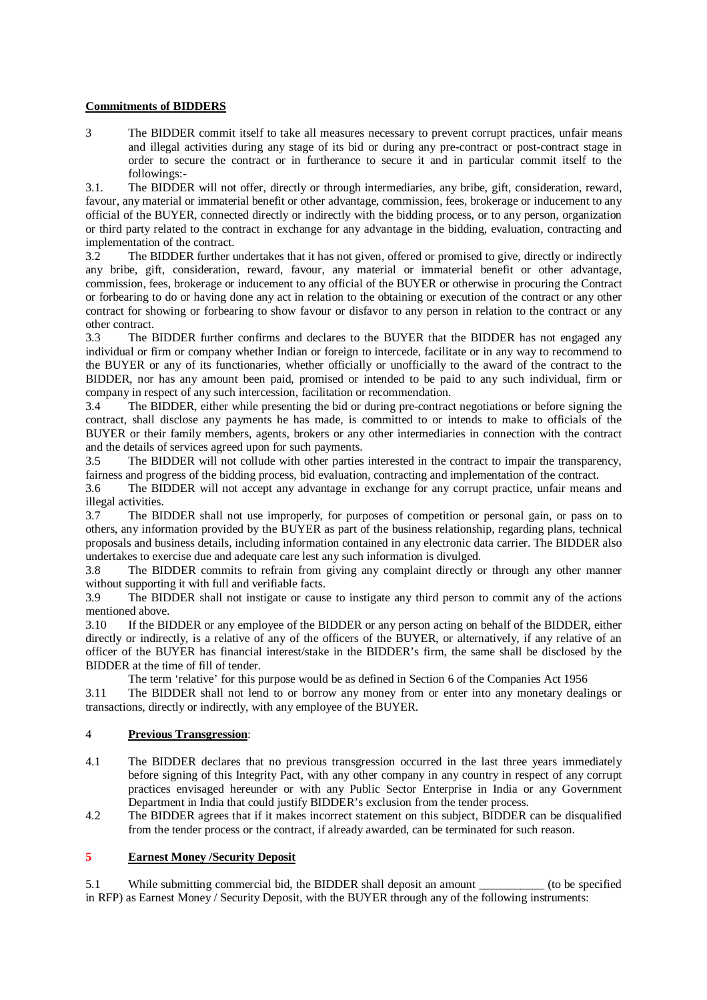## **Commitments of BIDDERS**

3 The BIDDER commit itself to take all measures necessary to prevent corrupt practices, unfair means and illegal activities during any stage of its bid or during any pre-contract or post-contract stage in order to secure the contract or in furtherance to secure it and in particular commit itself to the followings:-

3.1. The BIDDER will not offer, directly or through intermediaries, any bribe, gift, consideration, reward, favour, any material or immaterial benefit or other advantage, commission, fees, brokerage or inducement to any official of the BUYER, connected directly or indirectly with the bidding process, or to any person, organization or third party related to the contract in exchange for any advantage in the bidding, evaluation, contracting and implementation of the contract.

3.2 The BIDDER further undertakes that it has not given, offered or promised to give, directly or indirectly any bribe, gift, consideration, reward, favour, any material or immaterial benefit or other advantage, commission, fees, brokerage or inducement to any official of the BUYER or otherwise in procuring the Contract or forbearing to do or having done any act in relation to the obtaining or execution of the contract or any other contract for showing or forbearing to show favour or disfavor to any person in relation to the contract or any other contract.

3.3 The BIDDER further confirms and declares to the BUYER that the BIDDER has not engaged any individual or firm or company whether Indian or foreign to intercede, facilitate or in any way to recommend to the BUYER or any of its functionaries, whether officially or unofficially to the award of the contract to the BIDDER, nor has any amount been paid, promised or intended to be paid to any such individual, firm or company in respect of any such intercession, facilitation or recommendation.

3.4 The BIDDER, either while presenting the bid or during pre-contract negotiations or before signing the contract, shall disclose any payments he has made, is committed to or intends to make to officials of the BUYER or their family members, agents, brokers or any other intermediaries in connection with the contract and the details of services agreed upon for such payments.<br>3.5 The BIDDER will not collude with other parties

The BIDDER will not collude with other parties interested in the contract to impair the transparency, fairness and progress of the bidding process, bid evaluation, contracting and implementation of the contract.

3.6 The BIDDER will not accept any advantage in exchange for any corrupt practice, unfair means and illegal activities.<br>3.7 The BI

The BIDDER shall not use improperly, for purposes of competition or personal gain, or pass on to others, any information provided by the BUYER as part of the business relationship, regarding plans, technical proposals and business details, including information contained in any electronic data carrier. The BIDDER also undertakes to exercise due and adequate care lest any such information is divulged.

3.8 The BIDDER commits to refrain from giving any complaint directly or through any other manner without supporting it with full and verifiable facts.

3.9 The BIDDER shall not instigate or cause to instigate any third person to commit any of the actions mentioned above.

3.10 If the BIDDER or any employee of the BIDDER or any person acting on behalf of the BIDDER, either directly or indirectly, is a relative of any of the officers of the BUYER, or alternatively, if any relative of an officer of the BUYER has financial interest/stake in the BIDDER's firm, the same shall be disclosed by the BIDDER at the time of fill of tender.

The term 'relative' for this purpose would be as defined in Section 6 of the Companies Act 1956

3.11 The BIDDER shall not lend to or borrow any money from or enter into any monetary dealings or transactions, directly or indirectly, with any employee of the BUYER.

## 4 **Previous Transgression**:

- 4.1 The BIDDER declares that no previous transgression occurred in the last three years immediately before signing of this Integrity Pact, with any other company in any country in respect of any corrupt practices envisaged hereunder or with any Public Sector Enterprise in India or any Government Department in India that could justify BIDDER's exclusion from the tender process.
- 4.2 The BIDDER agrees that if it makes incorrect statement on this subject, BIDDER can be disqualified from the tender process or the contract, if already awarded, can be terminated for such reason.

## **5 Earnest Money /Security Deposit**

5.1 While submitting commercial bid, the BIDDER shall deposit an amount \_\_\_\_\_\_\_\_\_\_\_ (to be specified in RFP) as Earnest Money / Security Deposit, with the BUYER through any of the following instruments: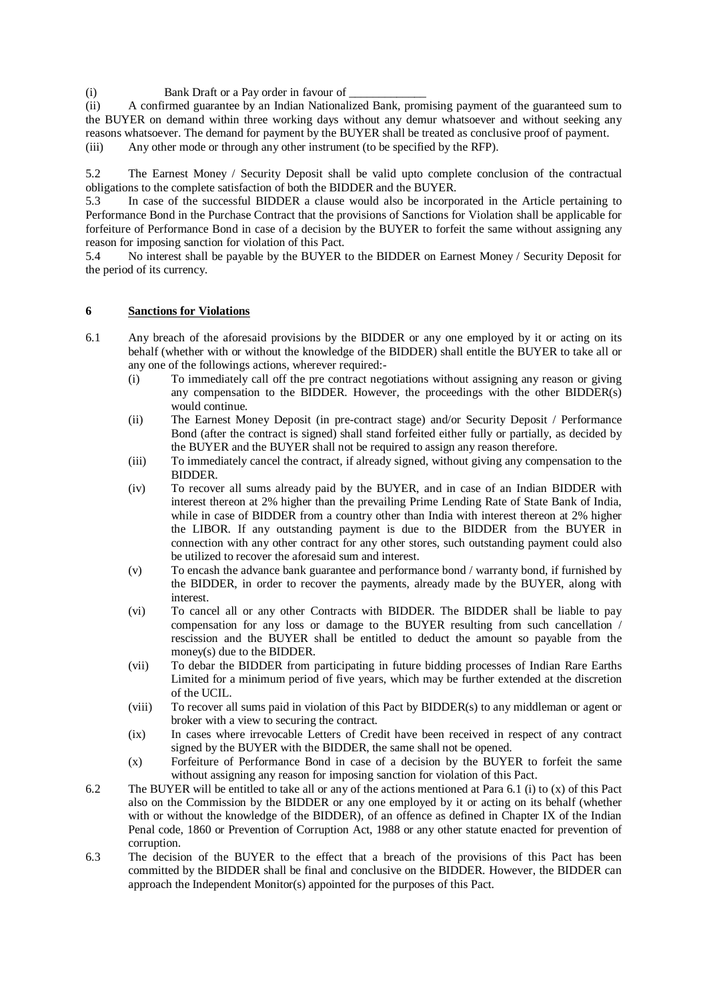(i) Bank Draft or a Pay order in favour of

(ii) A confirmed guarantee by an Indian Nationalized Bank, promising payment of the guaranteed sum to the BUYER on demand within three working days without any demur whatsoever and without seeking any reasons whatsoever. The demand for payment by the BUYER shall be treated as conclusive proof of payment. (iii) Any other mode or through any other instrument (to be specified by the RFP).

5.2 The Earnest Money / Security Deposit shall be valid upto complete conclusion of the contractual obligations to the complete satisfaction of both the BIDDER and the BUYER.

5.3 In case of the successful BIDDER a clause would also be incorporated in the Article pertaining to Performance Bond in the Purchase Contract that the provisions of Sanctions for Violation shall be applicable for forfeiture of Performance Bond in case of a decision by the BUYER to forfeit the same without assigning any reason for imposing sanction for violation of this Pact.

5.4 No interest shall be payable by the BUYER to the BIDDER on Earnest Money / Security Deposit for the period of its currency.

## **6 Sanctions for Violations**

- 6.1 Any breach of the aforesaid provisions by the BIDDER or any one employed by it or acting on its behalf (whether with or without the knowledge of the BIDDER) shall entitle the BUYER to take all or any one of the followings actions, wherever required:-
	- (i) To immediately call off the pre contract negotiations without assigning any reason or giving any compensation to the BIDDER. However, the proceedings with the other BIDDER(s) would continue.
	- (ii) The Earnest Money Deposit (in pre-contract stage) and/or Security Deposit / Performance Bond (after the contract is signed) shall stand forfeited either fully or partially, as decided by the BUYER and the BUYER shall not be required to assign any reason therefore.
	- (iii) To immediately cancel the contract, if already signed, without giving any compensation to the BIDDER.
	- (iv) To recover all sums already paid by the BUYER, and in case of an Indian BIDDER with interest thereon at 2% higher than the prevailing Prime Lending Rate of State Bank of India, while in case of BIDDER from a country other than India with interest thereon at 2% higher the LIBOR. If any outstanding payment is due to the BIDDER from the BUYER in connection with any other contract for any other stores, such outstanding payment could also be utilized to recover the aforesaid sum and interest.
	- (v) To encash the advance bank guarantee and performance bond / warranty bond, if furnished by the BIDDER, in order to recover the payments, already made by the BUYER, along with interest.
	- (vi) To cancel all or any other Contracts with BIDDER. The BIDDER shall be liable to pay compensation for any loss or damage to the BUYER resulting from such cancellation / rescission and the BUYER shall be entitled to deduct the amount so payable from the money(s) due to the BIDDER.
	- (vii) To debar the BIDDER from participating in future bidding processes of Indian Rare Earths Limited for a minimum period of five years, which may be further extended at the discretion of the UCIL.
	- (viii) To recover all sums paid in violation of this Pact by BIDDER(s) to any middleman or agent or broker with a view to securing the contract.
	- (ix) In cases where irrevocable Letters of Credit have been received in respect of any contract signed by the BUYER with the BIDDER, the same shall not be opened.
	- (x) Forfeiture of Performance Bond in case of a decision by the BUYER to forfeit the same without assigning any reason for imposing sanction for violation of this Pact.
- 6.2 The BUYER will be entitled to take all or any of the actions mentioned at Para 6.1 (i) to (x) of this Pact also on the Commission by the BIDDER or any one employed by it or acting on its behalf (whether with or without the knowledge of the BIDDER), of an offence as defined in Chapter IX of the Indian Penal code, 1860 or Prevention of Corruption Act, 1988 or any other statute enacted for prevention of corruption.
- 6.3 The decision of the BUYER to the effect that a breach of the provisions of this Pact has been committed by the BIDDER shall be final and conclusive on the BIDDER. However, the BIDDER can approach the Independent Monitor(s) appointed for the purposes of this Pact.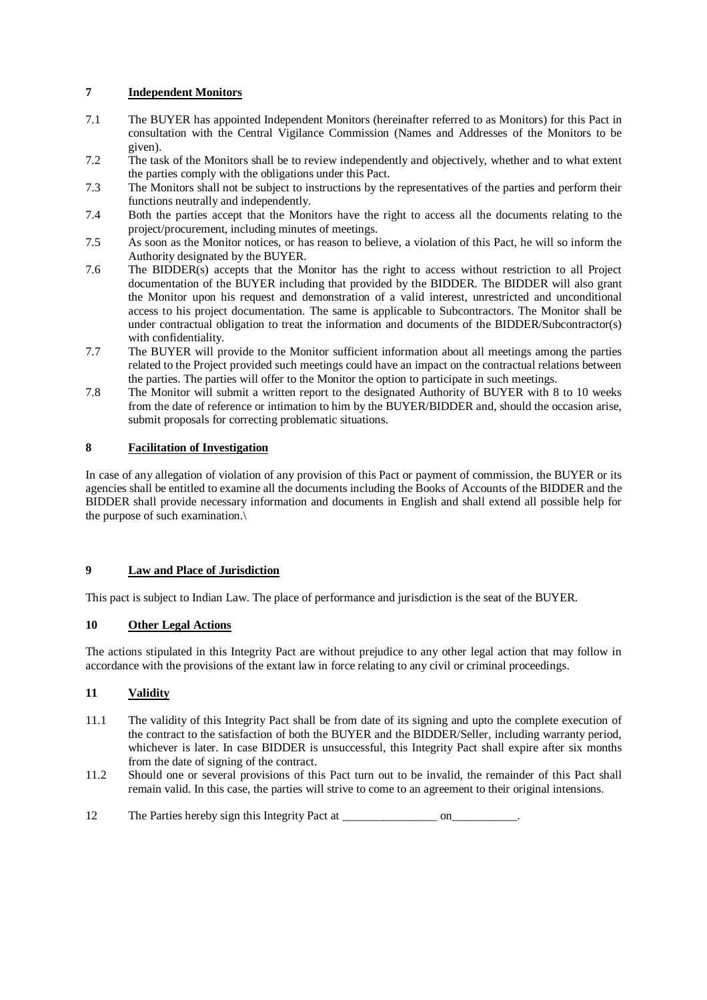## **7 Independent Monitors**

- 7.1 The BUYER has appointed Independent Monitors (hereinafter referred to as Monitors) for this Pact in consultation with the Central Vigilance Commission (Names and Addresses of the Monitors to be given).
- 7.2 The task of the Monitors shall be to review independently and objectively, whether and to what extent the parties comply with the obligations under this Pact.
- 7.3 The Monitors shall not be subject to instructions by the representatives of the parties and perform their functions neutrally and independently.
- 7.4 Both the parties accept that the Monitors have the right to access all the documents relating to the project/procurement, including minutes of meetings.
- 7.5 As soon as the Monitor notices, or has reason to believe, a violation of this Pact, he will so inform the Authority designated by the BUYER.
- 7.6 The BIDDER(s) accepts that the Monitor has the right to access without restriction to all Project documentation of the BUYER including that provided by the BIDDER. The BIDDER will also grant the Monitor upon his request and demonstration of a valid interest, unrestricted and unconditional access to his project documentation. The same is applicable to Subcontractors. The Monitor shall be under contractual obligation to treat the information and documents of the BIDDER/Subcontractor(s) with confidentiality.
- 7.7 The BUYER will provide to the Monitor sufficient information about all meetings among the parties related to the Project provided such meetings could have an impact on the contractual relations between the parties. The parties will offer to the Monitor the option to participate in such meetings.
- 7.8 The Monitor will submit a written report to the designated Authority of BUYER with 8 to 10 weeks from the date of reference or intimation to him by the BUYER/BIDDER and, should the occasion arise, submit proposals for correcting problematic situations.

## **8 Facilitation of Investigation**

In case of any allegation of violation of any provision of this Pact or payment of commission, the BUYER or its agencies shall be entitled to examine all the documents including the Books of Accounts of the BIDDER and the BIDDER shall provide necessary information and documents in English and shall extend all possible help for the purpose of such examination.\

## **9 Law and Place of Jurisdiction**

This pact is subject to Indian Law. The place of performance and jurisdiction is the seat of the BUYER.

## **10 Other Legal Actions**

The actions stipulated in this Integrity Pact are without prejudice to any other legal action that may follow in accordance with the provisions of the extant law in force relating to any civil or criminal proceedings.

## **11 Validity**

- 11.1 The validity of this Integrity Pact shall be from date of its signing and upto the complete execution of the contract to the satisfaction of both the BUYER and the BIDDER/Seller, including warranty period, whichever is later. In case BIDDER is unsuccessful, this Integrity Pact shall expire after six months from the date of signing of the contract.
- 11.2 Should one or several provisions of this Pact turn out to be invalid, the remainder of this Pact shall remain valid. In this case, the parties will strive to come to an agreement to their original intensions.
- 12 The Parties hereby sign this Integrity Pact at \_\_\_\_\_\_\_\_\_\_\_\_\_\_\_\_\_\_\_\_\_\_ on\_\_\_\_\_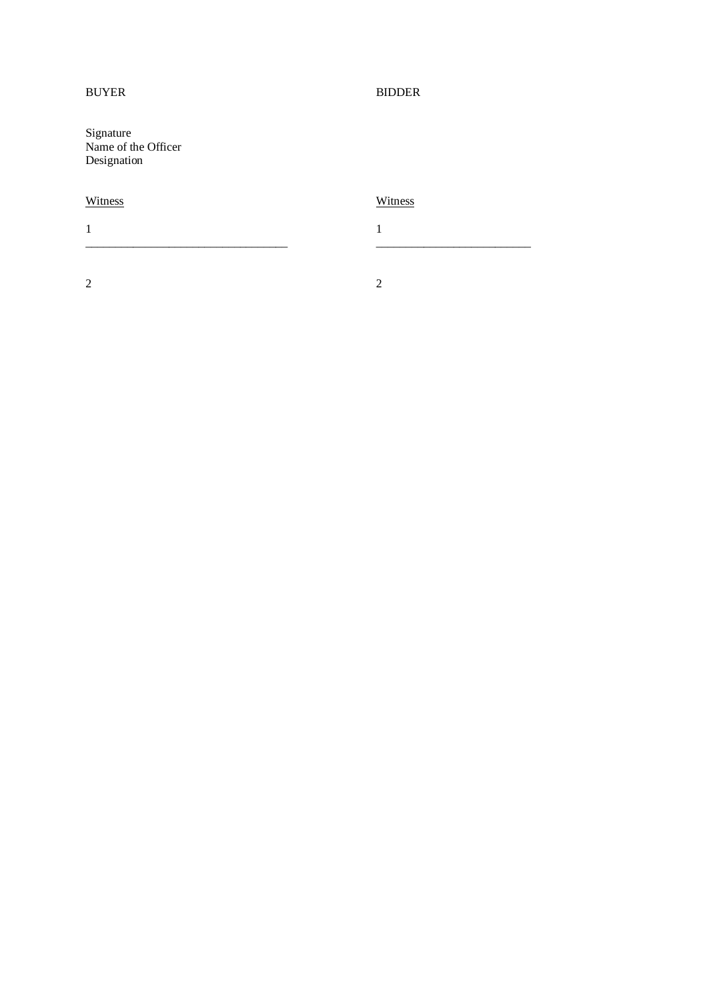## BUYER BIDDER

Signature Name of the Officer Designation

# Witness Witness

1 1 \_\_\_\_\_\_\_\_\_\_\_\_\_\_\_\_\_\_\_\_\_\_\_\_\_\_\_\_\_\_\_\_\_\_ \_\_\_\_\_\_\_\_\_\_\_\_\_\_\_\_\_\_\_\_\_\_\_\_\_\_

2 2